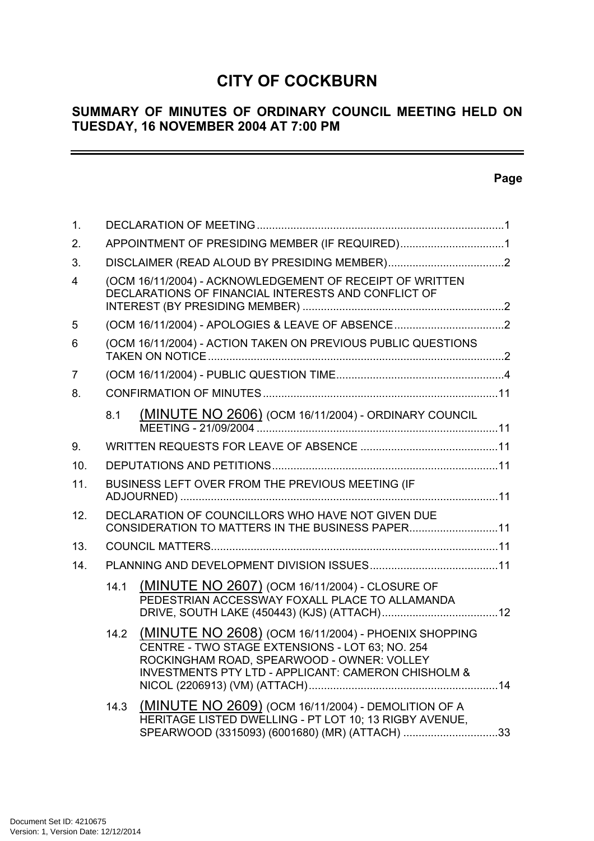# **CITY OF COCKBURN**

## **SUMMARY OF MINUTES OF ORDINARY COUNCIL MEETING HELD ON TUESDAY, 16 NOVEMBER 2004 AT 7:00 PM**

## **Page**

| 1.             |                                                  |                                                                                                                                                                                                                         |  |  |
|----------------|--------------------------------------------------|-------------------------------------------------------------------------------------------------------------------------------------------------------------------------------------------------------------------------|--|--|
| 2.             | APPOINTMENT OF PRESIDING MEMBER (IF REQUIRED)1   |                                                                                                                                                                                                                         |  |  |
| 3.             |                                                  |                                                                                                                                                                                                                         |  |  |
| $\overline{4}$ |                                                  | (OCM 16/11/2004) - ACKNOWLEDGEMENT OF RECEIPT OF WRITTEN<br>DECLARATIONS OF FINANCIAL INTERESTS AND CONFLICT OF                                                                                                         |  |  |
| 5              |                                                  | (OCM 16/11/2004) - APOLOGIES & LEAVE OF ABSENCE2                                                                                                                                                                        |  |  |
| 6              |                                                  | (OCM 16/11/2004) - ACTION TAKEN ON PREVIOUS PUBLIC QUESTIONS                                                                                                                                                            |  |  |
| $\overline{7}$ |                                                  |                                                                                                                                                                                                                         |  |  |
| 8.             |                                                  |                                                                                                                                                                                                                         |  |  |
|                | 8.1                                              | (MINUTE NO 2606) (OCM 16/11/2004) - ORDINARY COUNCIL                                                                                                                                                                    |  |  |
| 9.             |                                                  |                                                                                                                                                                                                                         |  |  |
| 10.            |                                                  |                                                                                                                                                                                                                         |  |  |
| 11.            | BUSINESS LEFT OVER FROM THE PREVIOUS MEETING (IF |                                                                                                                                                                                                                         |  |  |
| 12.            |                                                  | DECLARATION OF COUNCILLORS WHO HAVE NOT GIVEN DUE<br>CONSIDERATION TO MATTERS IN THE BUSINESS PAPER 11                                                                                                                  |  |  |
| 13.            |                                                  |                                                                                                                                                                                                                         |  |  |
| 14.            |                                                  |                                                                                                                                                                                                                         |  |  |
|                | 14.1                                             | (MINUTE NO 2607) (OCM 16/11/2004) - CLOSURE OF<br>PEDESTRIAN ACCESSWAY FOXALL PLACE TO ALLAMANDA                                                                                                                        |  |  |
|                | 14.2                                             | (MINUTE NO 2608) (OCM 16/11/2004) - PHOENIX SHOPPING<br>CENTRE - TWO STAGE EXTENSIONS - LOT 63; NO. 254<br>ROCKINGHAM ROAD, SPEARWOOD - OWNER: VOLLEY<br><b>INVESTMENTS PTY LTD - APPLICANT: CAMERON CHISHOLM &amp;</b> |  |  |
|                | 14.3                                             | (MINUTE NO 2609) (OCM 16/11/2004) - DEMOLITION OF A<br>HERITAGE LISTED DWELLING - PT LOT 10; 13 RIGBY AVENUE,<br>SPEARWOOD (3315093) (6001680) (MR) (ATTACH) 33                                                         |  |  |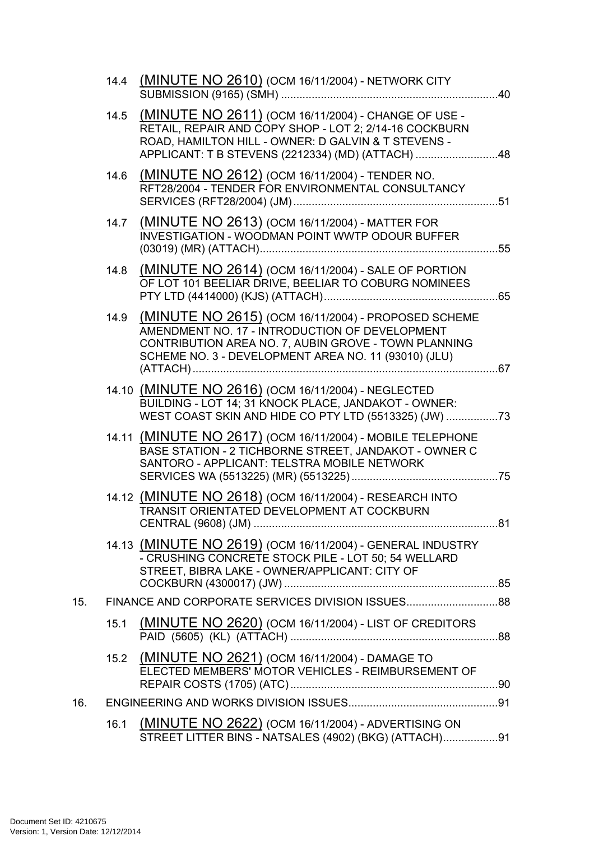|     |      | 14.4 (MINUTE NO 2610) (OCM 16/11/2004) - NETWORK CITY                                                                                                                                                                          |  |
|-----|------|--------------------------------------------------------------------------------------------------------------------------------------------------------------------------------------------------------------------------------|--|
|     |      | 14.5 (MINUTE NO 2611) (OCM 16/11/2004) - CHANGE OF USE -<br>RETAIL, REPAIR AND COPY SHOP - LOT 2; 2/14-16 COCKBURN<br>ROAD, HAMILTON HILL - OWNER: D GALVIN & T STEVENS -<br>APPLICANT: T B STEVENS (2212334) (MD) (ATTACH) 48 |  |
|     | 14.6 | (MINUTE NO 2612) (OCM 16/11/2004) - TENDER NO.<br>RFT28/2004 - TENDER FOR ENVIRONMENTAL CONSULTANCY                                                                                                                            |  |
|     |      | 14.7 (MINUTE NO 2613) (OCM 16/11/2004) - MATTER FOR<br><b>INVESTIGATION - WOODMAN POINT WWTP ODOUR BUFFER</b>                                                                                                                  |  |
|     | 14.8 | (MINUTE NO 2614) (OCM 16/11/2004) - SALE OF PORTION<br>OF LOT 101 BEELIAR DRIVE, BEELIAR TO COBURG NOMINEES                                                                                                                    |  |
|     | 14.9 | (MINUTE NO 2615) (OCM 16/11/2004) - PROPOSED SCHEME<br>AMENDMENT NO. 17 - INTRODUCTION OF DEVELOPMENT<br>CONTRIBUTION AREA NO. 7, AUBIN GROVE - TOWN PLANNING<br>SCHEME NO. 3 - DEVELOPMENT AREA NO. 11 (93010) (JLU)          |  |
|     |      | 14.10 (MINUTE NO 2616) (OCM 16/11/2004) - NEGLECTED<br>BUILDING - LOT 14; 31 KNOCK PLACE, JANDAKOT - OWNER:<br>WEST COAST SKIN AND HIDE CO PTY LTD (5513325) (JW)                                                              |  |
|     |      | 14.11 (MINUTE NO 2617) (OCM 16/11/2004) - MOBILE TELEPHONE<br>BASE STATION - 2 TICHBORNE STREET, JANDAKOT - OWNER C<br>SANTORO - APPLICANT: TELSTRA MOBILE NETWORK                                                             |  |
|     |      | 14.12 (MINUTE NO 2618) (OCM 16/11/2004) - RESEARCH INTO<br><b>TRANSIT ORIENTATED DEVELOPMENT AT COCKBURN</b>                                                                                                                   |  |
|     |      | 14.13 (MINUTE NO 2619) (OCM 16/11/2004) - GENERAL INDUSTRY<br>- CRUSHING CONCRETE STOCK PILE - LOT 50; 54 WELLARD<br>STREET, BIBRA LAKE - OWNER/APPLICANT: CITY OF                                                             |  |
| 15. |      |                                                                                                                                                                                                                                |  |
|     | 15.1 | (MINUTE NO 2620) (OCM 16/11/2004) - LIST OF CREDITORS                                                                                                                                                                          |  |
|     |      | 15.2 (MINUTE NO 2621) (OCM 16/11/2004) - DAMAGE TO<br>ELECTED MEMBERS' MOTOR VEHICLES - REIMBURSEMENT OF                                                                                                                       |  |
| 16. |      |                                                                                                                                                                                                                                |  |
|     | 16.1 | (MINUTE NO 2622) (OCM 16/11/2004) - ADVERTISING ON<br>STREET LITTER BINS - NATSALES (4902) (BKG) (ATTACH)91                                                                                                                    |  |
|     |      |                                                                                                                                                                                                                                |  |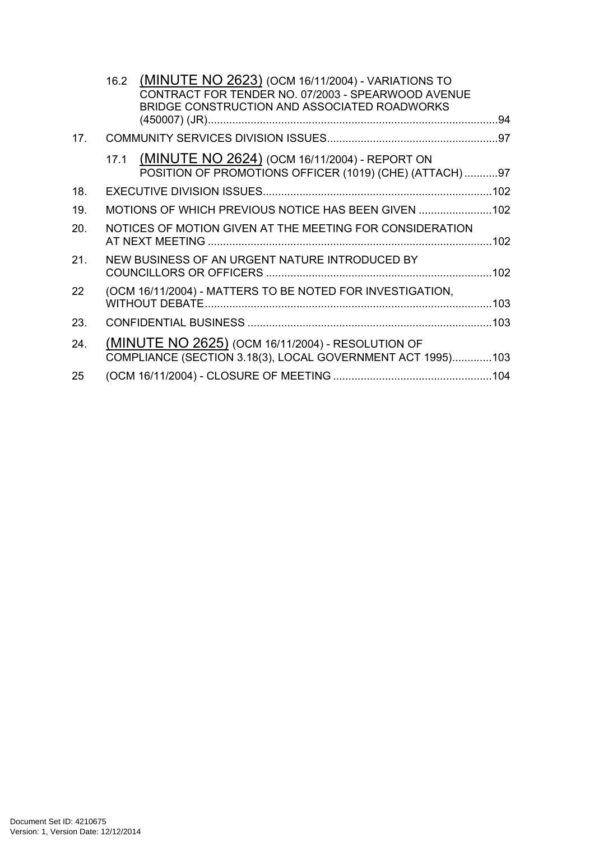|     | 16.2 (MINUTE NO 2623) (OCM 16/11/2004) - VARIATIONS TO<br>CONTRACT FOR TENDER NO. 07/2003 - SPEARWOOD AVENUE<br>BRIDGE CONSTRUCTION AND ASSOCIATED ROADWORKS |  |
|-----|--------------------------------------------------------------------------------------------------------------------------------------------------------------|--|
| 17. |                                                                                                                                                              |  |
|     | 17.1 (MINUTE NO 2624) (OCM 16/11/2004) - REPORT ON<br>POSITION OF PROMOTIONS OFFICER (1019) (CHE) (ATTACH) 97                                                |  |
| 18. |                                                                                                                                                              |  |
| 19. | MOTIONS OF WHICH PREVIOUS NOTICE HAS BEEN GIVEN 102                                                                                                          |  |
| 20. | NOTICES OF MOTION GIVEN AT THE MEETING FOR CONSIDERATION                                                                                                     |  |
| 21. | NEW BUSINESS OF AN URGENT NATURE INTRODUCED BY                                                                                                               |  |
| 22  | (OCM 16/11/2004) - MATTERS TO BE NOTED FOR INVESTIGATION,                                                                                                    |  |
| 23. |                                                                                                                                                              |  |
| 24. | (MINUTE NO 2625) (OCM 16/11/2004) - RESOLUTION OF<br>COMPLIANCE (SECTION 3.18(3), LOCAL GOVERNMENT ACT 1995)103                                              |  |
| 25  |                                                                                                                                                              |  |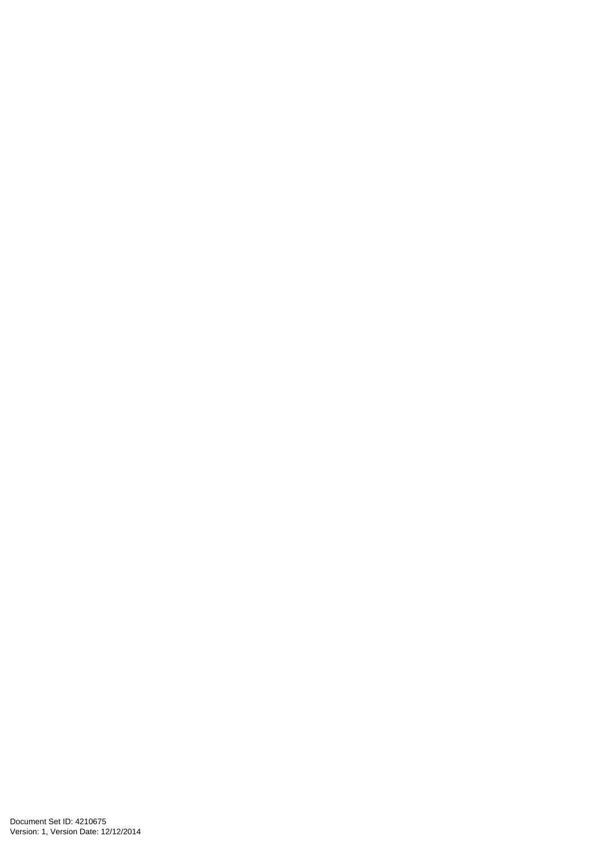Document Set ID: 4210675<br>Version: 1, Version Date: 12/12/2014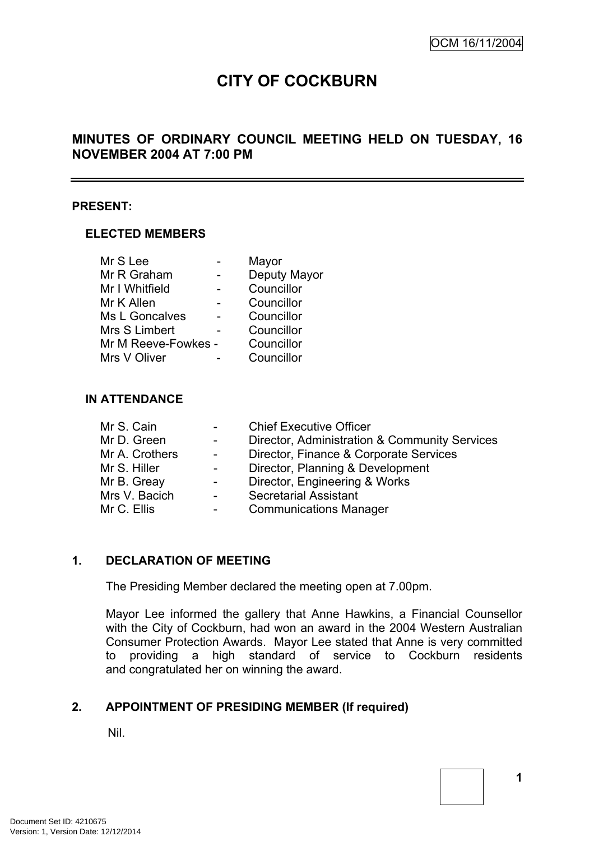# **CITY OF COCKBURN**

## <span id="page-4-0"></span>**MINUTES OF ORDINARY COUNCIL MEETING HELD ON TUESDAY, 16 NOVEMBER 2004 AT 7:00 PM**

#### **PRESENT:**

## **ELECTED MEMBERS**

| Mr S Lee            | Mayor        |
|---------------------|--------------|
| Mr R Graham         | Deputy Mayor |
| Mr I Whitfield      | Councillor   |
| Mr K Allen          | Councillor   |
| Ms L Goncalves      | Councillor   |
| Mrs S Limbert       | Councillor   |
| Mr M Reeve-Fowkes - | Councillor   |
| Mrs V Oliver        | Councillor   |

## **IN ATTENDANCE**

| Mr S. Cain     |                   | <b>Chief Executive Officer</b>                |
|----------------|-------------------|-----------------------------------------------|
| Mr D. Green    | $\sim 100$        | Director, Administration & Community Services |
| Mr A. Crothers | $\Delta \sim 100$ | Director, Finance & Corporate Services        |
| Mr S. Hiller   |                   | Director, Planning & Development              |
| Mr B. Greay    | $\sim 100$        | Director, Engineering & Works                 |
| Mrs V. Bacich  | $\Delta \sim 100$ | <b>Secretarial Assistant</b>                  |
| Mr C. Ellis    | $\sim 100$        | <b>Communications Manager</b>                 |
|                |                   |                                               |

## **1. DECLARATION OF MEETING**

The Presiding Member declared the meeting open at 7.00pm.

Mayor Lee informed the gallery that Anne Hawkins, a Financial Counsellor with the City of Cockburn, had won an award in the 2004 Western Australian Consumer Protection Awards. Mayor Lee stated that Anne is very committed to providing a high standard of service to Cockburn residents and congratulated her on winning the award.

## **2. APPOINTMENT OF PRESIDING MEMBER (If required)**

Nil.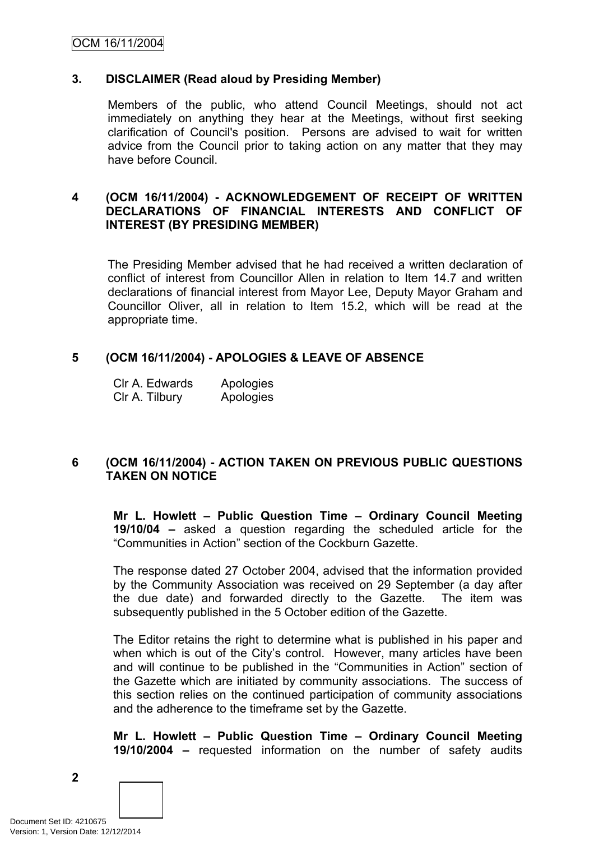## <span id="page-5-0"></span>**3. DISCLAIMER (Read aloud by Presiding Member)**

Members of the public, who attend Council Meetings, should not act immediately on anything they hear at the Meetings, without first seeking clarification of Council's position. Persons are advised to wait for written advice from the Council prior to taking action on any matter that they may have before Council.

## **4 (OCM 16/11/2004) - ACKNOWLEDGEMENT OF RECEIPT OF WRITTEN DECLARATIONS OF FINANCIAL INTERESTS AND CONFLICT OF INTEREST (BY PRESIDING MEMBER)**

The Presiding Member advised that he had received a written declaration of conflict of interest from Councillor Allen in relation to Item 14.7 and written declarations of financial interest from Mayor Lee, Deputy Mayor Graham and Councillor Oliver, all in relation to Item 15.2, which will be read at the appropriate time.

## **5 (OCM 16/11/2004) - APOLOGIES & LEAVE OF ABSENCE**

| Clr A. Edwards | Apologies |
|----------------|-----------|
| CIr A. Tilbury | Apologies |

## **6 (OCM 16/11/2004) - ACTION TAKEN ON PREVIOUS PUBLIC QUESTIONS TAKEN ON NOTICE**

**Mr L. Howlett – Public Question Time – Ordinary Council Meeting 19/10/04 –** asked a question regarding the scheduled article for the "Communities in Action" section of the Cockburn Gazette.

The response dated 27 October 2004, advised that the information provided by the Community Association was received on 29 September (a day after the due date) and forwarded directly to the Gazette. The item was subsequently published in the 5 October edition of the Gazette.

The Editor retains the right to determine what is published in his paper and when which is out of the City's control. However, many articles have been and will continue to be published in the "Communities in Action" section of the Gazette which are initiated by community associations. The success of this section relies on the continued participation of community associations and the adherence to the timeframe set by the Gazette.

**Mr L. Howlett – Public Question Time – Ordinary Council Meeting 19/10/2004 –** requested information on the number of safety audits

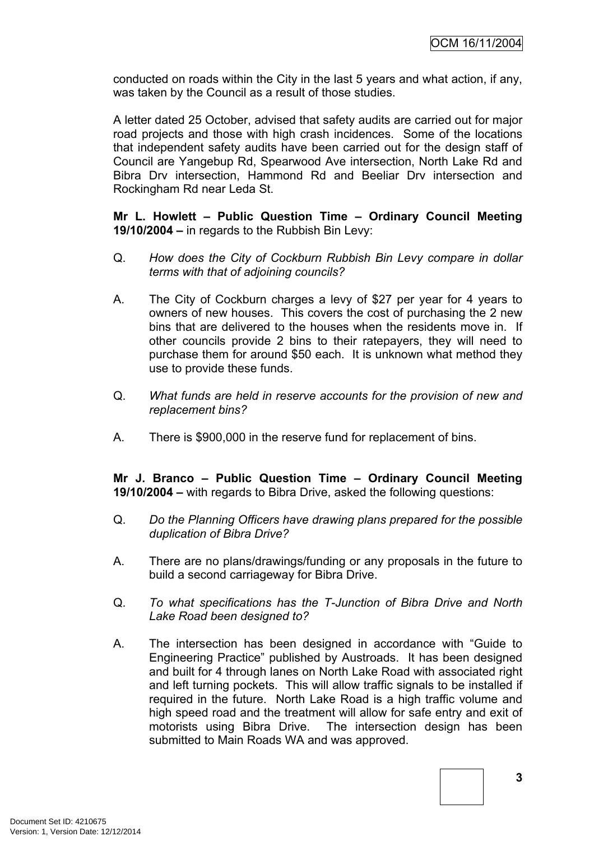conducted on roads within the City in the last 5 years and what action, if any, was taken by the Council as a result of those studies.

A letter dated 25 October, advised that safety audits are carried out for major road projects and those with high crash incidences. Some of the locations that independent safety audits have been carried out for the design staff of Council are Yangebup Rd, Spearwood Ave intersection, North Lake Rd and Bibra Drv intersection, Hammond Rd and Beeliar Drv intersection and Rockingham Rd near Leda St.

**Mr L. Howlett – Public Question Time – Ordinary Council Meeting 19/10/2004 –** in regards to the Rubbish Bin Levy:

- Q. *How does the City of Cockburn Rubbish Bin Levy compare in dollar terms with that of adjoining councils?*
- A. The City of Cockburn charges a levy of \$27 per year for 4 years to owners of new houses. This covers the cost of purchasing the 2 new bins that are delivered to the houses when the residents move in. If other councils provide 2 bins to their ratepayers, they will need to purchase them for around \$50 each. It is unknown what method they use to provide these funds.
- Q. *What funds are held in reserve accounts for the provision of new and replacement bins?*
- A. There is \$900,000 in the reserve fund for replacement of bins.

**Mr J. Branco – Public Question Time – Ordinary Council Meeting 19/10/2004 –** with regards to Bibra Drive, asked the following questions:

- Q. *Do the Planning Officers have drawing plans prepared for the possible duplication of Bibra Drive?*
- A. There are no plans/drawings/funding or any proposals in the future to build a second carriageway for Bibra Drive.
- Q. *To what specifications has the T-Junction of Bibra Drive and North Lake Road been designed to?*
- A. The intersection has been designed in accordance with "Guide to Engineering Practice" published by Austroads. It has been designed and built for 4 through lanes on North Lake Road with associated right and left turning pockets. This will allow traffic signals to be installed if required in the future. North Lake Road is a high traffic volume and high speed road and the treatment will allow for safe entry and exit of motorists using Bibra Drive. The intersection design has been submitted to Main Roads WA and was approved.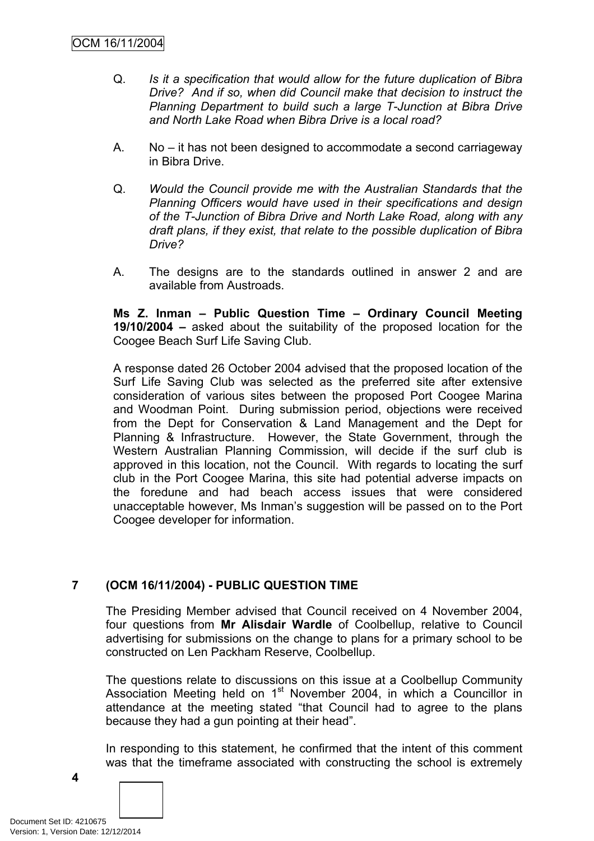- <span id="page-7-0"></span>Q. *Is it a specification that would allow for the future duplication of Bibra Drive? And if so, when did Council make that decision to instruct the Planning Department to build such a large T-Junction at Bibra Drive and North Lake Road when Bibra Drive is a local road?*
- A. No it has not been designed to accommodate a second carriageway in Bibra Drive.
- Q. *Would the Council provide me with the Australian Standards that the Planning Officers would have used in their specifications and design of the T-Junction of Bibra Drive and North Lake Road, along with any draft plans, if they exist, that relate to the possible duplication of Bibra Drive?*
- A. The designs are to the standards outlined in answer 2 and are available from Austroads.

**Ms Z. Inman – Public Question Time – Ordinary Council Meeting 19/10/2004 –** asked about the suitability of the proposed location for the Coogee Beach Surf Life Saving Club.

A response dated 26 October 2004 advised that the proposed location of the Surf Life Saving Club was selected as the preferred site after extensive consideration of various sites between the proposed Port Coogee Marina and Woodman Point. During submission period, objections were received from the Dept for Conservation & Land Management and the Dept for Planning & Infrastructure. However, the State Government, through the Western Australian Planning Commission, will decide if the surf club is approved in this location, not the Council. With regards to locating the surf club in the Port Coogee Marina, this site had potential adverse impacts on the foredune and had beach access issues that were considered unacceptable however, Ms Inman's suggestion will be passed on to the Port Coogee developer for information.

## **7 (OCM 16/11/2004) - PUBLIC QUESTION TIME**

The Presiding Member advised that Council received on 4 November 2004, four questions from **Mr Alisdair Wardle** of Coolbellup, relative to Council advertising for submissions on the change to plans for a primary school to be constructed on Len Packham Reserve, Coolbellup.

The questions relate to discussions on this issue at a Coolbellup Community Association Meeting held on 1<sup>st</sup> November 2004, in which a Councillor in attendance at the meeting stated "that Council had to agree to the plans because they had a gun pointing at their head".

In responding to this statement, he confirmed that the intent of this comment was that the timeframe associated with constructing the school is extremely

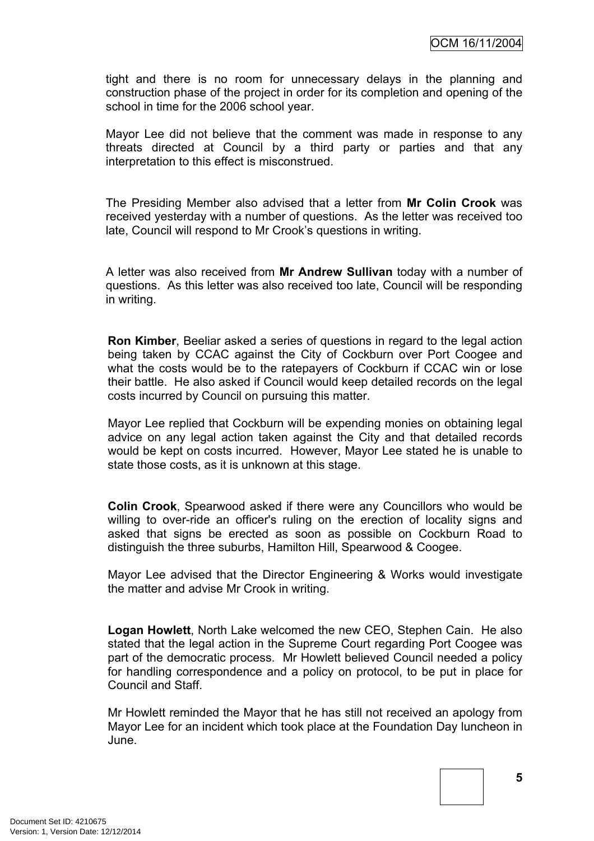tight and there is no room for unnecessary delays in the planning and construction phase of the project in order for its completion and opening of the school in time for the 2006 school year.

Mayor Lee did not believe that the comment was made in response to any threats directed at Council by a third party or parties and that any interpretation to this effect is misconstrued.

The Presiding Member also advised that a letter from **Mr Colin Crook** was received yesterday with a number of questions. As the letter was received too late, Council will respond to Mr Crook's questions in writing.

A letter was also received from **Mr Andrew Sullivan** today with a number of questions. As this letter was also received too late, Council will be responding in writing.

**Ron Kimber**, Beeliar asked a series of questions in regard to the legal action being taken by CCAC against the City of Cockburn over Port Coogee and what the costs would be to the ratepayers of Cockburn if CCAC win or lose their battle. He also asked if Council would keep detailed records on the legal costs incurred by Council on pursuing this matter.

Mayor Lee replied that Cockburn will be expending monies on obtaining legal advice on any legal action taken against the City and that detailed records would be kept on costs incurred. However, Mayor Lee stated he is unable to state those costs, as it is unknown at this stage.

**Colin Crook**, Spearwood asked if there were any Councillors who would be willing to over-ride an officer's ruling on the erection of locality signs and asked that signs be erected as soon as possible on Cockburn Road to distinguish the three suburbs, Hamilton Hill, Spearwood & Coogee.

Mayor Lee advised that the Director Engineering & Works would investigate the matter and advise Mr Crook in writing.

**Logan Howlett**, North Lake welcomed the new CEO, Stephen Cain. He also stated that the legal action in the Supreme Court regarding Port Coogee was part of the democratic process. Mr Howlett believed Council needed a policy for handling correspondence and a policy on protocol, to be put in place for Council and Staff.

Mr Howlett reminded the Mayor that he has still not received an apology from Mayor Lee for an incident which took place at the Foundation Day luncheon in June.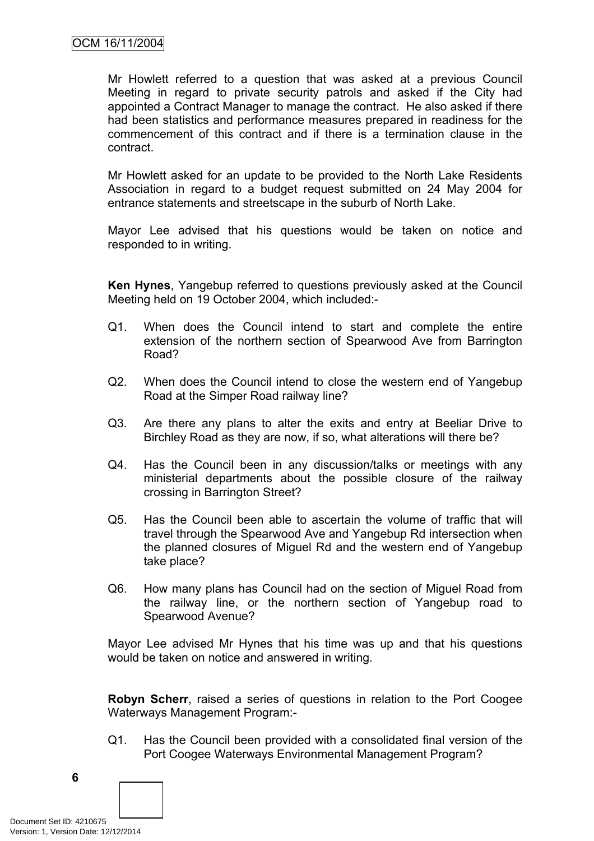## OCM 16/11/2004

Mr Howlett referred to a question that was asked at a previous Council Meeting in regard to private security patrols and asked if the City had appointed a Contract Manager to manage the contract. He also asked if there had been statistics and performance measures prepared in readiness for the commencement of this contract and if there is a termination clause in the contract.

Mr Howlett asked for an update to be provided to the North Lake Residents Association in regard to a budget request submitted on 24 May 2004 for entrance statements and streetscape in the suburb of North Lake.

Mayor Lee advised that his questions would be taken on notice and responded to in writing.

**Ken Hynes**, Yangebup referred to questions previously asked at the Council Meeting held on 19 October 2004, which included:-

- Q1. When does the Council intend to start and complete the entire extension of the northern section of Spearwood Ave from Barrington Road?
- Q2. When does the Council intend to close the western end of Yangebup Road at the Simper Road railway line?
- Q3. Are there any plans to alter the exits and entry at Beeliar Drive to Birchley Road as they are now, if so, what alterations will there be?
- Q4. Has the Council been in any discussion/talks or meetings with any ministerial departments about the possible closure of the railway crossing in Barrington Street?
- Q5. Has the Council been able to ascertain the volume of traffic that will travel through the Spearwood Ave and Yangebup Rd intersection when the planned closures of Miguel Rd and the western end of Yangebup take place?
- Q6. How many plans has Council had on the section of Miguel Road from the railway line, or the northern section of Yangebup road to Spearwood Avenue?

Mayor Lee advised Mr Hynes that his time was up and that his questions would be taken on notice and answered in writing.

**Robyn Scherr**, raised a series of questions in relation to the Port Coogee Waterways Management Program:-

Q1. Has the Council been provided with a consolidated final version of the Port Coogee Waterways Environmental Management Program?

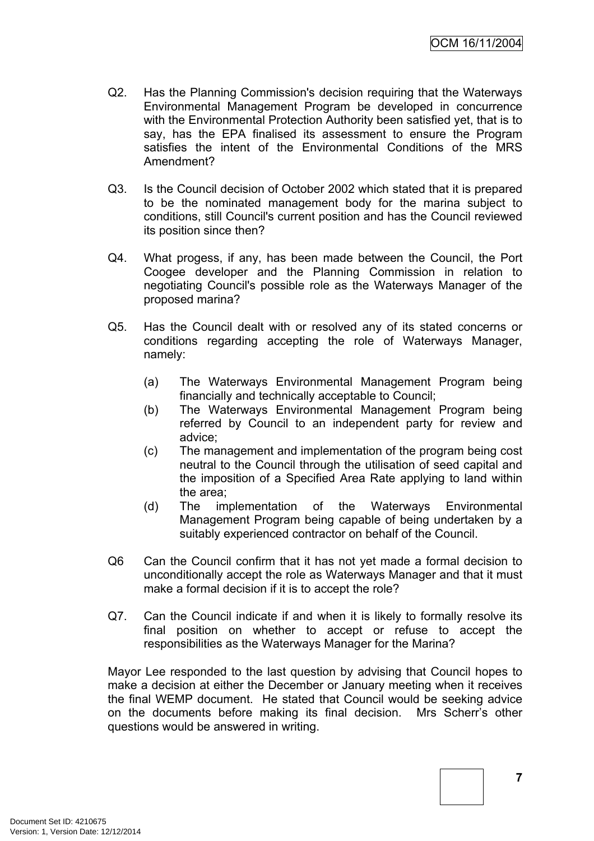- Q2. Has the Planning Commission's decision requiring that the Waterways Environmental Management Program be developed in concurrence with the Environmental Protection Authority been satisfied yet, that is to say, has the EPA finalised its assessment to ensure the Program satisfies the intent of the Environmental Conditions of the MRS Amendment?
- Q3. Is the Council decision of October 2002 which stated that it is prepared to be the nominated management body for the marina subject to conditions, still Council's current position and has the Council reviewed its position since then?
- Q4. What progess, if any, has been made between the Council, the Port Coogee developer and the Planning Commission in relation to negotiating Council's possible role as the Waterways Manager of the proposed marina?
- Q5. Has the Council dealt with or resolved any of its stated concerns or conditions regarding accepting the role of Waterways Manager, namely:
	- (a) The Waterways Environmental Management Program being financially and technically acceptable to Council;
	- (b) The Waterways Environmental Management Program being referred by Council to an independent party for review and advice;
	- (c) The management and implementation of the program being cost neutral to the Council through the utilisation of seed capital and the imposition of a Specified Area Rate applying to land within the area;
	- (d) The implementation of the Waterways Environmental Management Program being capable of being undertaken by a suitably experienced contractor on behalf of the Council.
- Q6 Can the Council confirm that it has not yet made a formal decision to unconditionally accept the role as Waterways Manager and that it must make a formal decision if it is to accept the role?
- Q7. Can the Council indicate if and when it is likely to formally resolve its final position on whether to accept or refuse to accept the responsibilities as the Waterways Manager for the Marina?

Mayor Lee responded to the last question by advising that Council hopes to make a decision at either the December or January meeting when it receives the final WEMP document. He stated that Council would be seeking advice on the documents before making its final decision. Mrs Scherr's other questions would be answered in writing.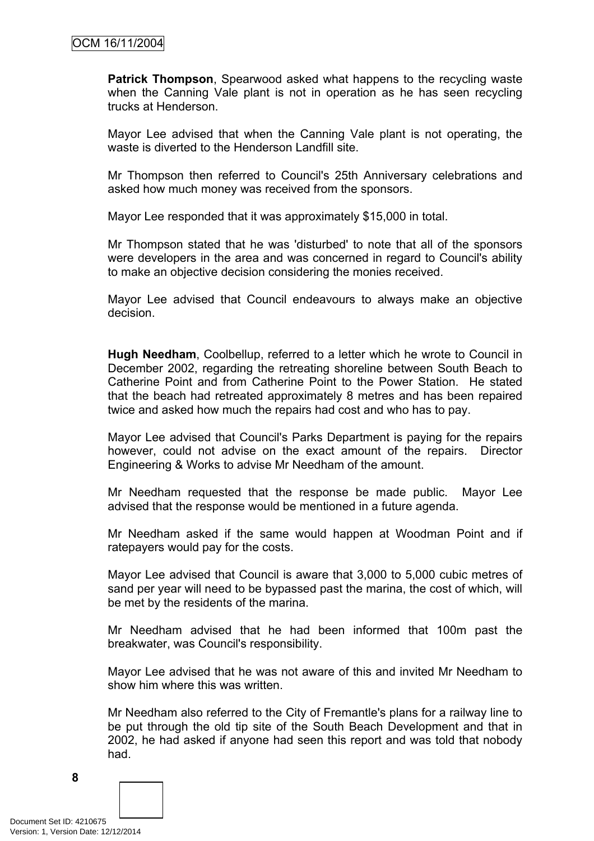**Patrick Thompson**, Spearwood asked what happens to the recycling waste when the Canning Vale plant is not in operation as he has seen recycling trucks at Henderson.

Mayor Lee advised that when the Canning Vale plant is not operating, the waste is diverted to the Henderson Landfill site.

Mr Thompson then referred to Council's 25th Anniversary celebrations and asked how much money was received from the sponsors.

Mayor Lee responded that it was approximately \$15,000 in total.

Mr Thompson stated that he was 'disturbed' to note that all of the sponsors were developers in the area and was concerned in regard to Council's ability to make an objective decision considering the monies received.

Mayor Lee advised that Council endeavours to always make an objective decision.

**Hugh Needham**, Coolbellup, referred to a letter which he wrote to Council in December 2002, regarding the retreating shoreline between South Beach to Catherine Point and from Catherine Point to the Power Station. He stated that the beach had retreated approximately 8 metres and has been repaired twice and asked how much the repairs had cost and who has to pay.

Mayor Lee advised that Council's Parks Department is paying for the repairs however, could not advise on the exact amount of the repairs. Director Engineering & Works to advise Mr Needham of the amount.

Mr Needham requested that the response be made public. Mayor Lee advised that the response would be mentioned in a future agenda.

Mr Needham asked if the same would happen at Woodman Point and if ratepayers would pay for the costs.

Mayor Lee advised that Council is aware that 3,000 to 5,000 cubic metres of sand per year will need to be bypassed past the marina, the cost of which, will be met by the residents of the marina.

Mr Needham advised that he had been informed that 100m past the breakwater, was Council's responsibility.

Mayor Lee advised that he was not aware of this and invited Mr Needham to show him where this was written.

Mr Needham also referred to the City of Fremantle's plans for a railway line to be put through the old tip site of the South Beach Development and that in 2002, he had asked if anyone had seen this report and was told that nobody had.

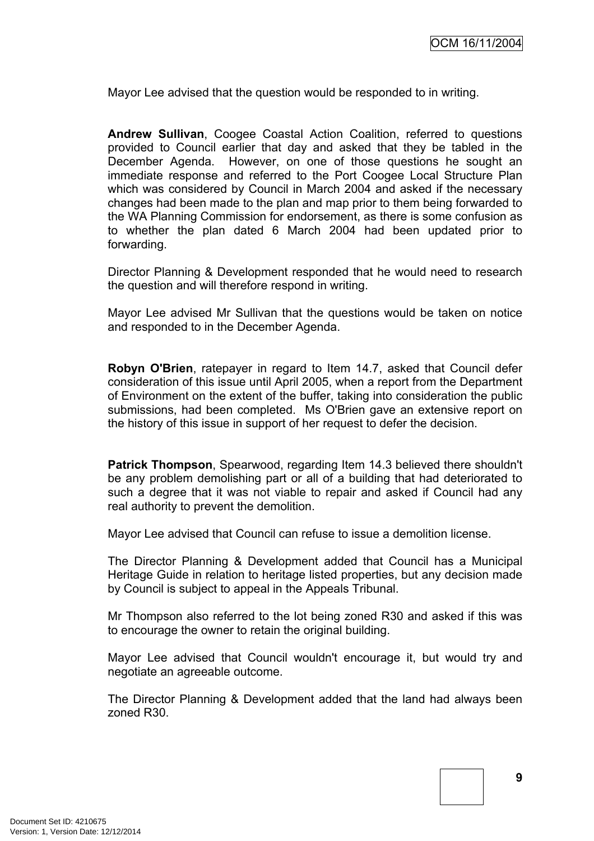Mayor Lee advised that the question would be responded to in writing.

**Andrew Sullivan**, Coogee Coastal Action Coalition, referred to questions provided to Council earlier that day and asked that they be tabled in the December Agenda. However, on one of those questions he sought an immediate response and referred to the Port Coogee Local Structure Plan which was considered by Council in March 2004 and asked if the necessary changes had been made to the plan and map prior to them being forwarded to the WA Planning Commission for endorsement, as there is some confusion as to whether the plan dated 6 March 2004 had been updated prior to forwarding.

Director Planning & Development responded that he would need to research the question and will therefore respond in writing.

Mayor Lee advised Mr Sullivan that the questions would be taken on notice and responded to in the December Agenda.

**Robyn O'Brien**, ratepayer in regard to Item 14.7, asked that Council defer consideration of this issue until April 2005, when a report from the Department of Environment on the extent of the buffer, taking into consideration the public submissions, had been completed. Ms O'Brien gave an extensive report on the history of this issue in support of her request to defer the decision.

**Patrick Thompson**, Spearwood, regarding Item 14.3 believed there shouldn't be any problem demolishing part or all of a building that had deteriorated to such a degree that it was not viable to repair and asked if Council had any real authority to prevent the demolition.

Mayor Lee advised that Council can refuse to issue a demolition license.

The Director Planning & Development added that Council has a Municipal Heritage Guide in relation to heritage listed properties, but any decision made by Council is subject to appeal in the Appeals Tribunal.

Mr Thompson also referred to the lot being zoned R30 and asked if this was to encourage the owner to retain the original building.

Mayor Lee advised that Council wouldn't encourage it, but would try and negotiate an agreeable outcome.

The Director Planning & Development added that the land had always been zoned R30.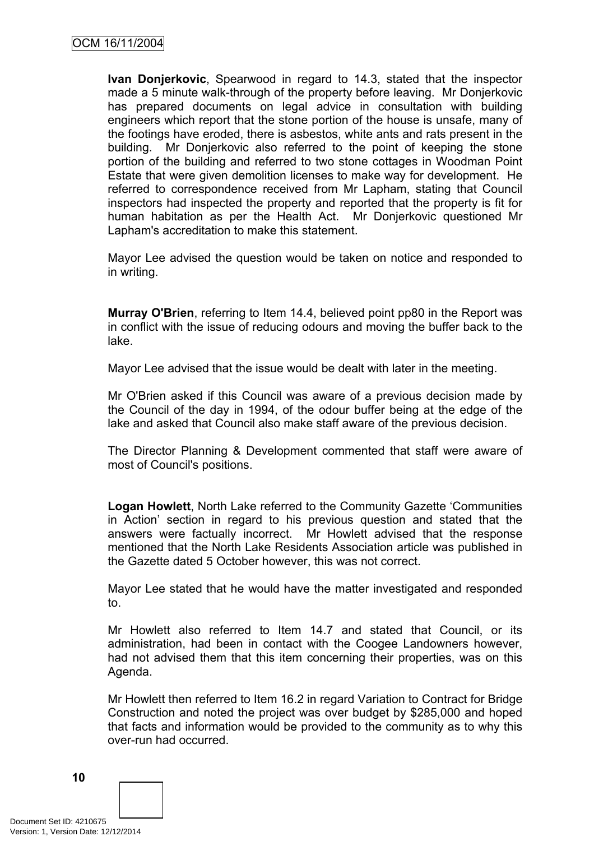**Ivan Donjerkovic**, Spearwood in regard to 14.3, stated that the inspector made a 5 minute walk-through of the property before leaving. Mr Donjerkovic has prepared documents on legal advice in consultation with building engineers which report that the stone portion of the house is unsafe, many of the footings have eroded, there is asbestos, white ants and rats present in the building. Mr Donjerkovic also referred to the point of keeping the stone portion of the building and referred to two stone cottages in Woodman Point Estate that were given demolition licenses to make way for development. He referred to correspondence received from Mr Lapham, stating that Council inspectors had inspected the property and reported that the property is fit for human habitation as per the Health Act. Mr Donjerkovic questioned Mr Lapham's accreditation to make this statement.

Mayor Lee advised the question would be taken on notice and responded to in writing.

**Murray O'Brien**, referring to Item 14.4, believed point pp80 in the Report was in conflict with the issue of reducing odours and moving the buffer back to the lake.

Mayor Lee advised that the issue would be dealt with later in the meeting.

Mr O'Brien asked if this Council was aware of a previous decision made by the Council of the day in 1994, of the odour buffer being at the edge of the lake and asked that Council also make staff aware of the previous decision.

The Director Planning & Development commented that staff were aware of most of Council's positions.

**Logan Howlett**, North Lake referred to the Community Gazette 'Communities in Action' section in regard to his previous question and stated that the answers were factually incorrect. Mr Howlett advised that the response mentioned that the North Lake Residents Association article was published in the Gazette dated 5 October however, this was not correct.

Mayor Lee stated that he would have the matter investigated and responded to.

Mr Howlett also referred to Item 14.7 and stated that Council, or its administration, had been in contact with the Coogee Landowners however, had not advised them that this item concerning their properties, was on this Agenda.

Mr Howlett then referred to Item 16.2 in regard Variation to Contract for Bridge Construction and noted the project was over budget by \$285,000 and hoped that facts and information would be provided to the community as to why this over-run had occurred.

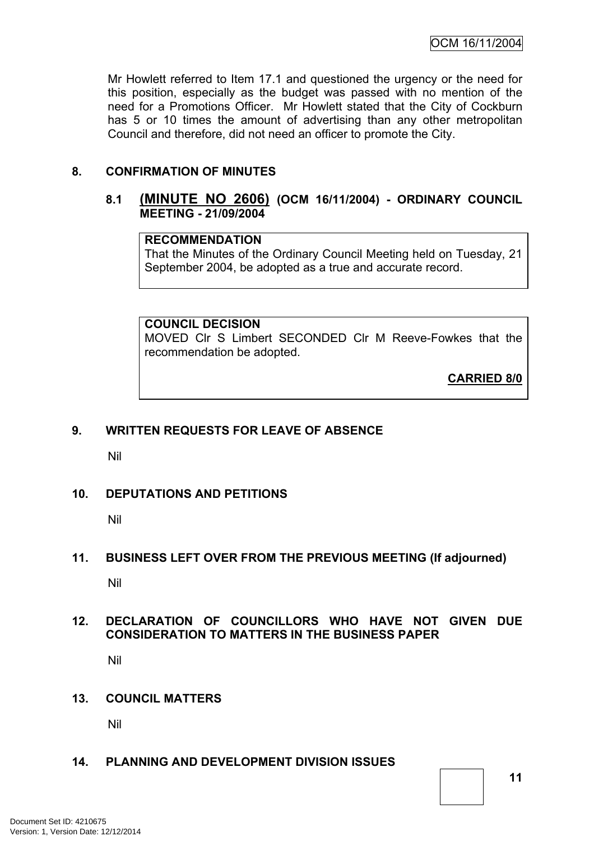<span id="page-14-0"></span>Mr Howlett referred to Item 17.1 and questioned the urgency or the need for this position, especially as the budget was passed with no mention of the need for a Promotions Officer. Mr Howlett stated that the City of Cockburn has 5 or 10 times the amount of advertising than any other metropolitan Council and therefore, did not need an officer to promote the City.

## **8. CONFIRMATION OF MINUTES**

## **8.1 (MINUTE NO 2606) (OCM 16/11/2004) - ORDINARY COUNCIL MEETING - 21/09/2004**

## **RECOMMENDATION**

That the Minutes of the Ordinary Council Meeting held on Tuesday, 21 September 2004, be adopted as a true and accurate record.

#### **COUNCIL DECISION**

MOVED Clr S Limbert SECONDED Clr M Reeve-Fowkes that the recommendation be adopted.

**CARRIED 8/0**

## **9. WRITTEN REQUESTS FOR LEAVE OF ABSENCE**

Nil

## **10. DEPUTATIONS AND PETITIONS**

Nil

## **11. BUSINESS LEFT OVER FROM THE PREVIOUS MEETING (If adjourned)**

Nil

## **12. DECLARATION OF COUNCILLORS WHO HAVE NOT GIVEN DUE CONSIDERATION TO MATTERS IN THE BUSINESS PAPER**

Nil

## **13. COUNCIL MATTERS**

Nil

## **14. PLANNING AND DEVELOPMENT DIVISION ISSUES**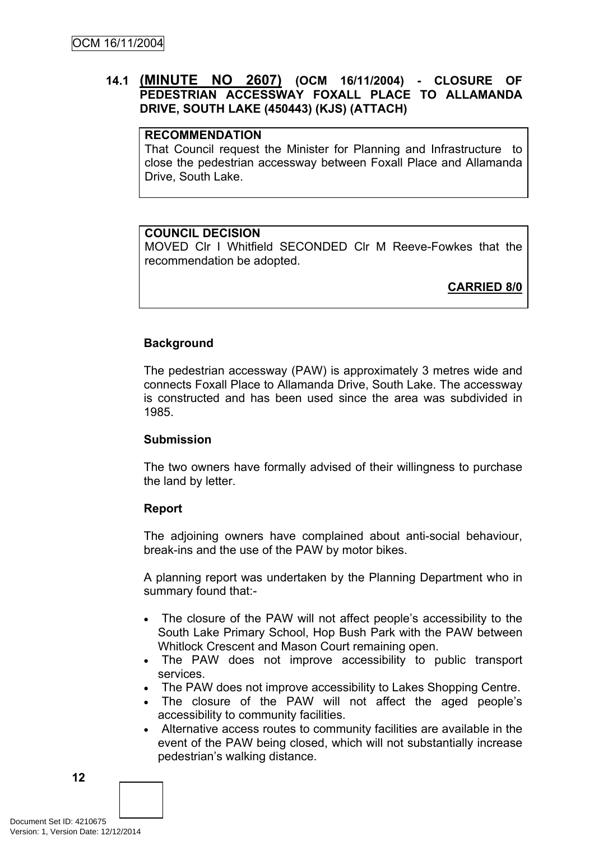## <span id="page-15-0"></span>**14.1 (MINUTE NO 2607) (OCM 16/11/2004) - CLOSURE OF PEDESTRIAN ACCESSWAY FOXALL PLACE TO ALLAMANDA DRIVE, SOUTH LAKE (450443) (KJS) (ATTACH)**

## **RECOMMENDATION**

That Council request the Minister for Planning and Infrastructure to close the pedestrian accessway between Foxall Place and Allamanda Drive, South Lake.

## **COUNCIL DECISION**

MOVED Clr I Whitfield SECONDED Clr M Reeve-Fowkes that the recommendation be adopted.

**CARRIED 8/0**

## **Background**

The pedestrian accessway (PAW) is approximately 3 metres wide and connects Foxall Place to Allamanda Drive, South Lake. The accessway is constructed and has been used since the area was subdivided in 1985.

## **Submission**

The two owners have formally advised of their willingness to purchase the land by letter.

## **Report**

The adjoining owners have complained about anti-social behaviour, break-ins and the use of the PAW by motor bikes.

A planning report was undertaken by the Planning Department who in summary found that:-

- The closure of the PAW will not affect people's accessibility to the South Lake Primary School, Hop Bush Park with the PAW between Whitlock Crescent and Mason Court remaining open.
- The PAW does not improve accessibility to public transport services.
- The PAW does not improve accessibility to Lakes Shopping Centre.
- The closure of the PAW will not affect the aged people's accessibility to community facilities.
- Alternative access routes to community facilities are available in the event of the PAW being closed, which will not substantially increase pedestrian's walking distance.

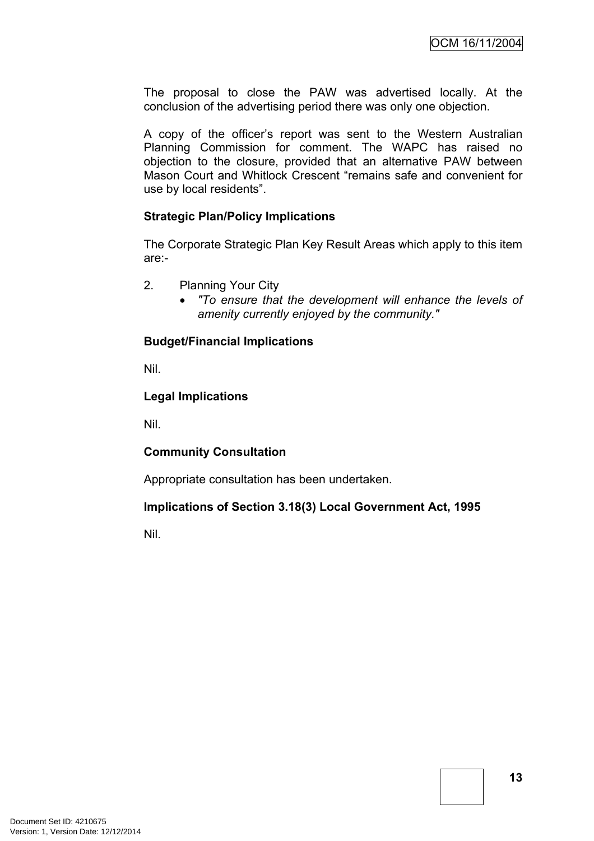The proposal to close the PAW was advertised locally. At the conclusion of the advertising period there was only one objection.

A copy of the officer's report was sent to the Western Australian Planning Commission for comment. The WAPC has raised no objection to the closure, provided that an alternative PAW between Mason Court and Whitlock Crescent "remains safe and convenient for use by local residents".

## **Strategic Plan/Policy Implications**

The Corporate Strategic Plan Key Result Areas which apply to this item are:-

- 2. Planning Your City
	- *"To ensure that the development will enhance the levels of amenity currently enjoyed by the community."*

## **Budget/Financial Implications**

Nil.

## **Legal Implications**

Nil.

## **Community Consultation**

Appropriate consultation has been undertaken.

## **Implications of Section 3.18(3) Local Government Act, 1995**

Nil.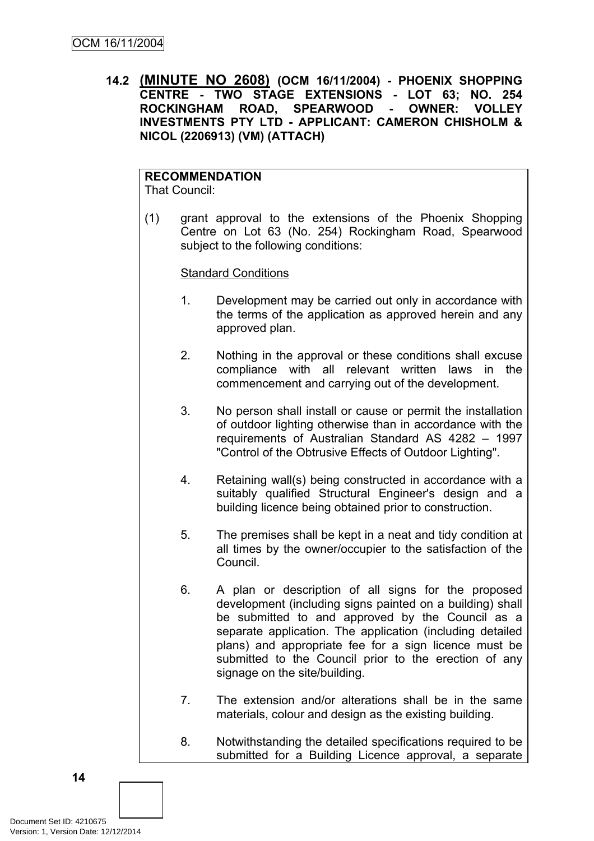<span id="page-17-0"></span>**14.2 (MINUTE NO 2608) (OCM 16/11/2004) - PHOENIX SHOPPING CENTRE - TWO STAGE EXTENSIONS - LOT 63; NO. 254 ROCKINGHAM ROAD, SPEARWOOD - OWNER: VOLLEY INVESTMENTS PTY LTD - APPLICANT: CAMERON CHISHOLM & NICOL (2206913) (VM) (ATTACH)** 

# **RECOMMENDATION**

That Council:

(1) grant approval to the extensions of the Phoenix Shopping Centre on Lot 63 (No. 254) Rockingham Road, Spearwood subject to the following conditions:

Standard Conditions

- 1. Development may be carried out only in accordance with the terms of the application as approved herein and any approved plan.
- 2. Nothing in the approval or these conditions shall excuse compliance with all relevant written laws in the commencement and carrying out of the development.
- 3. No person shall install or cause or permit the installation of outdoor lighting otherwise than in accordance with the requirements of Australian Standard AS 4282 – 1997 "Control of the Obtrusive Effects of Outdoor Lighting".
- 4. Retaining wall(s) being constructed in accordance with a suitably qualified Structural Engineer's design and a building licence being obtained prior to construction.
- 5. The premises shall be kept in a neat and tidy condition at all times by the owner/occupier to the satisfaction of the Council.
- 6. A plan or description of all signs for the proposed development (including signs painted on a building) shall be submitted to and approved by the Council as a separate application. The application (including detailed plans) and appropriate fee for a sign licence must be submitted to the Council prior to the erection of any signage on the site/building.
- 7. The extension and/or alterations shall be in the same materials, colour and design as the existing building.
- 8. Notwithstanding the detailed specifications required to be submitted for a Building Licence approval, a separate

Document Set ID: 4210675<br>Version: 1, Version Date: 12/12/2014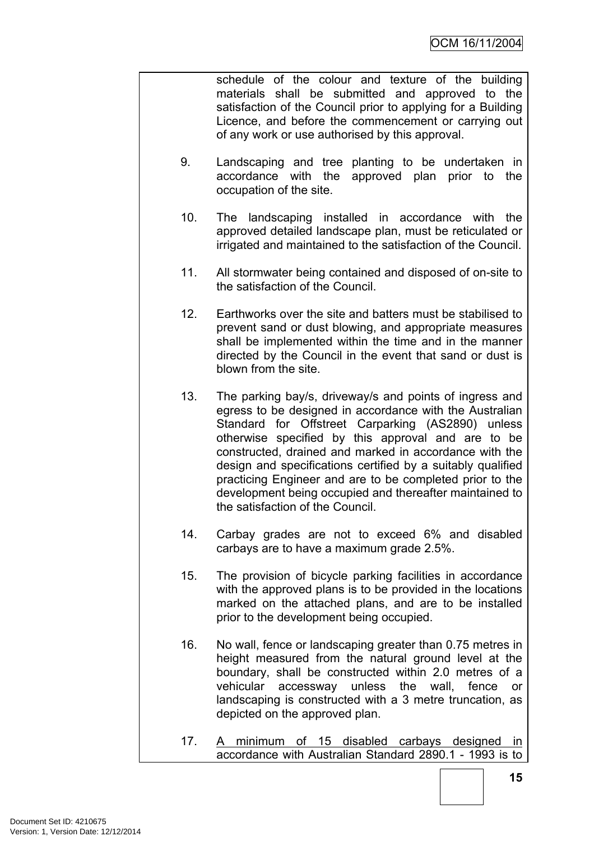schedule of the colour and texture of the building materials shall be submitted and approved to the satisfaction of the Council prior to applying for a Building Licence, and before the commencement or carrying out of any work or use authorised by this approval.

- 9. Landscaping and tree planting to be undertaken in accordance with the approved plan prior to the occupation of the site.
- 10. The landscaping installed in accordance with the approved detailed landscape plan, must be reticulated or irrigated and maintained to the satisfaction of the Council.
- 11. All stormwater being contained and disposed of on-site to the satisfaction of the Council.
- 12. Earthworks over the site and batters must be stabilised to prevent sand or dust blowing, and appropriate measures shall be implemented within the time and in the manner directed by the Council in the event that sand or dust is blown from the site.
- 13. The parking bay/s, driveway/s and points of ingress and egress to be designed in accordance with the Australian Standard for Offstreet Carparking (AS2890) unless otherwise specified by this approval and are to be constructed, drained and marked in accordance with the design and specifications certified by a suitably qualified practicing Engineer and are to be completed prior to the development being occupied and thereafter maintained to the satisfaction of the Council.
- 14. Carbay grades are not to exceed 6% and disabled carbays are to have a maximum grade 2.5%.
- 15. The provision of bicycle parking facilities in accordance with the approved plans is to be provided in the locations marked on the attached plans, and are to be installed prior to the development being occupied.
- 16. No wall, fence or landscaping greater than 0.75 metres in height measured from the natural ground level at the boundary, shall be constructed within 2.0 metres of a vehicular accessway unless the wall, fence or landscaping is constructed with a 3 metre truncation, as depicted on the approved plan.
- 17. A minimum of 15 disabled carbays designed in accordance with Australian Standard 2890.1 - 1993 is to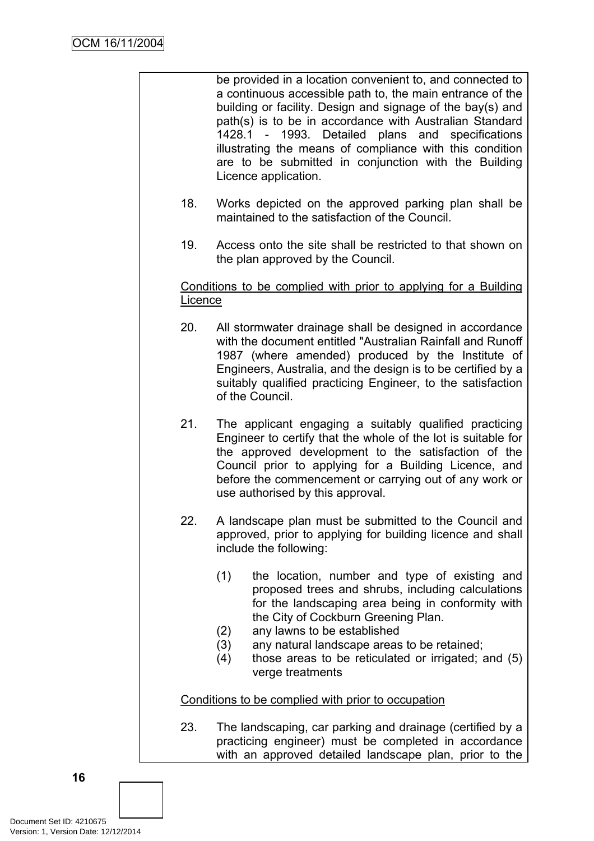be provided in a location convenient to, and connected to a continuous accessible path to, the main entrance of the building or facility. Design and signage of the bay(s) and path(s) is to be in accordance with Australian Standard 1428.1 - 1993. Detailed plans and specifications illustrating the means of compliance with this condition are to be submitted in conjunction with the Building Licence application.

- 18. Works depicted on the approved parking plan shall be maintained to the satisfaction of the Council.
- 19. Access onto the site shall be restricted to that shown on the plan approved by the Council.

## Conditions to be complied with prior to applying for a Building Licence

- 20. All stormwater drainage shall be designed in accordance with the document entitled "Australian Rainfall and Runoff 1987 (where amended) produced by the Institute of Engineers, Australia, and the design is to be certified by a suitably qualified practicing Engineer, to the satisfaction of the Council.
- 21. The applicant engaging a suitably qualified practicing Engineer to certify that the whole of the lot is suitable for the approved development to the satisfaction of the Council prior to applying for a Building Licence, and before the commencement or carrying out of any work or use authorised by this approval.
- 22. A landscape plan must be submitted to the Council and approved, prior to applying for building licence and shall include the following:
	- (1) the location, number and type of existing and proposed trees and shrubs, including calculations for the landscaping area being in conformity with the City of Cockburn Greening Plan.
	- (2) any lawns to be established
	- (3) any natural landscape areas to be retained;
	- (4) those areas to be reticulated or irrigated; and (5) verge treatments

Conditions to be complied with prior to occupation

23. The landscaping, car parking and drainage (certified by a practicing engineer) must be completed in accordance with an approved detailed landscape plan, prior to the

Document Set ID: 4210675<br>Version: 1, Version Date: 12/12/2014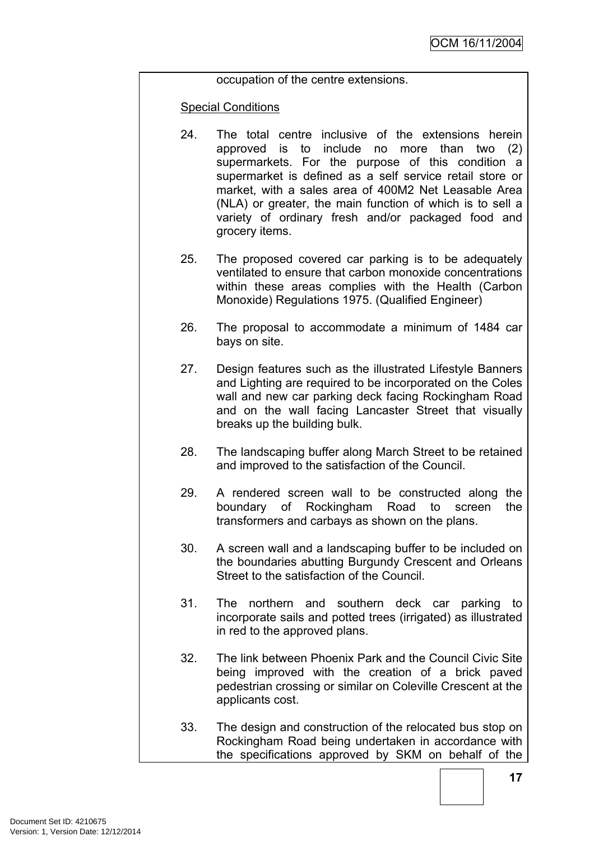occupation of the centre extensions.

Special Conditions

- 24. The total centre inclusive of the extensions herein approved is to include no more than two (2) supermarkets. For the purpose of this condition a supermarket is defined as a self service retail store or market, with a sales area of 400M2 Net Leasable Area (NLA) or greater, the main function of which is to sell a variety of ordinary fresh and/or packaged food and grocery items.
- 25. The proposed covered car parking is to be adequately ventilated to ensure that carbon monoxide concentrations within these areas complies with the Health (Carbon Monoxide) Regulations 1975. (Qualified Engineer)
- 26. The proposal to accommodate a minimum of 1484 car bays on site.
- 27. Design features such as the illustrated Lifestyle Banners and Lighting are required to be incorporated on the Coles wall and new car parking deck facing Rockingham Road and on the wall facing Lancaster Street that visually breaks up the building bulk.
- 28. The landscaping buffer along March Street to be retained and improved to the satisfaction of the Council.
- 29. A rendered screen wall to be constructed along the boundary of Rockingham Road to screen the transformers and carbays as shown on the plans.
- 30. A screen wall and a landscaping buffer to be included on the boundaries abutting Burgundy Crescent and Orleans Street to the satisfaction of the Council.
- 31. The northern and southern deck car parking to incorporate sails and potted trees (irrigated) as illustrated in red to the approved plans.
- 32. The link between Phoenix Park and the Council Civic Site being improved with the creation of a brick paved pedestrian crossing or similar on Coleville Crescent at the applicants cost.
- 33. The design and construction of the relocated bus stop on Rockingham Road being undertaken in accordance with the specifications approved by SKM on behalf of the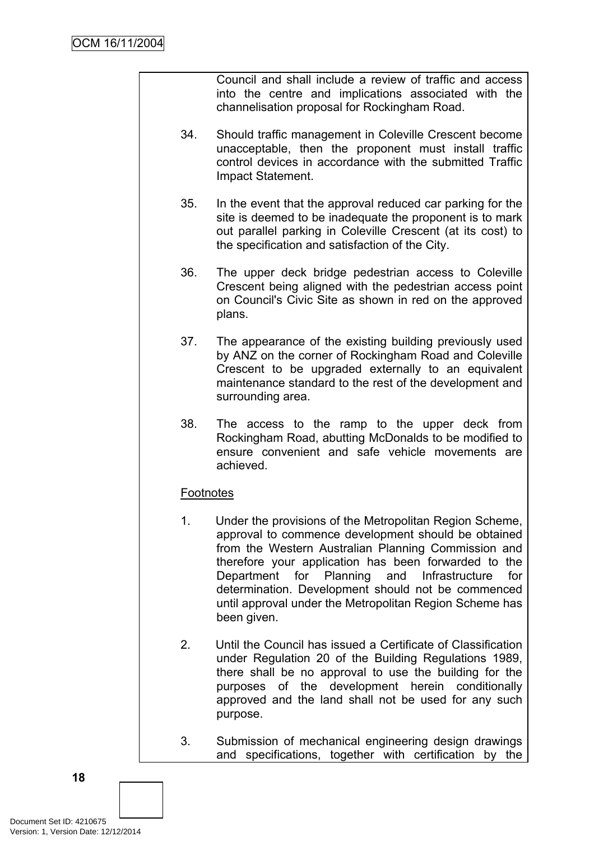Council and shall include a review of traffic and access into the centre and implications associated with the channelisation proposal for Rockingham Road.

- 34. Should traffic management in Coleville Crescent become unacceptable, then the proponent must install traffic control devices in accordance with the submitted Traffic Impact Statement.
- 35. In the event that the approval reduced car parking for the site is deemed to be inadequate the proponent is to mark out parallel parking in Coleville Crescent (at its cost) to the specification and satisfaction of the City.
- 36. The upper deck bridge pedestrian access to Coleville Crescent being aligned with the pedestrian access point on Council's Civic Site as shown in red on the approved plans.
- 37. The appearance of the existing building previously used by ANZ on the corner of Rockingham Road and Coleville Crescent to be upgraded externally to an equivalent maintenance standard to the rest of the development and surrounding area.
- 38. The access to the ramp to the upper deck from Rockingham Road, abutting McDonalds to be modified to ensure convenient and safe vehicle movements are achieved.

## **Footnotes**

- 1. Under the provisions of the Metropolitan Region Scheme, approval to commence development should be obtained from the Western Australian Planning Commission and therefore your application has been forwarded to the Department for Planning and Infrastructure for determination. Development should not be commenced until approval under the Metropolitan Region Scheme has been given.
- 2. Until the Council has issued a Certificate of Classification under Regulation 20 of the Building Regulations 1989, there shall be no approval to use the building for the purposes of the development herein conditionally approved and the land shall not be used for any such purpose.
- 3. Submission of mechanical engineering design drawings and specifications, together with certification by the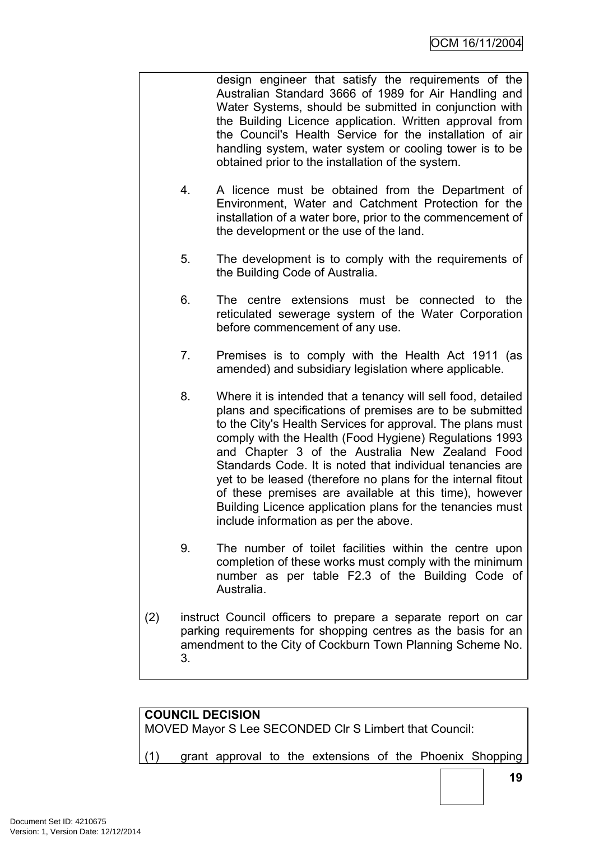design engineer that satisfy the requirements of the Australian Standard 3666 of 1989 for Air Handling and Water Systems, should be submitted in conjunction with the Building Licence application. Written approval from the Council's Health Service for the installation of air handling system, water system or cooling tower is to be obtained prior to the installation of the system.

- 4. A licence must be obtained from the Department of Environment, Water and Catchment Protection for the installation of a water bore, prior to the commencement of the development or the use of the land.
- 5. The development is to comply with the requirements of the Building Code of Australia.
- 6. The centre extensions must be connected to the reticulated sewerage system of the Water Corporation before commencement of any use.
- 7. Premises is to comply with the Health Act 1911 (as amended) and subsidiary legislation where applicable.
- 8. Where it is intended that a tenancy will sell food, detailed plans and specifications of premises are to be submitted to the City's Health Services for approval. The plans must comply with the Health (Food Hygiene) Regulations 1993 and Chapter 3 of the Australia New Zealand Food Standards Code. It is noted that individual tenancies are yet to be leased (therefore no plans for the internal fitout of these premises are available at this time), however Building Licence application plans for the tenancies must include information as per the above.
- 9. The number of toilet facilities within the centre upon completion of these works must comply with the minimum number as per table F2.3 of the Building Code of Australia.
- (2) instruct Council officers to prepare a separate report on car parking requirements for shopping centres as the basis for an amendment to the City of Cockburn Town Planning Scheme No. 3.

## **COUNCIL DECISION** MOVED Mayor S Lee SECONDED Clr S Limbert that Council:

(1) grant approval to the extensions of the Phoenix Shopping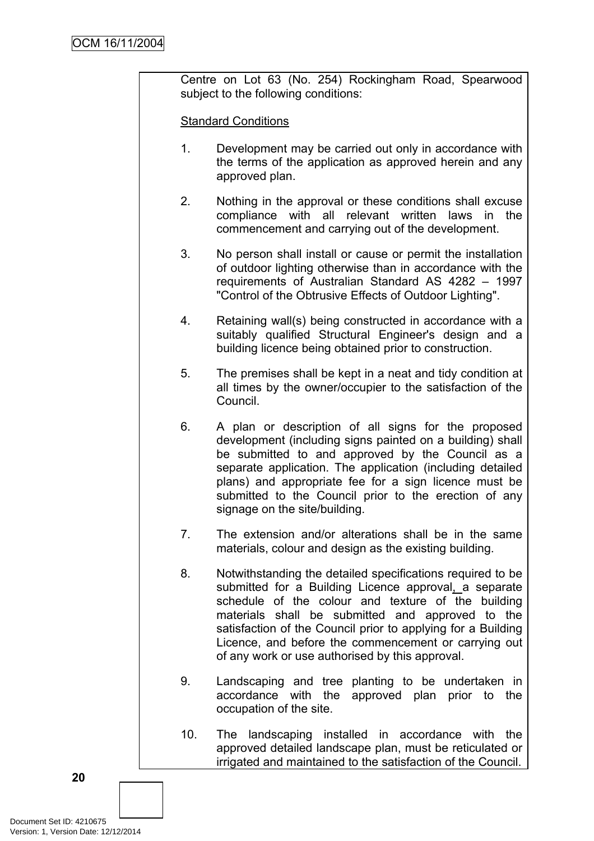Centre on Lot 63 (No. 254) Rockingham Road, Spearwood subject to the following conditions:

Standard Conditions

- 1. Development may be carried out only in accordance with the terms of the application as approved herein and any approved plan.
- 2. Nothing in the approval or these conditions shall excuse compliance with all relevant written laws in the commencement and carrying out of the development.
- 3. No person shall install or cause or permit the installation of outdoor lighting otherwise than in accordance with the requirements of Australian Standard AS 4282 – 1997 "Control of the Obtrusive Effects of Outdoor Lighting".
- 4. Retaining wall(s) being constructed in accordance with a suitably qualified Structural Engineer's design and a building licence being obtained prior to construction.
- 5. The premises shall be kept in a neat and tidy condition at all times by the owner/occupier to the satisfaction of the Council.
- 6. A plan or description of all signs for the proposed development (including signs painted on a building) shall be submitted to and approved by the Council as a separate application. The application (including detailed plans) and appropriate fee for a sign licence must be submitted to the Council prior to the erection of any signage on the site/building.
- 7. The extension and/or alterations shall be in the same materials, colour and design as the existing building.
- 8. Notwithstanding the detailed specifications required to be submitted for a Building Licence approval, a separate schedule of the colour and texture of the building materials shall be submitted and approved to the satisfaction of the Council prior to applying for a Building Licence, and before the commencement or carrying out of any work or use authorised by this approval.
- 9. Landscaping and tree planting to be undertaken in accordance with the approved plan prior to the occupation of the site.
- 10. The landscaping installed in accordance with the approved detailed landscape plan, must be reticulated or irrigated and maintained to the satisfaction of the Council.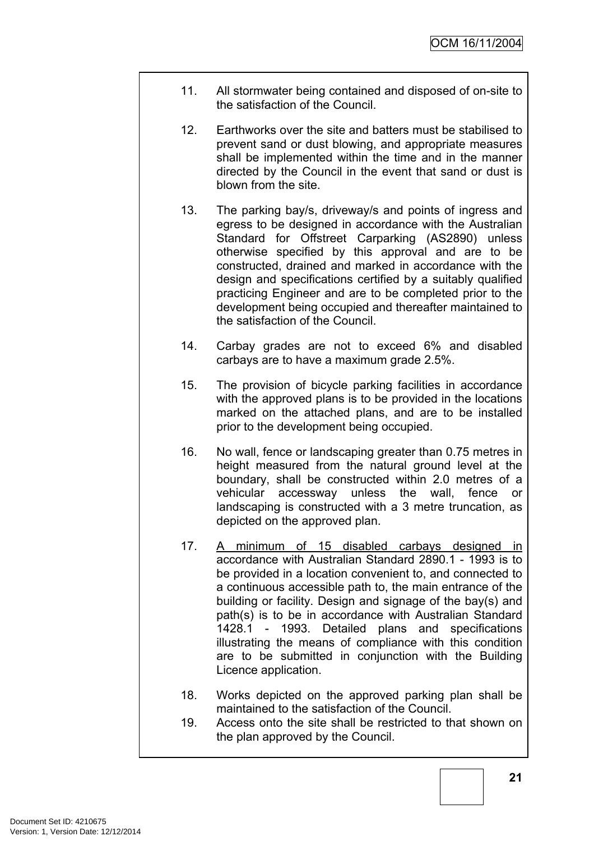- 11. All stormwater being contained and disposed of on-site to the satisfaction of the Council.
- 12. Earthworks over the site and batters must be stabilised to prevent sand or dust blowing, and appropriate measures shall be implemented within the time and in the manner directed by the Council in the event that sand or dust is blown from the site.
- 13. The parking bay/s, driveway/s and points of ingress and egress to be designed in accordance with the Australian Standard for Offstreet Carparking (AS2890) unless otherwise specified by this approval and are to be constructed, drained and marked in accordance with the design and specifications certified by a suitably qualified practicing Engineer and are to be completed prior to the development being occupied and thereafter maintained to the satisfaction of the Council.
- 14. Carbay grades are not to exceed 6% and disabled carbays are to have a maximum grade 2.5%.
- 15. The provision of bicycle parking facilities in accordance with the approved plans is to be provided in the locations marked on the attached plans, and are to be installed prior to the development being occupied.
- 16. No wall, fence or landscaping greater than 0.75 metres in height measured from the natural ground level at the boundary, shall be constructed within 2.0 metres of a vehicular accessway unless the wall, fence or landscaping is constructed with a 3 metre truncation, as depicted on the approved plan.
- 17. A minimum of 15 disabled carbays designed in accordance with Australian Standard 2890.1 - 1993 is to be provided in a location convenient to, and connected to a continuous accessible path to, the main entrance of the building or facility. Design and signage of the bay(s) and path(s) is to be in accordance with Australian Standard 1428.1 - 1993. Detailed plans and specifications illustrating the means of compliance with this condition are to be submitted in conjunction with the Building Licence application.
- 18. Works depicted on the approved parking plan shall be maintained to the satisfaction of the Council.
- 19. Access onto the site shall be restricted to that shown on the plan approved by the Council.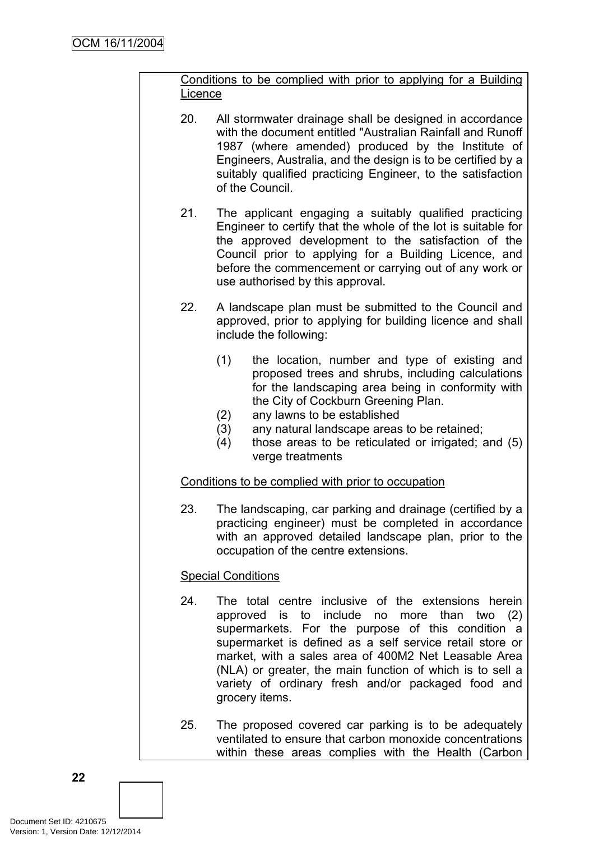Conditions to be complied with prior to applying for a Building Licence

- 20. All stormwater drainage shall be designed in accordance with the document entitled "Australian Rainfall and Runoff 1987 (where amended) produced by the Institute of Engineers, Australia, and the design is to be certified by a suitably qualified practicing Engineer, to the satisfaction of the Council.
- 21. The applicant engaging a suitably qualified practicing Engineer to certify that the whole of the lot is suitable for the approved development to the satisfaction of the Council prior to applying for a Building Licence, and before the commencement or carrying out of any work or use authorised by this approval.
- 22. A landscape plan must be submitted to the Council and approved, prior to applying for building licence and shall include the following:
	- (1) the location, number and type of existing and proposed trees and shrubs, including calculations for the landscaping area being in conformity with the City of Cockburn Greening Plan.
	- (2) any lawns to be established
	- (3) any natural landscape areas to be retained;
	- (4) those areas to be reticulated or irrigated; and (5) verge treatments

## Conditions to be complied with prior to occupation

23. The landscaping, car parking and drainage (certified by a practicing engineer) must be completed in accordance with an approved detailed landscape plan, prior to the occupation of the centre extensions.

## Special Conditions

- 24. The total centre inclusive of the extensions herein approved is to include no more than two (2) supermarkets. For the purpose of this condition a supermarket is defined as a self service retail store or market, with a sales area of 400M2 Net Leasable Area (NLA) or greater, the main function of which is to sell a variety of ordinary fresh and/or packaged food and grocery items.
- 25. The proposed covered car parking is to be adequately ventilated to ensure that carbon monoxide concentrations within these areas complies with the Health (Carbon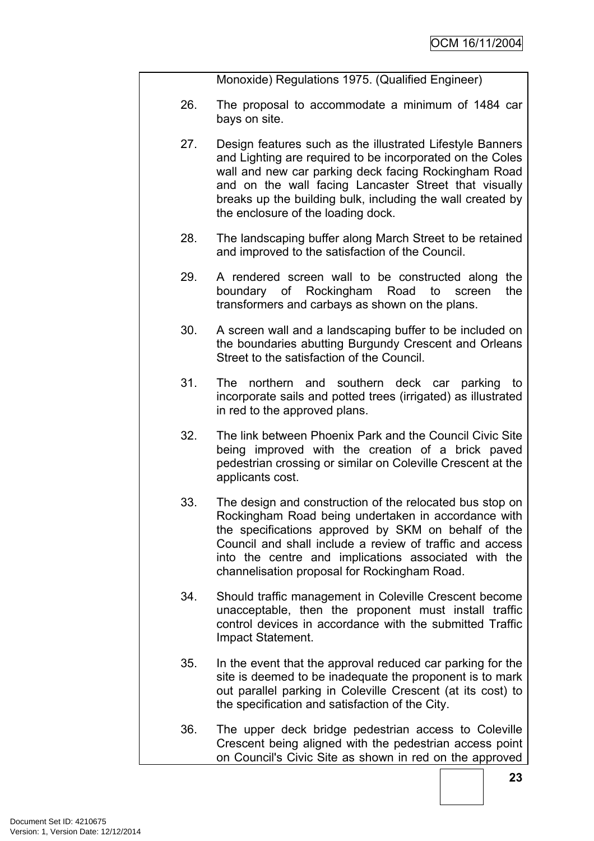Monoxide) Regulations 1975. (Qualified Engineer)

- 26. The proposal to accommodate a minimum of 1484 car bays on site.
- 27. Design features such as the illustrated Lifestyle Banners and Lighting are required to be incorporated on the Coles wall and new car parking deck facing Rockingham Road and on the wall facing Lancaster Street that visually breaks up the building bulk, including the wall created by the enclosure of the loading dock.
- 28. The landscaping buffer along March Street to be retained and improved to the satisfaction of the Council.
- 29. A rendered screen wall to be constructed along the boundary of Rockingham Road to screen the transformers and carbays as shown on the plans.
- 30. A screen wall and a landscaping buffer to be included on the boundaries abutting Burgundy Crescent and Orleans Street to the satisfaction of the Council.
- 31. The northern and southern deck car parking to incorporate sails and potted trees (irrigated) as illustrated in red to the approved plans.
- 32. The link between Phoenix Park and the Council Civic Site being improved with the creation of a brick paved pedestrian crossing or similar on Coleville Crescent at the applicants cost.
- 33. The design and construction of the relocated bus stop on Rockingham Road being undertaken in accordance with the specifications approved by SKM on behalf of the Council and shall include a review of traffic and access into the centre and implications associated with the channelisation proposal for Rockingham Road.
- 34. Should traffic management in Coleville Crescent become unacceptable, then the proponent must install traffic control devices in accordance with the submitted Traffic Impact Statement.
- 35. In the event that the approval reduced car parking for the site is deemed to be inadequate the proponent is to mark out parallel parking in Coleville Crescent (at its cost) to the specification and satisfaction of the City.
- 36. The upper deck bridge pedestrian access to Coleville Crescent being aligned with the pedestrian access point on Council's Civic Site as shown in red on the approved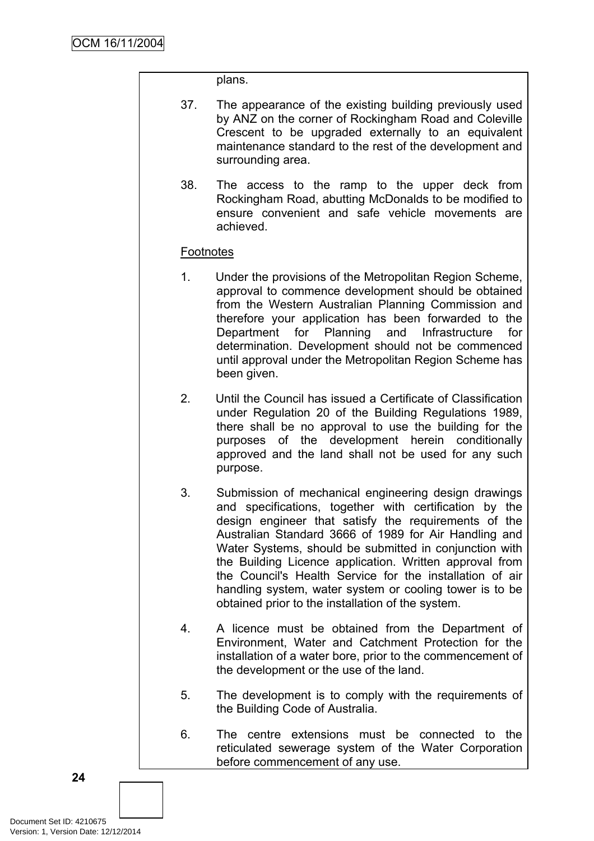plans.

- 37. The appearance of the existing building previously used by ANZ on the corner of Rockingham Road and Coleville Crescent to be upgraded externally to an equivalent maintenance standard to the rest of the development and surrounding area.
- 38. The access to the ramp to the upper deck from Rockingham Road, abutting McDonalds to be modified to ensure convenient and safe vehicle movements are achieved.

## **Footnotes**

- 1. Under the provisions of the Metropolitan Region Scheme, approval to commence development should be obtained from the Western Australian Planning Commission and therefore your application has been forwarded to the Department for Planning and Infrastructure for determination. Development should not be commenced until approval under the Metropolitan Region Scheme has been given.
- 2. Until the Council has issued a Certificate of Classification under Regulation 20 of the Building Regulations 1989, there shall be no approval to use the building for the purposes of the development herein conditionally approved and the land shall not be used for any such purpose.
- 3. Submission of mechanical engineering design drawings and specifications, together with certification by the design engineer that satisfy the requirements of the Australian Standard 3666 of 1989 for Air Handling and Water Systems, should be submitted in conjunction with the Building Licence application. Written approval from the Council's Health Service for the installation of air handling system, water system or cooling tower is to be obtained prior to the installation of the system.
- 4. A licence must be obtained from the Department of Environment, Water and Catchment Protection for the installation of a water bore, prior to the commencement of the development or the use of the land.
- 5. The development is to comply with the requirements of the Building Code of Australia.
- 6. The centre extensions must be connected to the reticulated sewerage system of the Water Corporation before commencement of any use.

Document Set ID: 4210675<br>Version: 1, Version Date: 12/12/2014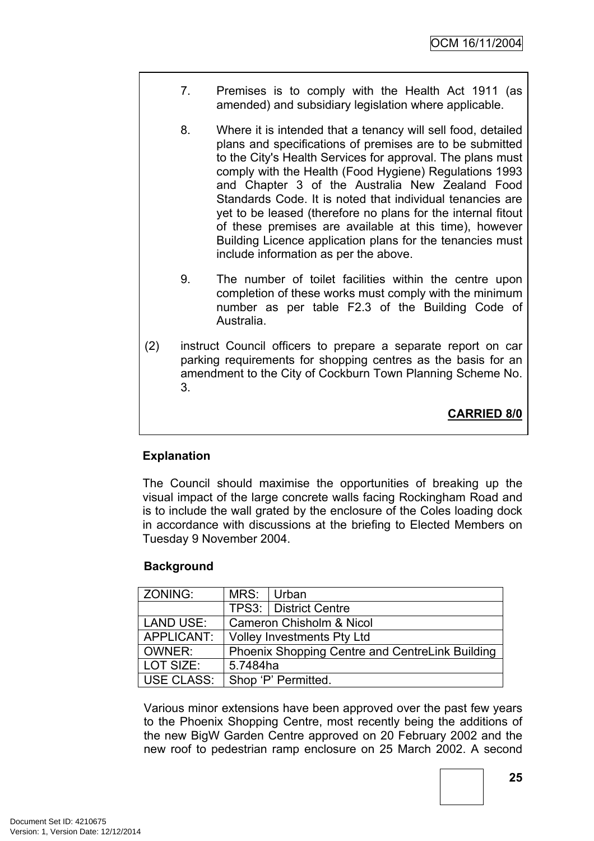- 7. Premises is to comply with the Health Act 1911 (as amended) and subsidiary legislation where applicable.
- 8. Where it is intended that a tenancy will sell food, detailed plans and specifications of premises are to be submitted to the City's Health Services for approval. The plans must comply with the Health (Food Hygiene) Regulations 1993 and Chapter 3 of the Australia New Zealand Food Standards Code. It is noted that individual tenancies are yet to be leased (therefore no plans for the internal fitout of these premises are available at this time), however Building Licence application plans for the tenancies must include information as per the above.
- 9. The number of toilet facilities within the centre upon completion of these works must comply with the minimum number as per table F2.3 of the Building Code of Australia.
- (2) instruct Council officers to prepare a separate report on car parking requirements for shopping centres as the basis for an amendment to the City of Cockburn Town Planning Scheme No. 3.

**CARRIED 8/0**

## **Explanation**

The Council should maximise the opportunities of breaking up the visual impact of the large concrete walls facing Rockingham Road and is to include the wall grated by the enclosure of the Coles loading dock in accordance with discussions at the briefing to Elected Members on Tuesday 9 November 2004.

## **Background**

| ZONING:    | MRS: Urban                                             |                         |  |  |
|------------|--------------------------------------------------------|-------------------------|--|--|
|            |                                                        | TPS3:   District Centre |  |  |
| LAND USE:  | <b>Cameron Chisholm &amp; Nicol</b>                    |                         |  |  |
| APPLICANT: | <b>Volley Investments Pty Ltd</b>                      |                         |  |  |
| OWNER:     | <b>Phoenix Shopping Centre and CentreLink Building</b> |                         |  |  |
| LOT SIZE:  | 5.7484ha                                               |                         |  |  |
| USE CLASS: |                                                        | Shop 'P' Permitted.     |  |  |

Various minor extensions have been approved over the past few years to the Phoenix Shopping Centre, most recently being the additions of the new BigW Garden Centre approved on 20 February 2002 and the new roof to pedestrian ramp enclosure on 25 March 2002. A second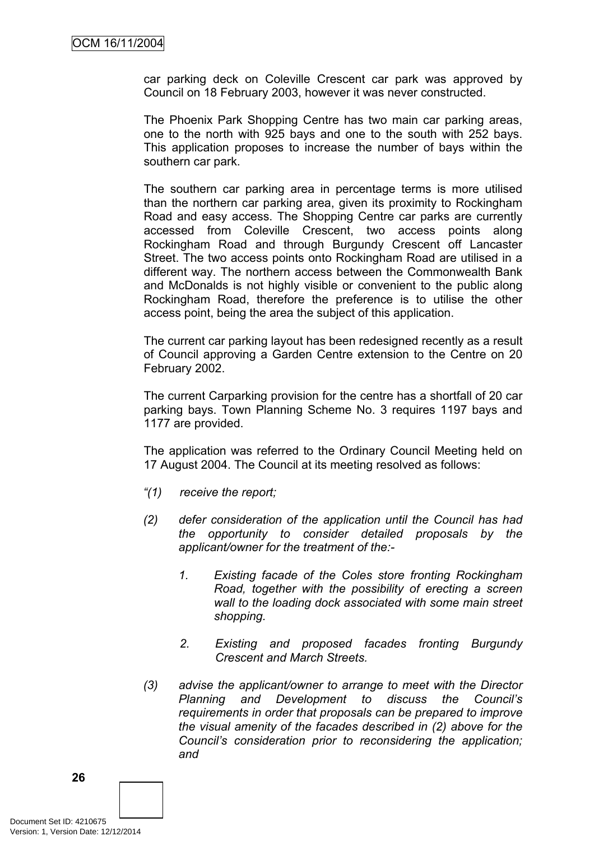car parking deck on Coleville Crescent car park was approved by Council on 18 February 2003, however it was never constructed.

The Phoenix Park Shopping Centre has two main car parking areas, one to the north with 925 bays and one to the south with 252 bays. This application proposes to increase the number of bays within the southern car park.

The southern car parking area in percentage terms is more utilised than the northern car parking area, given its proximity to Rockingham Road and easy access. The Shopping Centre car parks are currently accessed from Coleville Crescent, two access points along Rockingham Road and through Burgundy Crescent off Lancaster Street. The two access points onto Rockingham Road are utilised in a different way. The northern access between the Commonwealth Bank and McDonalds is not highly visible or convenient to the public along Rockingham Road, therefore the preference is to utilise the other access point, being the area the subject of this application.

The current car parking layout has been redesigned recently as a result of Council approving a Garden Centre extension to the Centre on 20 February 2002.

The current Carparking provision for the centre has a shortfall of 20 car parking bays. Town Planning Scheme No. 3 requires 1197 bays and 1177 are provided.

The application was referred to the Ordinary Council Meeting held on 17 August 2004. The Council at its meeting resolved as follows:

- *"(1) receive the report;*
- *(2) defer consideration of the application until the Council has had the opportunity to consider detailed proposals by the applicant/owner for the treatment of the:-* 
	- *1. Existing facade of the Coles store fronting Rockingham Road, together with the possibility of erecting a screen wall to the loading dock associated with some main street shopping.*
	- *2. Existing and proposed facades fronting Burgundy Crescent and March Streets.*
- *(3) advise the applicant/owner to arrange to meet with the Director Planning and Development to discuss the Council's requirements in order that proposals can be prepared to improve the visual amenity of the facades described in (2) above for the Council's consideration prior to reconsidering the application; and*

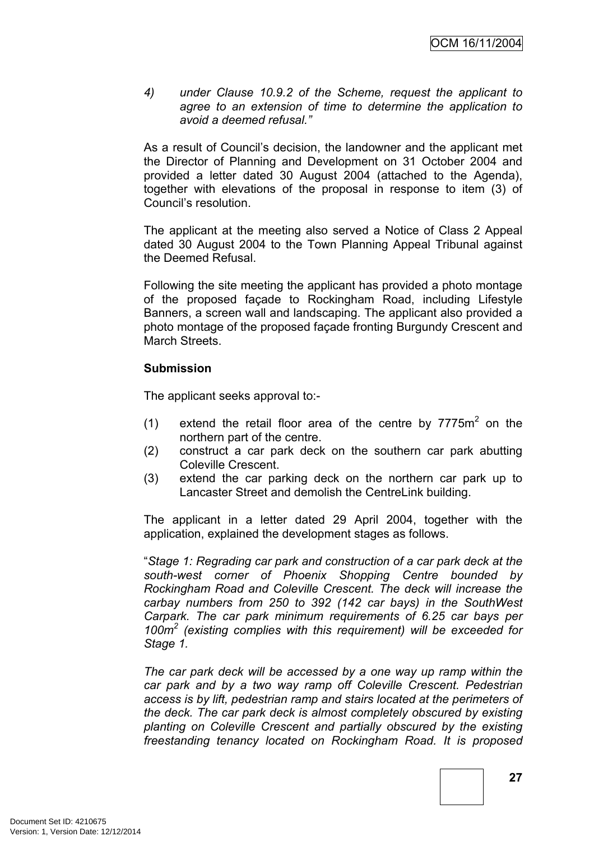*4) under Clause 10.9.2 of the Scheme, request the applicant to agree to an extension of time to determine the application to avoid a deemed refusal."* 

As a result of Council's decision, the landowner and the applicant met the Director of Planning and Development on 31 October 2004 and provided a letter dated 30 August 2004 (attached to the Agenda), together with elevations of the proposal in response to item (3) of Council's resolution.

The applicant at the meeting also served a Notice of Class 2 Appeal dated 30 August 2004 to the Town Planning Appeal Tribunal against the Deemed Refusal.

Following the site meeting the applicant has provided a photo montage of the proposed façade to Rockingham Road, including Lifestyle Banners, a screen wall and landscaping. The applicant also provided a photo montage of the proposed façade fronting Burgundy Crescent and March Streets.

## **Submission**

The applicant seeks approval to:-

- (1) extend the retail floor area of the centre by  $7775m^2$  on the northern part of the centre.
- (2) construct a car park deck on the southern car park abutting Coleville Crescent.
- (3) extend the car parking deck on the northern car park up to Lancaster Street and demolish the CentreLink building.

The applicant in a letter dated 29 April 2004, together with the application, explained the development stages as follows.

"*Stage 1: Regrading car park and construction of a car park deck at the south-west corner of Phoenix Shopping Centre bounded by Rockingham Road and Coleville Crescent. The deck will increase the carbay numbers from 250 to 392 (142 car bays) in the SouthWest Carpark. The car park minimum requirements of 6.25 car bays per 100m2 (existing complies with this requirement) will be exceeded for Stage 1.* 

*The car park deck will be accessed by a one way up ramp within the car park and by a two way ramp off Coleville Crescent. Pedestrian access is by lift, pedestrian ramp and stairs located at the perimeters of the deck. The car park deck is almost completely obscured by existing planting on Coleville Crescent and partially obscured by the existing freestanding tenancy located on Rockingham Road. It is proposed*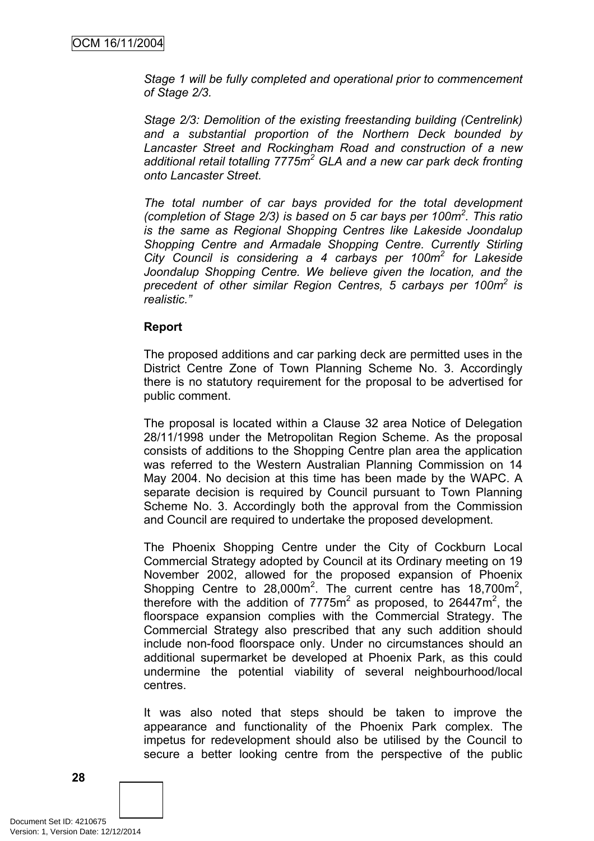*Stage 1 will be fully completed and operational prior to commencement of Stage 2/3.* 

*Stage 2/3: Demolition of the existing freestanding building (Centrelink) and a substantial proportion of the Northern Deck bounded by Lancaster Street and Rockingham Road and construction of a new additional retail totalling 7775m<sup>2</sup> GLA and a new car park deck fronting onto Lancaster Street.* 

*The total number of car bays provided for the total development (completion of Stage 2/3) is based on 5 car bays per 100m2 . This ratio is the same as Regional Shopping Centres like Lakeside Joondalup Shopping Centre and Armadale Shopping Centre. Currently Stirling City Council is considering a 4 carbays per 100m2 for Lakeside Joondalup Shopping Centre. We believe given the location, and the precedent of other similar Region Centres, 5 carbays per 100m2 is realistic."* 

#### **Report**

The proposed additions and car parking deck are permitted uses in the District Centre Zone of Town Planning Scheme No. 3. Accordingly there is no statutory requirement for the proposal to be advertised for public comment.

The proposal is located within a Clause 32 area Notice of Delegation 28/11/1998 under the Metropolitan Region Scheme. As the proposal consists of additions to the Shopping Centre plan area the application was referred to the Western Australian Planning Commission on 14 May 2004. No decision at this time has been made by the WAPC. A separate decision is required by Council pursuant to Town Planning Scheme No. 3. Accordingly both the approval from the Commission and Council are required to undertake the proposed development.

The Phoenix Shopping Centre under the City of Cockburn Local Commercial Strategy adopted by Council at its Ordinary meeting on 19 November 2002, allowed for the proposed expansion of Phoenix Shopping Centre to  $28,000m^2$ . The current centre has 18,700 $m^2$ , therefore with the addition of 7775 $m^2$  as proposed, to 26447 $m^2$ , the floorspace expansion complies with the Commercial Strategy. The Commercial Strategy also prescribed that any such addition should include non-food floorspace only. Under no circumstances should an additional supermarket be developed at Phoenix Park, as this could undermine the potential viability of several neighbourhood/local centres.

It was also noted that steps should be taken to improve the appearance and functionality of the Phoenix Park complex. The impetus for redevelopment should also be utilised by the Council to secure a better looking centre from the perspective of the public

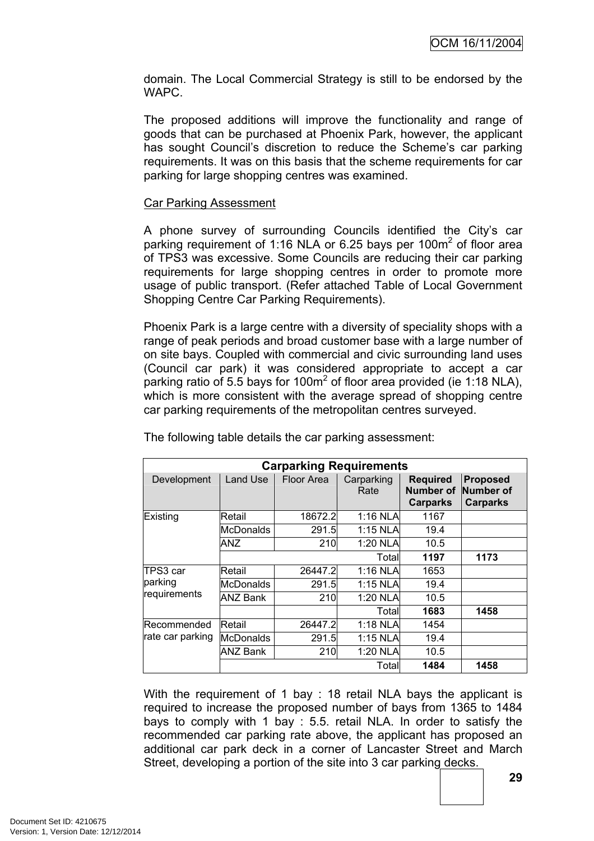domain. The Local Commercial Strategy is still to be endorsed by the WAPC.

The proposed additions will improve the functionality and range of goods that can be purchased at Phoenix Park, however, the applicant has sought Council's discretion to reduce the Scheme's car parking requirements. It was on this basis that the scheme requirements for car parking for large shopping centres was examined.

## Car Parking Assessment

A phone survey of surrounding Councils identified the City's car parking requirement of 1:16 NLA or 6.25 bays per 100m<sup>2</sup> of floor area of TPS3 was excessive. Some Councils are reducing their car parking requirements for large shopping centres in order to promote more usage of public transport. (Refer attached Table of Local Government Shopping Centre Car Parking Requirements).

Phoenix Park is a large centre with a diversity of speciality shops with a range of peak periods and broad customer base with a large number of on site bays. Coupled with commercial and civic surrounding land uses (Council car park) it was considered appropriate to accept a car parking ratio of 5.5 bays for 100 $m^2$  of floor area provided (ie 1:18 NLA), which is more consistent with the average spread of shopping centre car parking requirements of the metropolitan centres surveyed.

| <b>Carparking Requirements</b> |                  |            |                    |                                                        |                                                 |
|--------------------------------|------------------|------------|--------------------|--------------------------------------------------------|-------------------------------------------------|
| Development                    | Land Use         | Floor Area | Carparking<br>Rate | <b>Required</b><br><b>Number of</b><br><b>Carparks</b> | <b>Proposed</b><br>Number of<br><b>Carparks</b> |
| Existing                       | Retail           | 18672.2    | 1:16 NLA           | 1167                                                   |                                                 |
|                                | <b>McDonalds</b> | 291.5      | 1:15 NLA           | 19.4                                                   |                                                 |
|                                | ANZ              | 210        | 1:20 NLA           | 10.5                                                   |                                                 |
|                                |                  |            | Total              | 1197                                                   | 1173                                            |
| ITPS3 car                      | Retail           | 26447.2    | $1:16$ NLA         | 1653                                                   |                                                 |
| parking                        | <b>McDonalds</b> | 291.5      | $1:15$ NLA         | 19.4                                                   |                                                 |
| requirements                   | ANZ Bank         | 210        | 1:20 NLA           | 10.5                                                   |                                                 |
|                                |                  |            | Total              | 1683                                                   | 1458                                            |
| lRecommended                   | Retail           | 26447.2    | 1:18 NLA           | 1454                                                   |                                                 |
| rate car parking               | lMcDonalds       | 291.5      | 1:15 NLA           | 19.4                                                   |                                                 |
|                                | <b>ANZ Bank</b>  | 210        | 1:20 NLA           | 10.5                                                   |                                                 |
|                                |                  |            | Totall             | 1484                                                   | 1458                                            |

The following table details the car parking assessment:

With the requirement of 1 bay : 18 retail NLA bays the applicant is required to increase the proposed number of bays from 1365 to 1484 bays to comply with 1 bay : 5.5. retail NLA. In order to satisfy the recommended car parking rate above, the applicant has proposed an additional car park deck in a corner of Lancaster Street and March Street, developing a portion of the site into 3 car parking decks.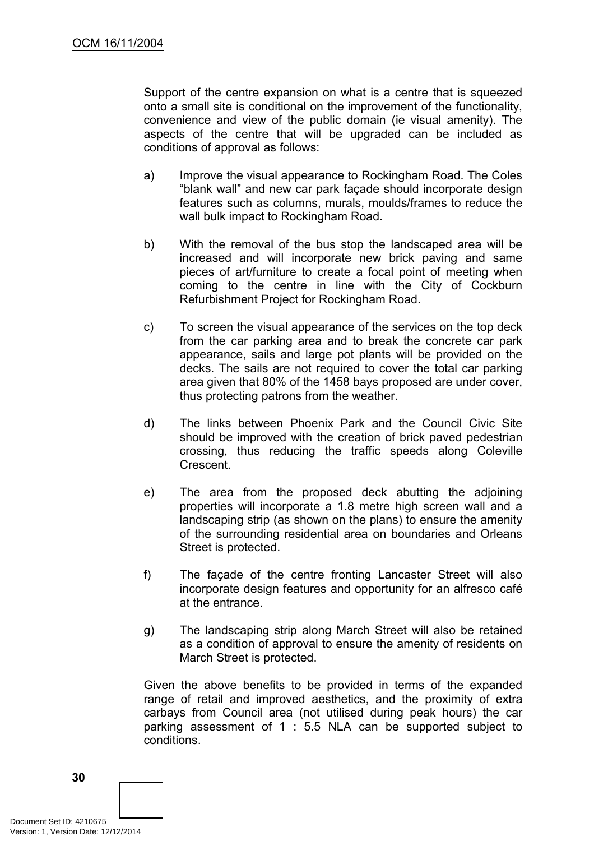Support of the centre expansion on what is a centre that is squeezed onto a small site is conditional on the improvement of the functionality, convenience and view of the public domain (ie visual amenity). The aspects of the centre that will be upgraded can be included as conditions of approval as follows:

- a) Improve the visual appearance to Rockingham Road. The Coles "blank wall" and new car park façade should incorporate design features such as columns, murals, moulds/frames to reduce the wall bulk impact to Rockingham Road.
- b) With the removal of the bus stop the landscaped area will be increased and will incorporate new brick paving and same pieces of art/furniture to create a focal point of meeting when coming to the centre in line with the City of Cockburn Refurbishment Project for Rockingham Road.
- c) To screen the visual appearance of the services on the top deck from the car parking area and to break the concrete car park appearance, sails and large pot plants will be provided on the decks. The sails are not required to cover the total car parking area given that 80% of the 1458 bays proposed are under cover, thus protecting patrons from the weather.
- d) The links between Phoenix Park and the Council Civic Site should be improved with the creation of brick paved pedestrian crossing, thus reducing the traffic speeds along Coleville Crescent.
- e) The area from the proposed deck abutting the adjoining properties will incorporate a 1.8 metre high screen wall and a landscaping strip (as shown on the plans) to ensure the amenity of the surrounding residential area on boundaries and Orleans Street is protected.
- f) The façade of the centre fronting Lancaster Street will also incorporate design features and opportunity for an alfresco café at the entrance.
- g) The landscaping strip along March Street will also be retained as a condition of approval to ensure the amenity of residents on March Street is protected.

Given the above benefits to be provided in terms of the expanded range of retail and improved aesthetics, and the proximity of extra carbays from Council area (not utilised during peak hours) the car parking assessment of 1 : 5.5 NLA can be supported subject to conditions.

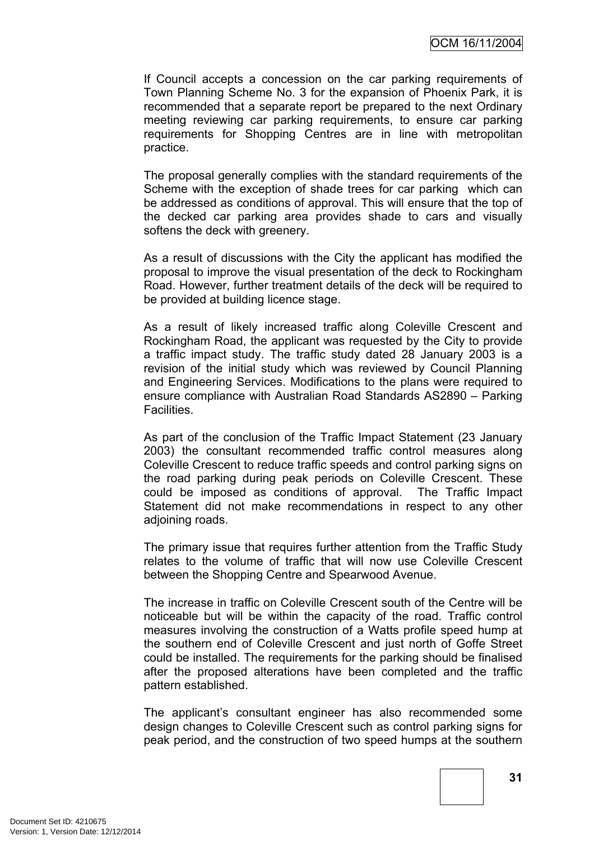If Council accepts a concession on the car parking requirements of Town Planning Scheme No. 3 for the expansion of Phoenix Park, it is recommended that a separate report be prepared to the next Ordinary meeting reviewing car parking requirements, to ensure car parking requirements for Shopping Centres are in line with metropolitan practice.

The proposal generally complies with the standard requirements of the Scheme with the exception of shade trees for car parking which can be addressed as conditions of approval. This will ensure that the top of the decked car parking area provides shade to cars and visually softens the deck with greenery.

As a result of discussions with the City the applicant has modified the proposal to improve the visual presentation of the deck to Rockingham Road. However, further treatment details of the deck will be required to be provided at building licence stage.

As a result of likely increased traffic along Coleville Crescent and Rockingham Road, the applicant was requested by the City to provide a traffic impact study. The traffic study dated 28 January 2003 is a revision of the initial study which was reviewed by Council Planning and Engineering Services. Modifications to the plans were required to ensure compliance with Australian Road Standards AS2890 – Parking Facilities.

As part of the conclusion of the Traffic Impact Statement (23 January 2003) the consultant recommended traffic control measures along Coleville Crescent to reduce traffic speeds and control parking signs on the road parking during peak periods on Coleville Crescent. These could be imposed as conditions of approval. The Traffic Impact Statement did not make recommendations in respect to any other adjoining roads.

The primary issue that requires further attention from the Traffic Study relates to the volume of traffic that will now use Coleville Crescent between the Shopping Centre and Spearwood Avenue.

The increase in traffic on Coleville Crescent south of the Centre will be noticeable but will be within the capacity of the road. Traffic control measures involving the construction of a Watts profile speed hump at the southern end of Coleville Crescent and just north of Goffe Street could be installed. The requirements for the parking should be finalised after the proposed alterations have been completed and the traffic pattern established.

The applicant's consultant engineer has also recommended some design changes to Coleville Crescent such as control parking signs for peak period, and the construction of two speed humps at the southern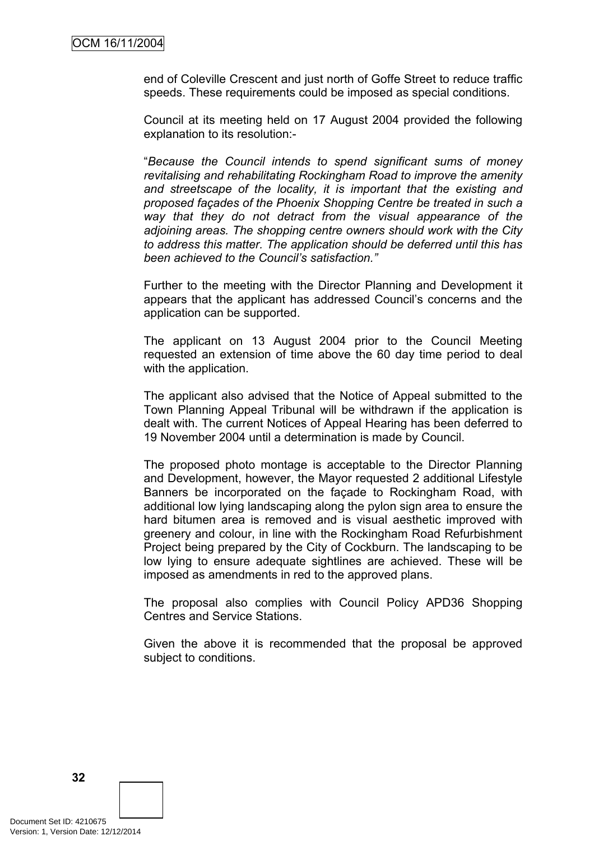end of Coleville Crescent and just north of Goffe Street to reduce traffic speeds. These requirements could be imposed as special conditions.

Council at its meeting held on 17 August 2004 provided the following explanation to its resolution:-

"*Because the Council intends to spend significant sums of money revitalising and rehabilitating Rockingham Road to improve the amenity and streetscape of the locality, it is important that the existing and proposed façades of the Phoenix Shopping Centre be treated in such a way that they do not detract from the visual appearance of the adjoining areas. The shopping centre owners should work with the City to address this matter. The application should be deferred until this has been achieved to the Council's satisfaction."* 

Further to the meeting with the Director Planning and Development it appears that the applicant has addressed Council's concerns and the application can be supported.

The applicant on 13 August 2004 prior to the Council Meeting requested an extension of time above the 60 day time period to deal with the application.

The applicant also advised that the Notice of Appeal submitted to the Town Planning Appeal Tribunal will be withdrawn if the application is dealt with. The current Notices of Appeal Hearing has been deferred to 19 November 2004 until a determination is made by Council.

The proposed photo montage is acceptable to the Director Planning and Development, however, the Mayor requested 2 additional Lifestyle Banners be incorporated on the façade to Rockingham Road, with additional low lying landscaping along the pylon sign area to ensure the hard bitumen area is removed and is visual aesthetic improved with greenery and colour, in line with the Rockingham Road Refurbishment Project being prepared by the City of Cockburn. The landscaping to be low lying to ensure adequate sightlines are achieved. These will be imposed as amendments in red to the approved plans.

The proposal also complies with Council Policy APD36 Shopping Centres and Service Stations.

Given the above it is recommended that the proposal be approved subject to conditions.

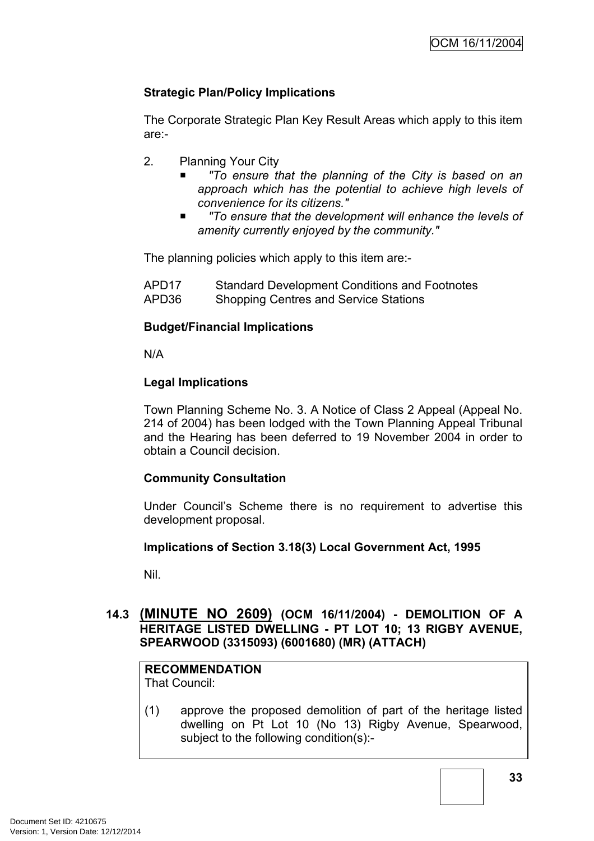## **Strategic Plan/Policy Implications**

The Corporate Strategic Plan Key Result Areas which apply to this item are:-

- 2. Planning Your City
	- *"To ensure that the planning of the City is based on an approach which has the potential to achieve high levels of convenience for its citizens."*
	- *"To ensure that the development will enhance the levels of amenity currently enjoyed by the community."*

The planning policies which apply to this item are:-

| APD <sub>17</sub> | <b>Standard Development Conditions and Footnotes</b> |
|-------------------|------------------------------------------------------|
| APD36             | <b>Shopping Centres and Service Stations</b>         |

### **Budget/Financial Implications**

N/A

### **Legal Implications**

Town Planning Scheme No. 3. A Notice of Class 2 Appeal (Appeal No. 214 of 2004) has been lodged with the Town Planning Appeal Tribunal and the Hearing has been deferred to 19 November 2004 in order to obtain a Council decision.

#### **Community Consultation**

Under Council's Scheme there is no requirement to advertise this development proposal.

#### **Implications of Section 3.18(3) Local Government Act, 1995**

Nil.

## **14.3 (MINUTE NO 2609) (OCM 16/11/2004) - DEMOLITION OF A HERITAGE LISTED DWELLING - PT LOT 10; 13 RIGBY AVENUE, SPEARWOOD (3315093) (6001680) (MR) (ATTACH)**

# **RECOMMENDATION**

That Council:

(1) approve the proposed demolition of part of the heritage listed dwelling on Pt Lot 10 (No 13) Rigby Avenue, Spearwood, subject to the following condition(s):-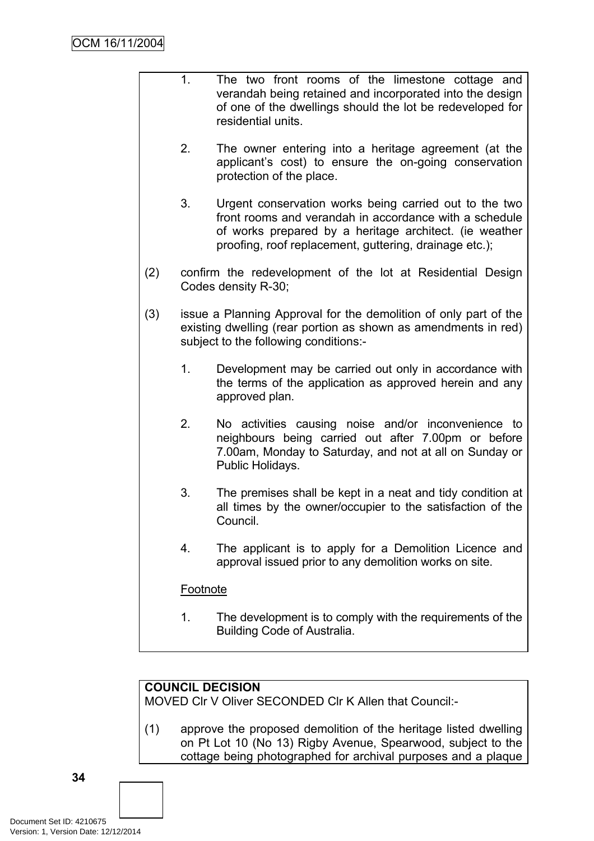- 1. The two front rooms of the limestone cottage and verandah being retained and incorporated into the design of one of the dwellings should the lot be redeveloped for residential units.
	- 2. The owner entering into a heritage agreement (at the applicant's cost) to ensure the on-going conservation protection of the place.
	- 3. Urgent conservation works being carried out to the two front rooms and verandah in accordance with a schedule of works prepared by a heritage architect. (ie weather proofing, roof replacement, guttering, drainage etc.);
- (2) confirm the redevelopment of the lot at Residential Design Codes density R-30;
- (3) issue a Planning Approval for the demolition of only part of the existing dwelling (rear portion as shown as amendments in red) subject to the following conditions:-
	- 1. Development may be carried out only in accordance with the terms of the application as approved herein and any approved plan.
	- 2. No activities causing noise and/or inconvenience to neighbours being carried out after 7.00pm or before 7.00am, Monday to Saturday, and not at all on Sunday or Public Holidays.
	- 3. The premises shall be kept in a neat and tidy condition at all times by the owner/occupier to the satisfaction of the Council.
	- 4. The applicant is to apply for a Demolition Licence and approval issued prior to any demolition works on site.

## Footnote

1. The development is to comply with the requirements of the Building Code of Australia.

# **COUNCIL DECISION**

MOVED Clr V Oliver SECONDED Clr K Allen that Council:-

(1) approve the proposed demolition of the heritage listed dwelling on Pt Lot 10 (No 13) Rigby Avenue, Spearwood, subject to the cottage being photographed for archival purposes and a plaque

**34**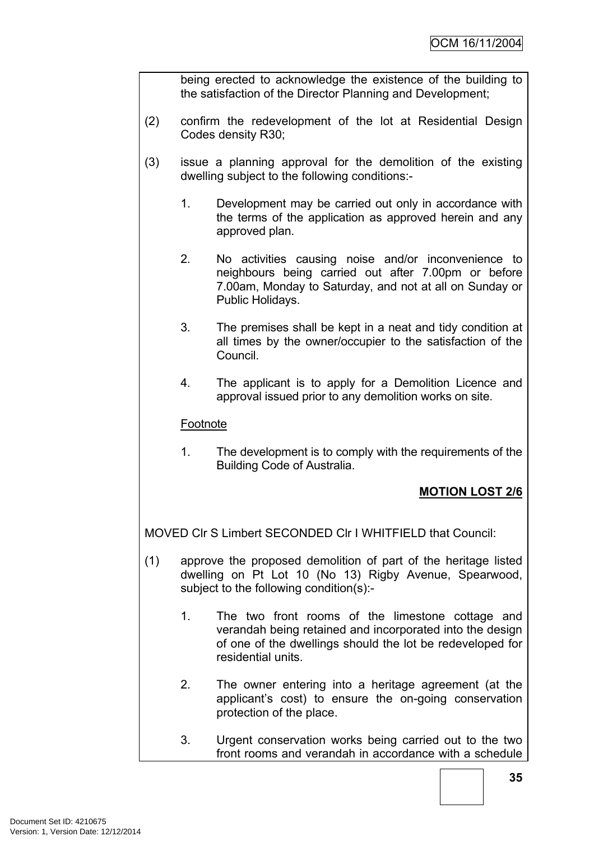being erected to acknowledge the existence of the building to the satisfaction of the Director Planning and Development;

- (2) confirm the redevelopment of the lot at Residential Design Codes density R30;
- (3) issue a planning approval for the demolition of the existing dwelling subject to the following conditions:-
	- 1. Development may be carried out only in accordance with the terms of the application as approved herein and any approved plan.
	- 2. No activities causing noise and/or inconvenience to neighbours being carried out after 7.00pm or before 7.00am, Monday to Saturday, and not at all on Sunday or Public Holidays.
	- 3. The premises shall be kept in a neat and tidy condition at all times by the owner/occupier to the satisfaction of the Council.
	- 4. The applicant is to apply for a Demolition Licence and approval issued prior to any demolition works on site.

## Footnote

1. The development is to comply with the requirements of the Building Code of Australia.

# **MOTION LOST 2/6**

MOVED Clr S Limbert SECONDED Clr I WHITFIELD that Council:

- (1) approve the proposed demolition of part of the heritage listed dwelling on Pt Lot 10 (No 13) Rigby Avenue, Spearwood, subject to the following condition(s):-
	- 1. The two front rooms of the limestone cottage and verandah being retained and incorporated into the design of one of the dwellings should the lot be redeveloped for residential units.
	- 2. The owner entering into a heritage agreement (at the applicant's cost) to ensure the on-going conservation protection of the place.
	- 3. Urgent conservation works being carried out to the two front rooms and verandah in accordance with a schedule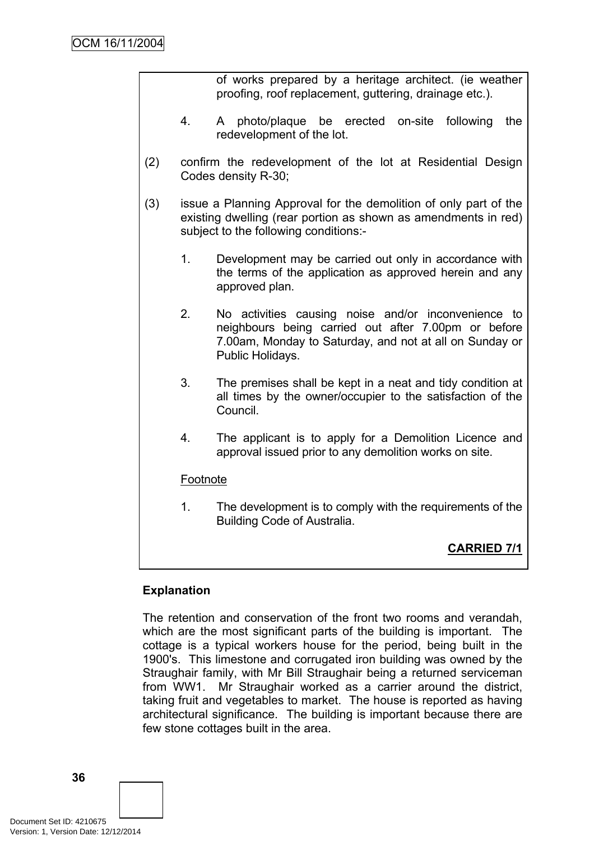of works prepared by a heritage architect. (ie weather proofing, roof replacement, guttering, drainage etc.).

- 4. A photo/plaque be erected on-site following the redevelopment of the lot.
- (2) confirm the redevelopment of the lot at Residential Design Codes density R-30;
- (3) issue a Planning Approval for the demolition of only part of the existing dwelling (rear portion as shown as amendments in red) subject to the following conditions:-
	- 1. Development may be carried out only in accordance with the terms of the application as approved herein and any approved plan.
	- 2. No activities causing noise and/or inconvenience to neighbours being carried out after 7.00pm or before 7.00am, Monday to Saturday, and not at all on Sunday or Public Holidays.
	- 3. The premises shall be kept in a neat and tidy condition at all times by the owner/occupier to the satisfaction of the Council.
	- 4. The applicant is to apply for a Demolition Licence and approval issued prior to any demolition works on site.

#### Footnote

1. The development is to comply with the requirements of the Building Code of Australia.

## **CARRIED 7/1**

## **Explanation**

The retention and conservation of the front two rooms and verandah, which are the most significant parts of the building is important. The cottage is a typical workers house for the period, being built in the 1900's. This limestone and corrugated iron building was owned by the Straughair family, with Mr Bill Straughair being a returned serviceman from WW1. Mr Straughair worked as a carrier around the district, taking fruit and vegetables to market. The house is reported as having architectural significance. The building is important because there are few stone cottages built in the area.

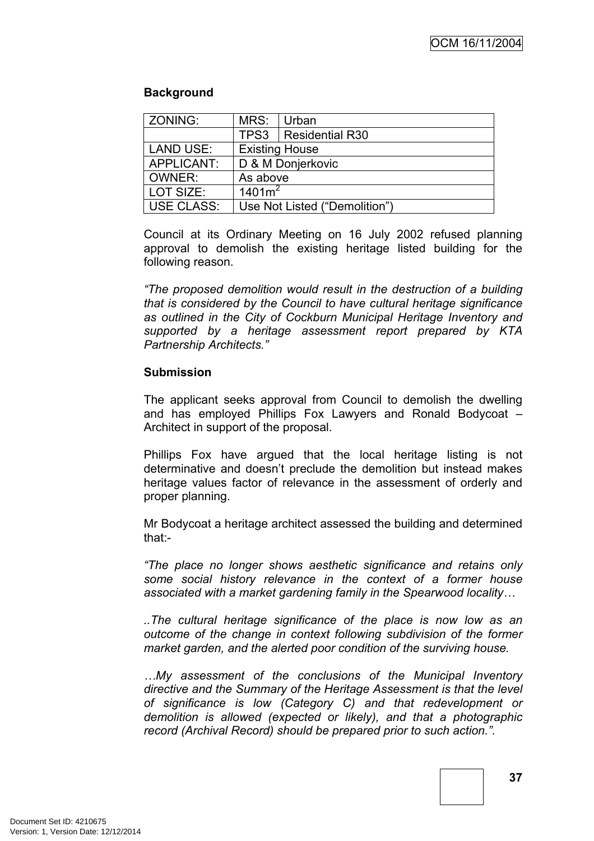### **Background**

| ZONING:    | MRS:      | Urban                         |
|------------|-----------|-------------------------------|
|            |           | TPS3   Residential R30        |
| LAND USE:  |           | <b>Existing House</b>         |
| APPLICANT: |           | D & M Donjerkovic             |
| OWNER:     | As above  |                               |
| LOT SIZE:  | $1401m^2$ |                               |
| USE CLASS: |           | Use Not Listed ("Demolition") |

Council at its Ordinary Meeting on 16 July 2002 refused planning approval to demolish the existing heritage listed building for the following reason.

*"The proposed demolition would result in the destruction of a building that is considered by the Council to have cultural heritage significance as outlined in the City of Cockburn Municipal Heritage Inventory and supported by a heritage assessment report prepared by KTA Partnership Architects."* 

#### **Submission**

The applicant seeks approval from Council to demolish the dwelling and has employed Phillips Fox Lawyers and Ronald Bodycoat – Architect in support of the proposal.

Phillips Fox have argued that the local heritage listing is not determinative and doesn't preclude the demolition but instead makes heritage values factor of relevance in the assessment of orderly and proper planning.

Mr Bodycoat a heritage architect assessed the building and determined that:-

*"The place no longer shows aesthetic significance and retains only some social history relevance in the context of a former house associated with a market gardening family in the Spearwood locality…*

*..The cultural heritage significance of the place is now low as an outcome of the change in context following subdivision of the former market garden, and the alerted poor condition of the surviving house.* 

*…My assessment of the conclusions of the Municipal Inventory directive and the Summary of the Heritage Assessment is that the level of significance is low (Category C) and that redevelopment or demolition is allowed (expected or likely), and that a photographic record (Archival Record) should be prepared prior to such action.".*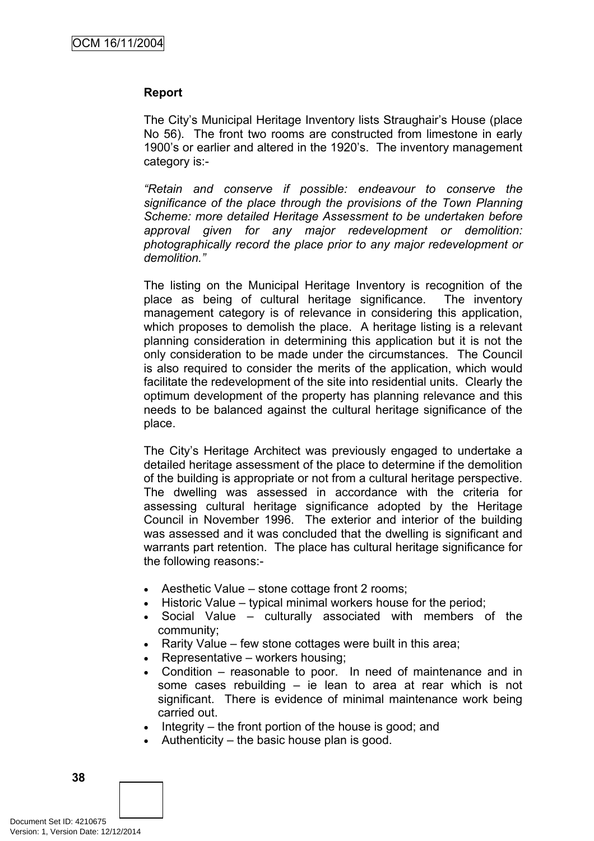## **Report**

The City's Municipal Heritage Inventory lists Straughair's House (place No 56). The front two rooms are constructed from limestone in early 1900's or earlier and altered in the 1920's. The inventory management category is:-

*"Retain and conserve if possible: endeavour to conserve the significance of the place through the provisions of the Town Planning Scheme: more detailed Heritage Assessment to be undertaken before approval given for any major redevelopment or demolition: photographically record the place prior to any major redevelopment or demolition."* 

The listing on the Municipal Heritage Inventory is recognition of the place as being of cultural heritage significance. The inventory management category is of relevance in considering this application, which proposes to demolish the place. A heritage listing is a relevant planning consideration in determining this application but it is not the only consideration to be made under the circumstances. The Council is also required to consider the merits of the application, which would facilitate the redevelopment of the site into residential units. Clearly the optimum development of the property has planning relevance and this needs to be balanced against the cultural heritage significance of the place.

The City's Heritage Architect was previously engaged to undertake a detailed heritage assessment of the place to determine if the demolition of the building is appropriate or not from a cultural heritage perspective. The dwelling was assessed in accordance with the criteria for assessing cultural heritage significance adopted by the Heritage Council in November 1996. The exterior and interior of the building was assessed and it was concluded that the dwelling is significant and warrants part retention. The place has cultural heritage significance for the following reasons:-

- Aesthetic Value stone cottage front 2 rooms;
- Historic Value typical minimal workers house for the period;
- Social Value culturally associated with members of the community;
- Rarity Value few stone cottages were built in this area;
- Representative workers housing;
- Condition reasonable to poor. In need of maintenance and in some cases rebuilding – ie lean to area at rear which is not significant. There is evidence of minimal maintenance work being carried out.
- Integrity the front portion of the house is good; and
- Authenticity the basic house plan is good.

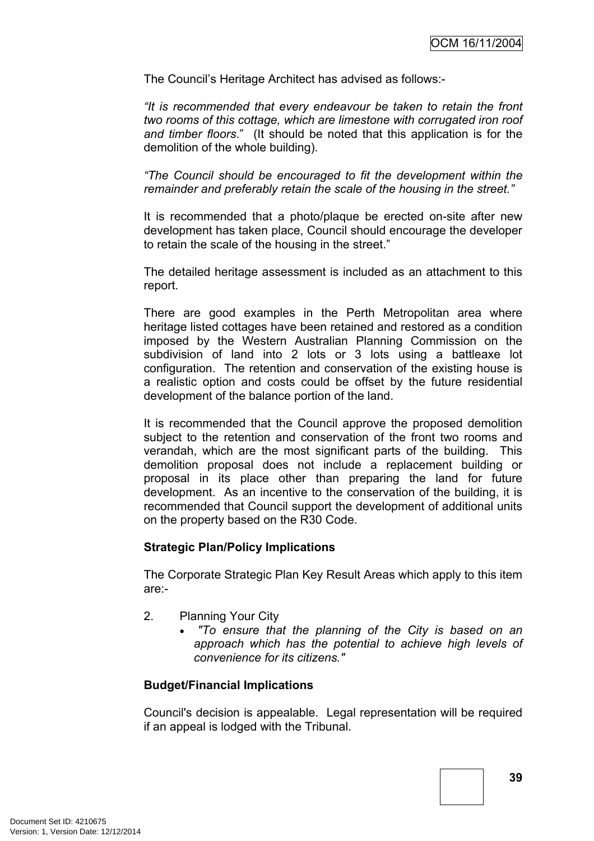The Council's Heritage Architect has advised as follows:-

*"It is recommended that every endeavour be taken to retain the front two rooms of this cottage, which are limestone with corrugated iron roof and timber floors*." (It should be noted that this application is for the demolition of the whole building).

*"The Council should be encouraged to fit the development within the remainder and preferably retain the scale of the housing in the street."* 

It is recommended that a photo/plaque be erected on-site after new development has taken place, Council should encourage the developer to retain the scale of the housing in the street."

The detailed heritage assessment is included as an attachment to this report.

There are good examples in the Perth Metropolitan area where heritage listed cottages have been retained and restored as a condition imposed by the Western Australian Planning Commission on the subdivision of land into 2 lots or 3 lots using a battleaxe lot configuration. The retention and conservation of the existing house is a realistic option and costs could be offset by the future residential development of the balance portion of the land.

It is recommended that the Council approve the proposed demolition subject to the retention and conservation of the front two rooms and verandah, which are the most significant parts of the building. This demolition proposal does not include a replacement building or proposal in its place other than preparing the land for future development. As an incentive to the conservation of the building, it is recommended that Council support the development of additional units on the property based on the R30 Code.

#### **Strategic Plan/Policy Implications**

The Corporate Strategic Plan Key Result Areas which apply to this item are:-

- 2. Planning Your City
	- *"To ensure that the planning of the City is based on an approach which has the potential to achieve high levels of convenience for its citizens."*  •

#### **Budget/Financial Implications**

Council's decision is appealable. Legal representation will be required if an appeal is lodged with the Tribunal.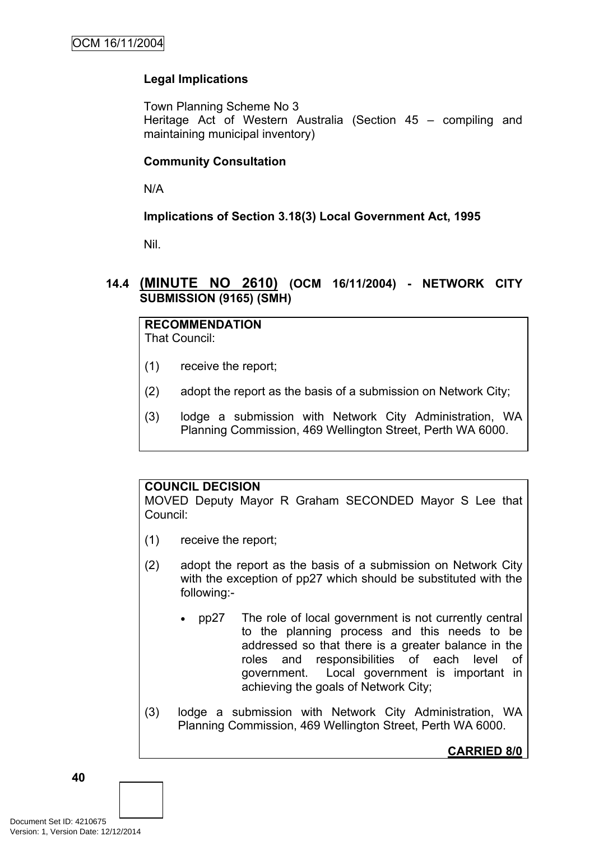# **Legal Implications**

Town Planning Scheme No 3 Heritage Act of Western Australia (Section 45 – compiling and maintaining municipal inventory)

## **Community Consultation**

N/A

## **Implications of Section 3.18(3) Local Government Act, 1995**

Nil.

# **14.4 (MINUTE NO 2610) (OCM 16/11/2004) - NETWORK CITY SUBMISSION (9165) (SMH)**

# **RECOMMENDATION**

That Council:

- (1) receive the report;
- (2) adopt the report as the basis of a submission on Network City;
- (3) lodge a submission with Network City Administration, WA Planning Commission, 469 Wellington Street, Perth WA 6000.

## **COUNCIL DECISION**

MOVED Deputy Mayor R Graham SECONDED Mayor S Lee that Council:

- (1) receive the report;
- (2) adopt the report as the basis of a submission on Network City with the exception of pp27 which should be substituted with the following:-
	- pp27 The role of local government is not currently central to the planning process and this needs to be addressed so that there is a greater balance in the roles and responsibilities of each level of government. Local government is important in achieving the goals of Network City;
- (3) lodge a submission with Network City Administration, WA Planning Commission, 469 Wellington Street, Perth WA 6000.

**CARRIED 8/0**

**40**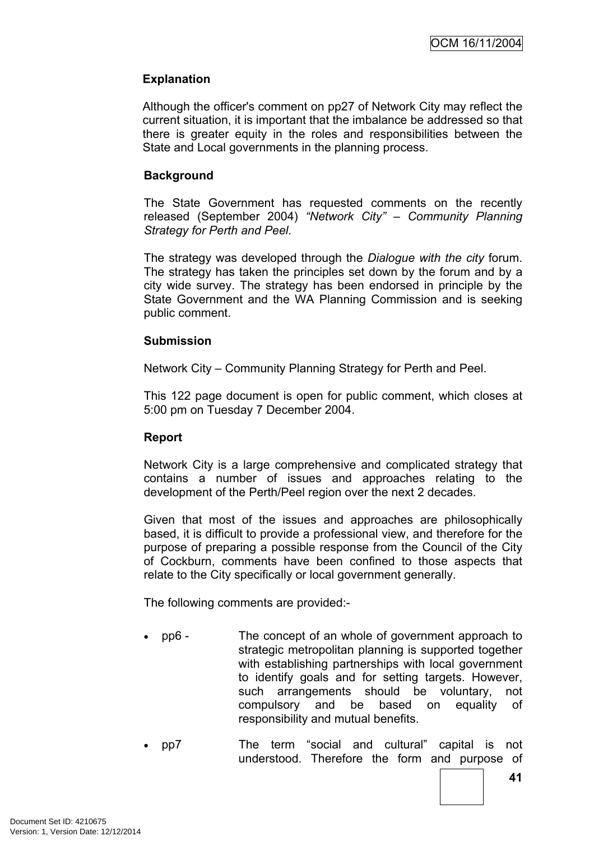## **Explanation**

Although the officer's comment on pp27 of Network City may reflect the current situation, it is important that the imbalance be addressed so that there is greater equity in the roles and responsibilities between the State and Local governments in the planning process.

#### **Background**

The State Government has requested comments on the recently released (September 2004) *"Network City" – Community Planning Strategy for Perth and Peel*.

The strategy was developed through the *Dialogue with the city* forum. The strategy has taken the principles set down by the forum and by a city wide survey. The strategy has been endorsed in principle by the State Government and the WA Planning Commission and is seeking public comment.

#### **Submission**

Network City – Community Planning Strategy for Perth and Peel.

This 122 page document is open for public comment, which closes at 5:00 pm on Tuesday 7 December 2004.

## **Report**

Network City is a large comprehensive and complicated strategy that contains a number of issues and approaches relating to the development of the Perth/Peel region over the next 2 decades.

Given that most of the issues and approaches are philosophically based, it is difficult to provide a professional view, and therefore for the purpose of preparing a possible response from the Council of the City of Cockburn, comments have been confined to those aspects that relate to the City specifically or local government generally.

The following comments are provided:-

- pp6 The concept of an whole of government approach to strategic metropolitan planning is supported together with establishing partnerships with local government to identify goals and for setting targets. However, such arrangements should be voluntary, not compulsory and be based on equality of responsibility and mutual benefits. •
- pp7 The term "social and cultural" capital is not understood. Therefore the form and purpose of •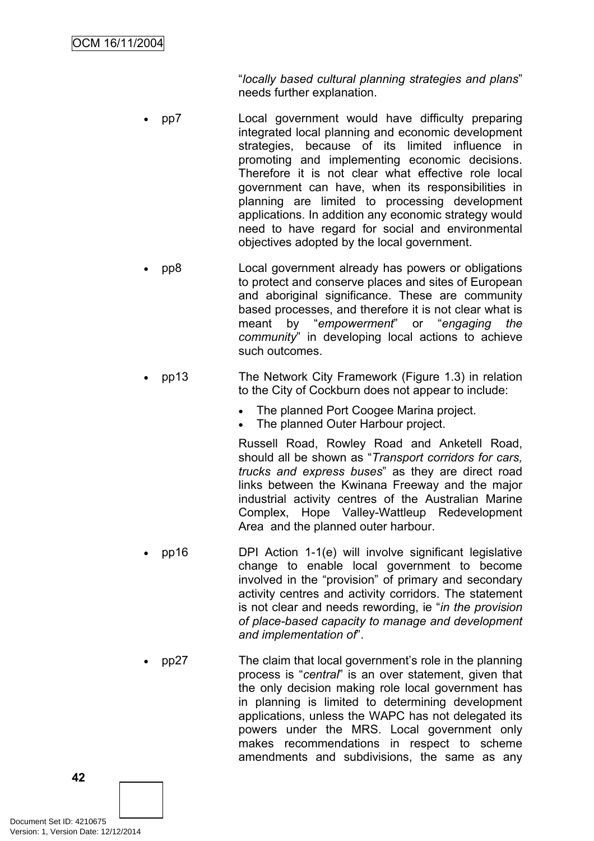"*locally based cultural planning strategies and plans*" needs further explanation.

- pp7 Local government would have difficulty preparing integrated local planning and economic development strategies, because of its limited influence in promoting and implementing economic decisions. Therefore it is not clear what effective role local government can have, when its responsibilities in planning are limited to processing development applications. In addition any economic strategy would need to have regard for social and environmental objectives adopted by the local government.
- pp8 Local government already has powers or obligations to protect and conserve places and sites of European and aboriginal significance. These are community based processes, and therefore it is not clear what is meant by "*empowerment*" or "*engaging the community*" in developing local actions to achieve such outcomes.
- pp13 The Network City Framework (Figure 1.3) in relation to the City of Cockburn does not appear to include:
	- The planned Port Coogee Marina project.
	- The planned Outer Harbour project.

Russell Road, Rowley Road and Anketell Road, should all be shown as "*Transport corridors for cars, trucks and express buses*" as they are direct road links between the Kwinana Freeway and the major industrial activity centres of the Australian Marine Complex, Hope Valley-Wattleup Redevelopment Area and the planned outer harbour.

- pp16 DPI Action 1-1(e) will involve significant legislative change to enable local government to become involved in the "provision" of primary and secondary activity centres and activity corridors. The statement is not clear and needs rewording, ie "*in the provision of place-based capacity to manage and development and implementation of*".
- pp27 The claim that local government's role in the planning process is "*central*" is an over statement, given that the only decision making role local government has in planning is limited to determining development applications, unless the WAPC has not delegated its powers under the MRS. Local government only makes recommendations in respect to scheme amendments and subdivisions, the same as any

**42**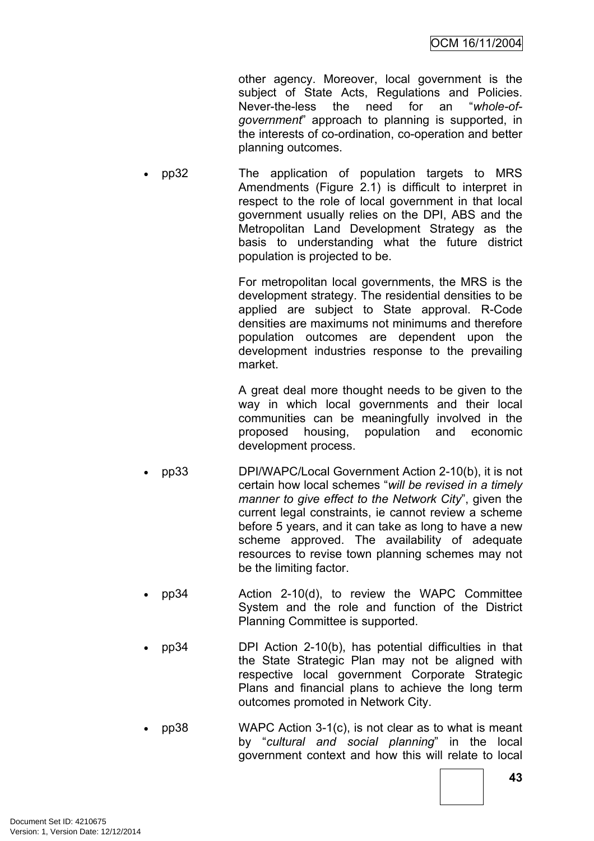other agency. Moreover, local government is the subject of State Acts, Regulations and Policies. Never-the-less the need for an "*whole-ofgovernment*" approach to planning is supported, in the interests of co-ordination, co-operation and better planning outcomes.

• pp32 The application of population targets to MRS Amendments (Figure 2.1) is difficult to interpret in respect to the role of local government in that local government usually relies on the DPI, ABS and the Metropolitan Land Development Strategy as the basis to understanding what the future district population is projected to be.

> For metropolitan local governments, the MRS is the development strategy. The residential densities to be applied are subject to State approval. R-Code densities are maximums not minimums and therefore population outcomes are dependent upon the development industries response to the prevailing market.

> A great deal more thought needs to be given to the way in which local governments and their local communities can be meaningfully involved in the proposed housing, population and economic development process.

- pp33 DPI/WAPC/Local Government Action 2-10(b), it is not certain how local schemes "*will be revised in a timely manner to give effect to the Network City*", given the current legal constraints, ie cannot review a scheme before 5 years, and it can take as long to have a new scheme approved. The availability of adequate resources to revise town planning schemes may not be the limiting factor.
- pp34 Action 2-10(d), to review the WAPC Committee System and the role and function of the District Planning Committee is supported.
- pp34 DPI Action 2-10(b), has potential difficulties in that the State Strategic Plan may not be aligned with respective local government Corporate Strategic Plans and financial plans to achieve the long term outcomes promoted in Network City.
- pp38 WAPC Action 3-1(c), is not clear as to what is meant by "*cultural and social planning*" in the local government context and how this will relate to local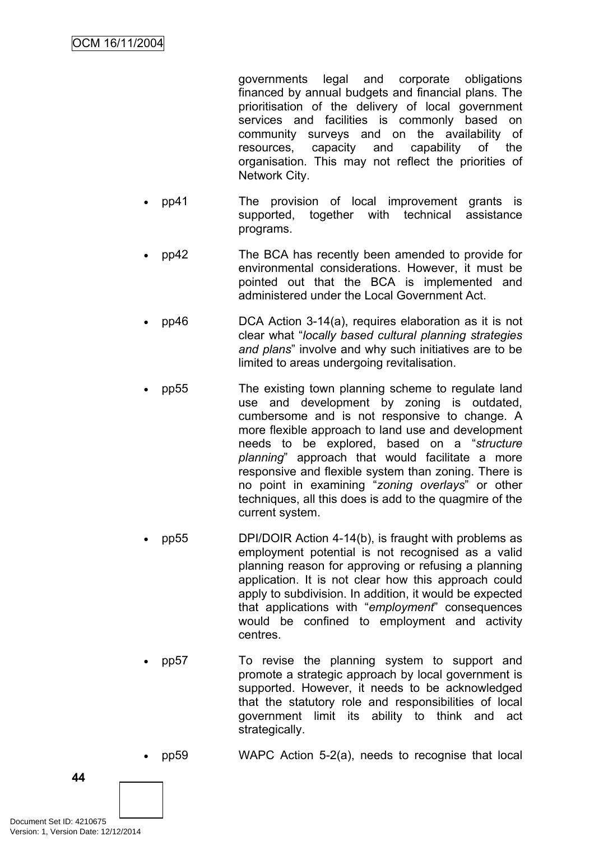governments legal and corporate obligations financed by annual budgets and financial plans. The prioritisation of the delivery of local government services and facilities is commonly based on community surveys and on the availability of resources, capacity and capability of the organisation. This may not reflect the priorities of Network City.

- pp41 The provision of local improvement grants is supported, together with technical assistance programs.
- pp42 The BCA has recently been amended to provide for environmental considerations. However, it must be pointed out that the BCA is implemented and administered under the Local Government Act.
- pp46 DCA Action 3-14(a), requires elaboration as it is not clear what "*locally based cultural planning strategies and plans*" involve and why such initiatives are to be limited to areas undergoing revitalisation.
- pp55 The existing town planning scheme to regulate land use and development by zoning is outdated, cumbersome and is not responsive to change. A more flexible approach to land use and development needs to be explored, based on a "*structure planning*" approach that would facilitate a more responsive and flexible system than zoning. There is no point in examining "*zoning overlays*" or other techniques, all this does is add to the quagmire of the current system.
- pp55 DPI/DOIR Action 4-14(b), is fraught with problems as employment potential is not recognised as a valid planning reason for approving or refusing a planning application. It is not clear how this approach could apply to subdivision. In addition, it would be expected that applications with "*employment*" consequences would be confined to employment and activity centres.
- pp57 To revise the planning system to support and promote a strategic approach by local government is supported. However, it needs to be acknowledged that the statutory role and responsibilities of local government limit its ability to think and act strategically.
- pp59 WAPC Action 5-2(a), needs to recognise that local

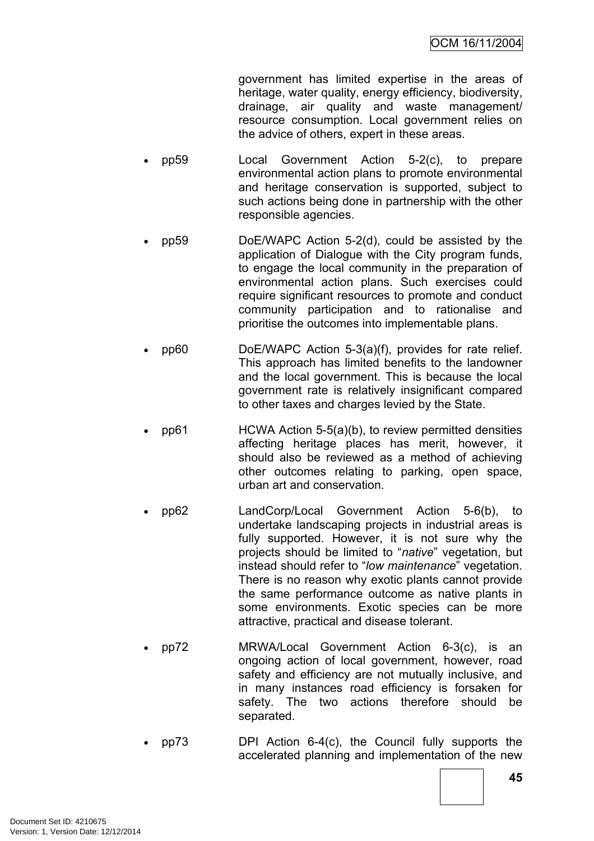government has limited expertise in the areas of heritage, water quality, energy efficiency, biodiversity, drainage, air quality and waste management/ resource consumption. Local government relies on the advice of others, expert in these areas.

- pp59 Local Government Action 5-2(c), to prepare environmental action plans to promote environmental and heritage conservation is supported, subject to such actions being done in partnership with the other responsible agencies.
- pp59 DoE/WAPC Action 5-2(d), could be assisted by the application of Dialogue with the City program funds, to engage the local community in the preparation of environmental action plans. Such exercises could require significant resources to promote and conduct community participation and to rationalise and prioritise the outcomes into implementable plans.
- pp60 DoE/WAPC Action 5-3(a)(f), provides for rate relief. This approach has limited benefits to the landowner and the local government. This is because the local government rate is relatively insignificant compared to other taxes and charges levied by the State.
- pp61 HCWA Action 5-5(a)(b), to review permitted densities affecting heritage places has merit, however, it should also be reviewed as a method of achieving other outcomes relating to parking, open space, urban art and conservation.
- pp62 LandCorp/Local Government Action 5-6(b), to undertake landscaping projects in industrial areas is fully supported. However, it is not sure why the projects should be limited to "*native*" vegetation, but instead should refer to "*low maintenance*" vegetation. There is no reason why exotic plants cannot provide the same performance outcome as native plants in some environments. Exotic species can be more attractive, practical and disease tolerant.
- pp72 MRWA/Local Government Action 6-3(c), is an ongoing action of local government, however, road safety and efficiency are not mutually inclusive, and in many instances road efficiency is forsaken for safety. The two actions therefore should be separated.
- pp73 DPI Action 6-4(c), the Council fully supports the accelerated planning and implementation of the new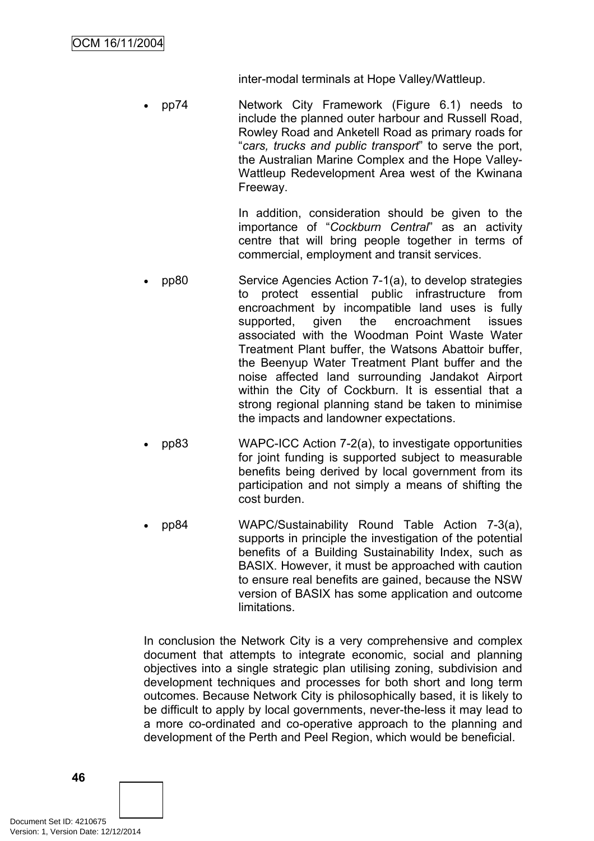inter-modal terminals at Hope Valley/Wattleup.

• pp74 Network City Framework (Figure 6.1) needs to include the planned outer harbour and Russell Road, Rowley Road and Anketell Road as primary roads for "*cars, trucks and public transport*" to serve the port, the Australian Marine Complex and the Hope Valley-Wattleup Redevelopment Area west of the Kwinana Freeway.

> In addition, consideration should be given to the importance of "*Cockburn Central*" as an activity centre that will bring people together in terms of commercial, employment and transit services.

- pp80 Service Agencies Action 7-1(a), to develop strategies to protect essential public infrastructure from encroachment by incompatible land uses is fully supported, given the encroachment issues associated with the Woodman Point Waste Water Treatment Plant buffer, the Watsons Abattoir buffer, the Beenyup Water Treatment Plant buffer and the noise affected land surrounding Jandakot Airport within the City of Cockburn. It is essential that a strong regional planning stand be taken to minimise the impacts and landowner expectations.
- pp83 WAPC-ICC Action 7-2(a), to investigate opportunities for joint funding is supported subject to measurable benefits being derived by local government from its participation and not simply a means of shifting the cost burden.
- pp84 WAPC/Sustainability Round Table Action 7-3(a), supports in principle the investigation of the potential benefits of a Building Sustainability Index, such as BASIX. However, it must be approached with caution to ensure real benefits are gained, because the NSW version of BASIX has some application and outcome limitations.

In conclusion the Network City is a very comprehensive and complex document that attempts to integrate economic, social and planning objectives into a single strategic plan utilising zoning, subdivision and development techniques and processes for both short and long term outcomes. Because Network City is philosophically based, it is likely to be difficult to apply by local governments, never-the-less it may lead to a more co-ordinated and co-operative approach to the planning and development of the Perth and Peel Region, which would be beneficial.

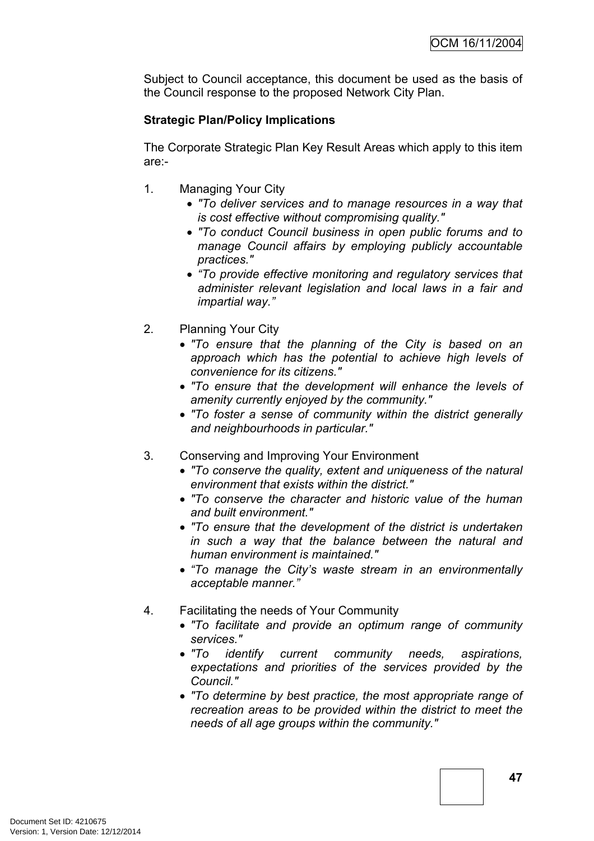Subject to Council acceptance, this document be used as the basis of the Council response to the proposed Network City Plan.

# **Strategic Plan/Policy Implications**

The Corporate Strategic Plan Key Result Areas which apply to this item are:-

- 1. Managing Your City
	- *"To deliver services and to manage resources in a way that is cost effective without compromising quality."*
	- *"To conduct Council business in open public forums and to manage Council affairs by employing publicly accountable practices."*
	- *"To provide effective monitoring and regulatory services that administer relevant legislation and local laws in a fair and impartial way."*
- 2. Planning Your City
	- *"To ensure that the planning of the City is based on an approach which has the potential to achieve high levels of convenience for its citizens."*
	- *"To ensure that the development will enhance the levels of amenity currently enjoyed by the community."*
	- *"To foster a sense of community within the district generally and neighbourhoods in particular."*
- 3. Conserving and Improving Your Environment
	- *"To conserve the quality, extent and uniqueness of the natural environment that exists within the district."*
	- *"To conserve the character and historic value of the human and built environment."*
	- *"To ensure that the development of the district is undertaken in such a way that the balance between the natural and human environment is maintained."*
	- *"To manage the City's waste stream in an environmentally acceptable manner."*
- 4. Facilitating the needs of Your Community
	- *"To facilitate and provide an optimum range of community services."*
	- $\bullet$  "To identify current community needs, aspirations, *expectations and priorities of the services provided by the Council."*
	- *"To determine by best practice, the most appropriate range of recreation areas to be provided within the district to meet the needs of all age groups within the community."*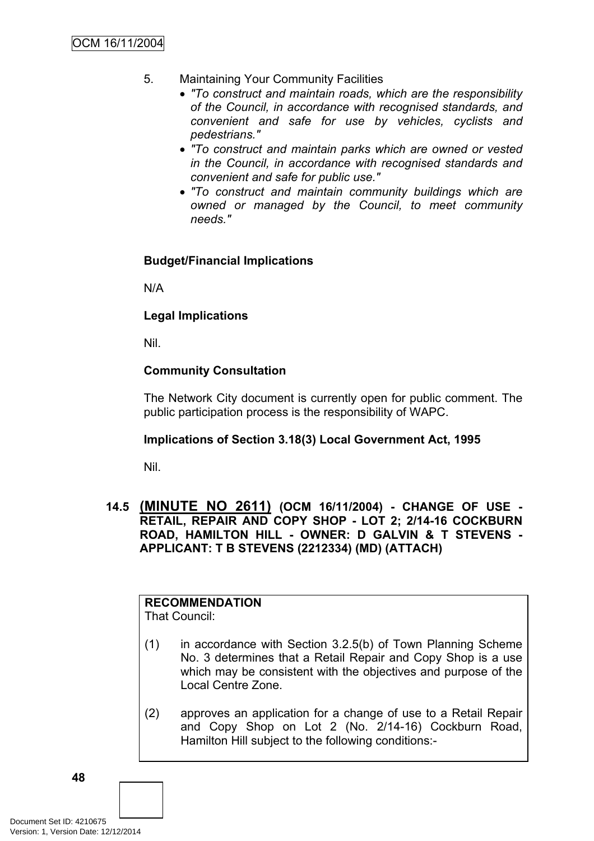- 5. Maintaining Your Community Facilities
	- *"To construct and maintain roads, which are the responsibility of the Council, in accordance with recognised standards, and convenient and safe for use by vehicles, cyclists and pedestrians."*
	- *"To construct and maintain parks which are owned or vested in the Council, in accordance with recognised standards and convenient and safe for public use."*
	- *"To construct and maintain community buildings which are owned or managed by the Council, to meet community needs."*

# **Budget/Financial Implications**

N/A

### **Legal Implications**

Nil.

## **Community Consultation**

The Network City document is currently open for public comment. The public participation process is the responsibility of WAPC.

#### **Implications of Section 3.18(3) Local Government Act, 1995**

Nil.

**14.5 (MINUTE NO 2611) (OCM 16/11/2004) - CHANGE OF USE - RETAIL, REPAIR AND COPY SHOP - LOT 2; 2/14-16 COCKBURN ROAD, HAMILTON HILL - OWNER: D GALVIN & T STEVENS - APPLICANT: T B STEVENS (2212334) (MD) (ATTACH)**

# **RECOMMENDATION**

That Council:

- (1) in accordance with Section 3.2.5(b) of Town Planning Scheme No. 3 determines that a Retail Repair and Copy Shop is a use which may be consistent with the objectives and purpose of the Local Centre Zone.
- (2) approves an application for a change of use to a Retail Repair and Copy Shop on Lot 2 (No. 2/14-16) Cockburn Road, Hamilton Hill subject to the following conditions:-



**48**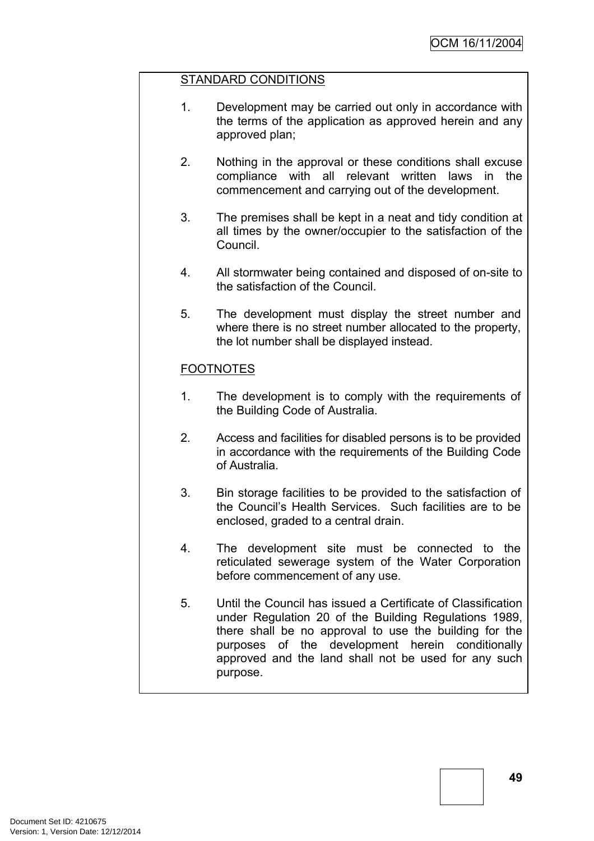#### STANDARD CONDITIONS

- 1. Development may be carried out only in accordance with the terms of the application as approved herein and any approved plan;
- 2. Nothing in the approval or these conditions shall excuse compliance with all relevant written laws in the commencement and carrying out of the development.
- 3. The premises shall be kept in a neat and tidy condition at all times by the owner/occupier to the satisfaction of the Council.
- 4. All stormwater being contained and disposed of on-site to the satisfaction of the Council.
- 5. The development must display the street number and where there is no street number allocated to the property, the lot number shall be displayed instead.

### FOOTNOTES

- 1. The development is to comply with the requirements of the Building Code of Australia.
- 2. Access and facilities for disabled persons is to be provided in accordance with the requirements of the Building Code of Australia.
- 3. Bin storage facilities to be provided to the satisfaction of the Council's Health Services. Such facilities are to be enclosed, graded to a central drain.
- 4. The development site must be connected to the reticulated sewerage system of the Water Corporation before commencement of any use.
- 5. Until the Council has issued a Certificate of Classification under Regulation 20 of the Building Regulations 1989, there shall be no approval to use the building for the purposes of the development herein conditionally approved and the land shall not be used for any such purpose.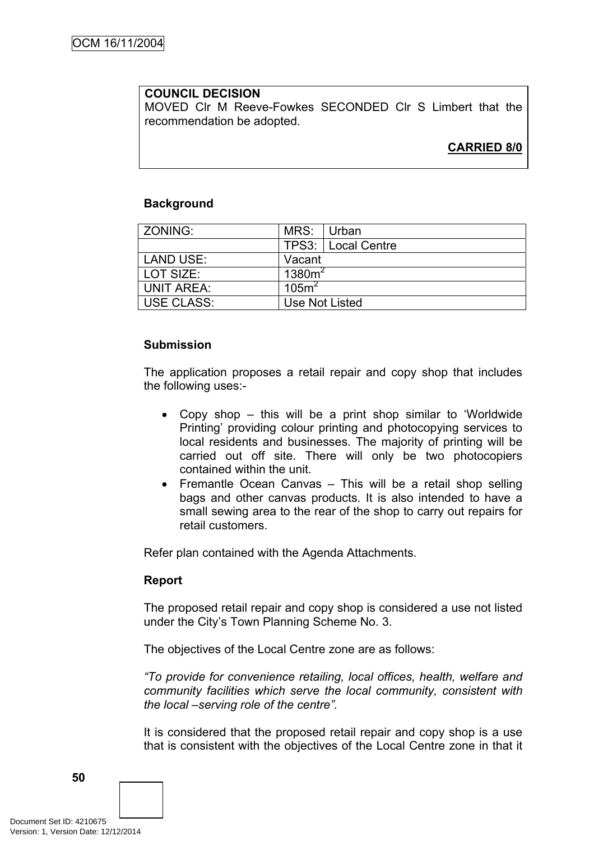#### **COUNCIL DECISION**

MOVED Clr M Reeve-Fowkes SECONDED Clr S Limbert that the recommendation be adopted.

# **CARRIED 8/0**

#### **Background**

| ZONING:          | MRS: Urban         |                      |
|------------------|--------------------|----------------------|
|                  |                    | TPS3:   Local Centre |
| <b>LAND USE:</b> | Vacant             |                      |
| LOT SIZE:        | 1380m <sup>2</sup> |                      |
| UNIT AREA:       | 105m <sup>2</sup>  |                      |
| USE CLASS:       | Use Not Listed     |                      |

#### **Submission**

The application proposes a retail repair and copy shop that includes the following uses:-

- Copy shop this will be a print shop similar to 'Worldwide Printing' providing colour printing and photocopying services to local residents and businesses. The majority of printing will be carried out off site. There will only be two photocopiers contained within the unit.
- Fremantle Ocean Canvas This will be a retail shop selling bags and other canvas products. It is also intended to have a small sewing area to the rear of the shop to carry out repairs for retail customers.

Refer plan contained with the Agenda Attachments.

#### **Report**

The proposed retail repair and copy shop is considered a use not listed under the City's Town Planning Scheme No. 3.

The objectives of the Local Centre zone are as follows:

*"To provide for convenience retailing, local offices, health, welfare and community facilities which serve the local community, consistent with the local –serving role of the centre".* 

It is considered that the proposed retail repair and copy shop is a use that is consistent with the objectives of the Local Centre zone in that it

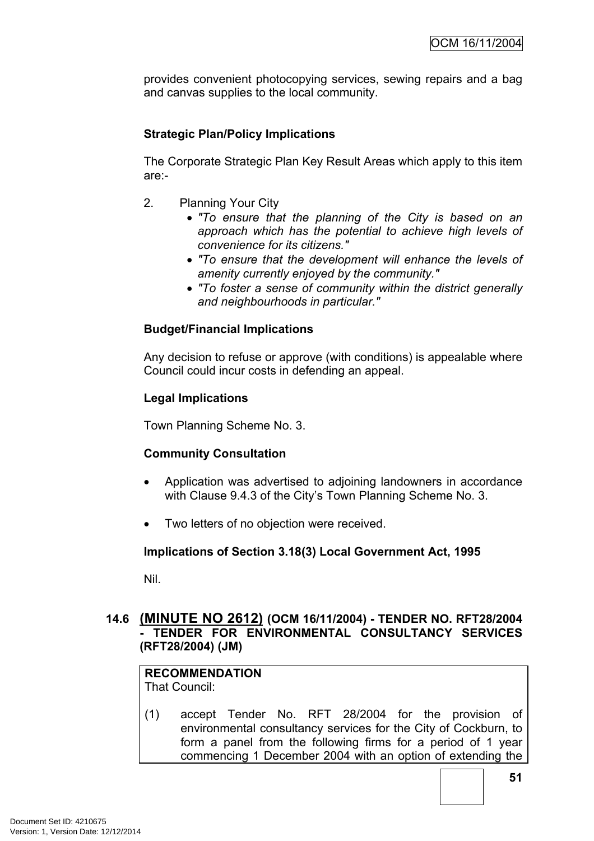provides convenient photocopying services, sewing repairs and a bag and canvas supplies to the local community.

## **Strategic Plan/Policy Implications**

The Corporate Strategic Plan Key Result Areas which apply to this item are:-

- 2. Planning Your City
	- *"To ensure that the planning of the City is based on an approach which has the potential to achieve high levels of convenience for its citizens."*
	- *"To ensure that the development will enhance the levels of amenity currently enjoyed by the community."*
	- *"To foster a sense of community within the district generally and neighbourhoods in particular."*

## **Budget/Financial Implications**

Any decision to refuse or approve (with conditions) is appealable where Council could incur costs in defending an appeal.

### **Legal Implications**

Town Planning Scheme No. 3.

## **Community Consultation**

- Application was advertised to adjoining landowners in accordance with Clause 9.4.3 of the City's Town Planning Scheme No. 3.
- Two letters of no objection were received.

## **Implications of Section 3.18(3) Local Government Act, 1995**

Nil.

## **14.6 (MINUTE NO 2612) (OCM 16/11/2004) - TENDER NO. RFT28/2004 - TENDER FOR ENVIRONMENTAL CONSULTANCY SERVICES (RFT28/2004) (JM)**

# **RECOMMENDATION**

That Council:

(1) accept Tender No. RFT 28/2004 for the provision of environmental consultancy services for the City of Cockburn, to form a panel from the following firms for a period of 1 year commencing 1 December 2004 with an option of extending the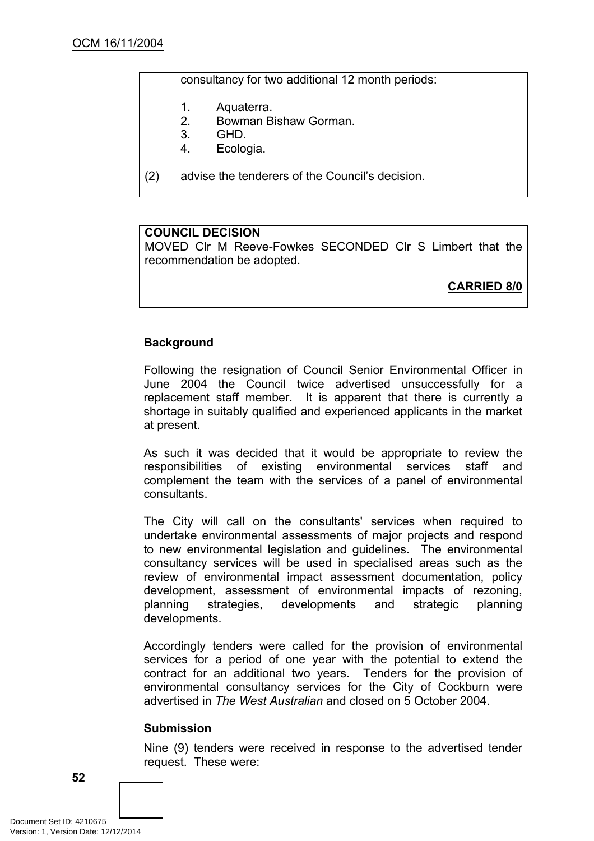consultancy for two additional 12 month periods:

- 1. Aquaterra.
- 2. Bowman Bishaw Gorman.
- 3. GHD.
- 4. Ecologia.
- (2) advise the tenderers of the Council's decision.

### **COUNCIL DECISION**

MOVED Clr M Reeve-Fowkes SECONDED Clr S Limbert that the recommendation be adopted.

**CARRIED 8/0**

## **Background**

Following the resignation of Council Senior Environmental Officer in June 2004 the Council twice advertised unsuccessfully for a replacement staff member. It is apparent that there is currently a shortage in suitably qualified and experienced applicants in the market at present.

As such it was decided that it would be appropriate to review the responsibilities of existing environmental services staff and complement the team with the services of a panel of environmental consultants.

The City will call on the consultants' services when required to undertake environmental assessments of major projects and respond to new environmental legislation and guidelines. The environmental consultancy services will be used in specialised areas such as the review of environmental impact assessment documentation, policy development, assessment of environmental impacts of rezoning, planning strategies, developments and strategic planning developments.

Accordingly tenders were called for the provision of environmental services for a period of one year with the potential to extend the contract for an additional two years. Tenders for the provision of environmental consultancy services for the City of Cockburn were advertised in *The West Australian* and closed on 5 October 2004.

## **Submission**

Nine (9) tenders were received in response to the advertised tender request. These were:

**52**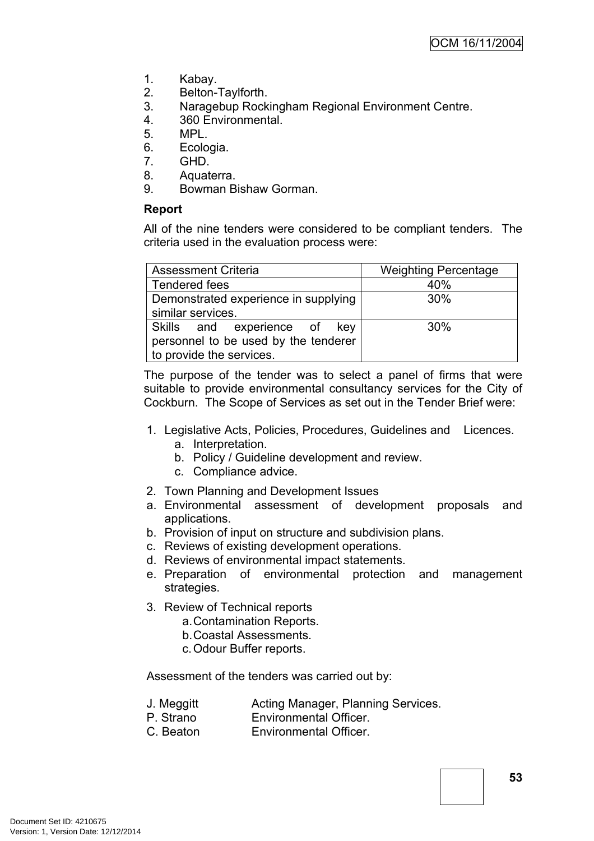- 1. Kabay.
- 2. Belton-Taylforth.
- 3. Naragebup Rockingham Regional Environment Centre.
- 4. 360 Environmental.
- 5. MPL.
- 6. Ecologia.
- 7. GHD.
- 8. Aquaterra.
- 9. Bowman Bishaw Gorman.

#### **Report**

All of the nine tenders were considered to be compliant tenders. The criteria used in the evaluation process were:

| <b>Assessment Criteria</b>           | <b>Weighting Percentage</b> |  |
|--------------------------------------|-----------------------------|--|
| Tendered fees                        | 40%                         |  |
| Demonstrated experience in supplying | 30%                         |  |
| similar services.                    |                             |  |
| Skills and experience of key         | 30%                         |  |
| personnel to be used by the tenderer |                             |  |
| to provide the services.             |                             |  |

The purpose of the tender was to select a panel of firms that were suitable to provide environmental consultancy services for the City of Cockburn. The Scope of Services as set out in the Tender Brief were:

- 1. Legislative Acts, Policies, Procedures, Guidelines and Licences.
	- a. Interpretation.
	- b. Policy / Guideline development and review.
	- c. Compliance advice.
- 2. Town Planning and Development Issues
- a. Environmental assessment of development proposals and applications.
- b. Provision of input on structure and subdivision plans.
- c. Reviews of existing development operations.
- d. Reviews of environmental impact statements.
- e. Preparation of environmental protection and management strategies.
- 3. Review of Technical reports
	- a. Contamination Reports.
	- b. Coastal Assessments.
	- c. Odour Buffer reports.

Assessment of the tenders was carried out by:

- J. Meggitt **Acting Manager, Planning Services.**
- P. Strano **Environmental Officer**
- C. Beaton Environmental Officer.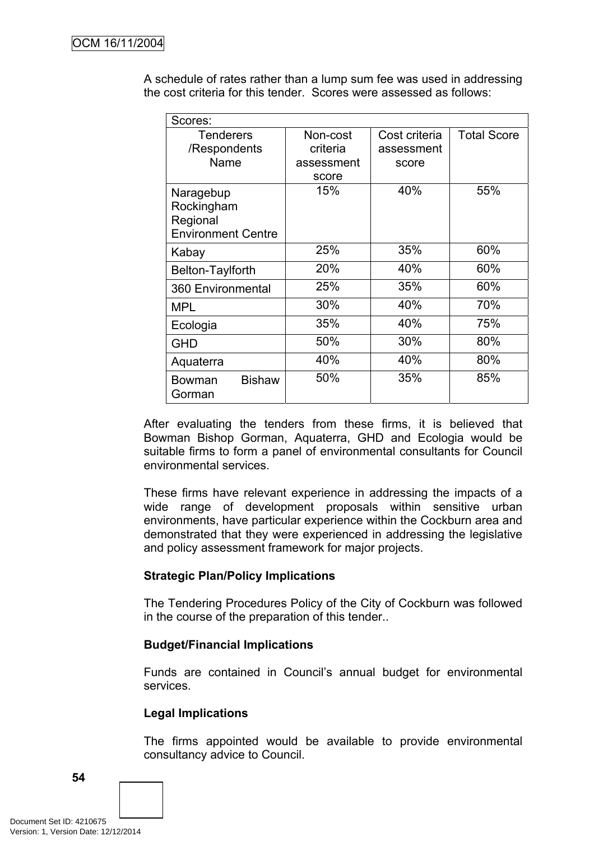A schedule of rates rather than a lump sum fee was used in addressing the cost criteria for this tender. Scores were assessed as follows:

| Scores:                           |            |               |                    |
|-----------------------------------|------------|---------------|--------------------|
| <b>Tenderers</b>                  | Non-cost   | Cost criteria | <b>Total Score</b> |
| /Respondents                      | criteria   | assessment    |                    |
| Name                              | assessment | score         |                    |
|                                   | score      |               |                    |
| Naragebup                         | 15%        | 40%           | 55%                |
| Rockingham                        |            |               |                    |
| Regional                          |            |               |                    |
| <b>Environment Centre</b>         |            |               |                    |
| Kabay                             | 25%        | 35%           | 60%                |
| Belton-Taylforth                  | 20%        | 40%           | 60%                |
| 360 Environmental                 | 25%        | 35%           | 60%                |
| <b>MPL</b>                        | 30%        | 40%           | 70%                |
| Ecologia                          | 35%        | 40%           | 75%                |
| GHD                               | 50%        | 30%           | 80%                |
| Aquaterra                         | 40%        | 40%           | 80%                |
| <b>Bishaw</b><br>Bowman<br>Gorman | 50%        | 35%           | 85%                |

After evaluating the tenders from these firms, it is believed that Bowman Bishop Gorman, Aquaterra, GHD and Ecologia would be suitable firms to form a panel of environmental consultants for Council environmental services.

These firms have relevant experience in addressing the impacts of a wide range of development proposals within sensitive urban environments, have particular experience within the Cockburn area and demonstrated that they were experienced in addressing the legislative and policy assessment framework for major projects.

#### **Strategic Plan/Policy Implications**

The Tendering Procedures Policy of the City of Cockburn was followed in the course of the preparation of this tender..

#### **Budget/Financial Implications**

Funds are contained in Council's annual budget for environmental services.

#### **Legal Implications**

The firms appointed would be available to provide environmental consultancy advice to Council.

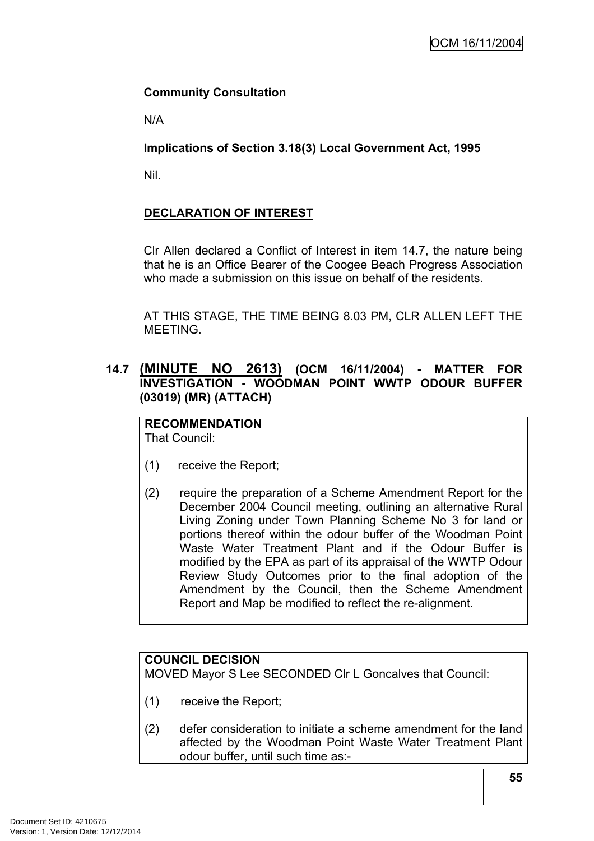## **Community Consultation**

N/A

**Implications of Section 3.18(3) Local Government Act, 1995**

Nil.

# **DECLARATION OF INTEREST**

Clr Allen declared a Conflict of Interest in item 14.7, the nature being that he is an Office Bearer of the Coogee Beach Progress Association who made a submission on this issue on behalf of the residents.

AT THIS STAGE, THE TIME BEING 8.03 PM, CLR ALLEN LEFT THE MEETING.

**14.7 (MINUTE NO 2613) (OCM 16/11/2004) - MATTER FOR INVESTIGATION - WOODMAN POINT WWTP ODOUR BUFFER (03019) (MR) (ATTACH)** 

#### **RECOMMENDATION** That Council:

- (1) receive the Report;
- (2) require the preparation of a Scheme Amendment Report for the December 2004 Council meeting, outlining an alternative Rural Living Zoning under Town Planning Scheme No 3 for land or portions thereof within the odour buffer of the Woodman Point Waste Water Treatment Plant and if the Odour Buffer is modified by the EPA as part of its appraisal of the WWTP Odour Review Study Outcomes prior to the final adoption of the Amendment by the Council, then the Scheme Amendment Report and Map be modified to reflect the re-alignment.

## **COUNCIL DECISION**

MOVED Mayor S Lee SECONDED Clr L Goncalves that Council:

- (1) receive the Report;
- (2) defer consideration to initiate a scheme amendment for the land affected by the Woodman Point Waste Water Treatment Plant odour buffer, until such time as:-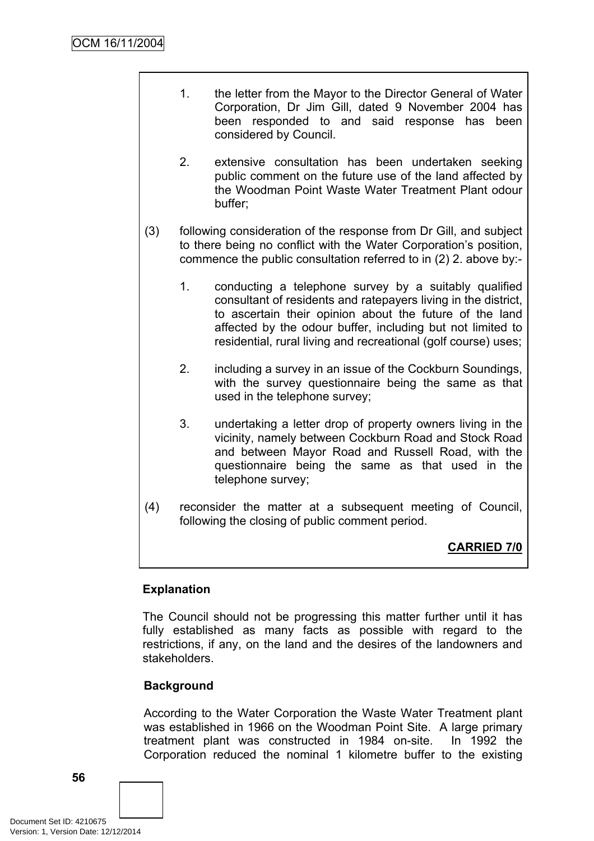- 1. the letter from the Mayor to the Director General of Water Corporation, Dr Jim Gill, dated 9 November 2004 has been responded to and said response has been considered by Council.
- 2. extensive consultation has been undertaken seeking public comment on the future use of the land affected by the Woodman Point Waste Water Treatment Plant odour buffer;
- (3) following consideration of the response from Dr Gill, and subject to there being no conflict with the Water Corporation's position, commence the public consultation referred to in (2) 2. above by:-
	- 1. conducting a telephone survey by a suitably qualified consultant of residents and ratepayers living in the district, to ascertain their opinion about the future of the land affected by the odour buffer, including but not limited to residential, rural living and recreational (golf course) uses;
	- 2. including a survey in an issue of the Cockburn Soundings, with the survey questionnaire being the same as that used in the telephone survey;
	- 3. undertaking a letter drop of property owners living in the vicinity, namely between Cockburn Road and Stock Road and between Mayor Road and Russell Road, with the questionnaire being the same as that used in the telephone survey;
- (4) reconsider the matter at a subsequent meeting of Council, following the closing of public comment period.

**CARRIED 7/0**

## **Explanation**

The Council should not be progressing this matter further until it has fully established as many facts as possible with regard to the restrictions, if any, on the land and the desires of the landowners and stakeholders.

## **Background**

According to the Water Corporation the Waste Water Treatment plant was established in 1966 on the Woodman Point Site. A large primary treatment plant was constructed in 1984 on-site. In 1992 the Corporation reduced the nominal 1 kilometre buffer to the existing

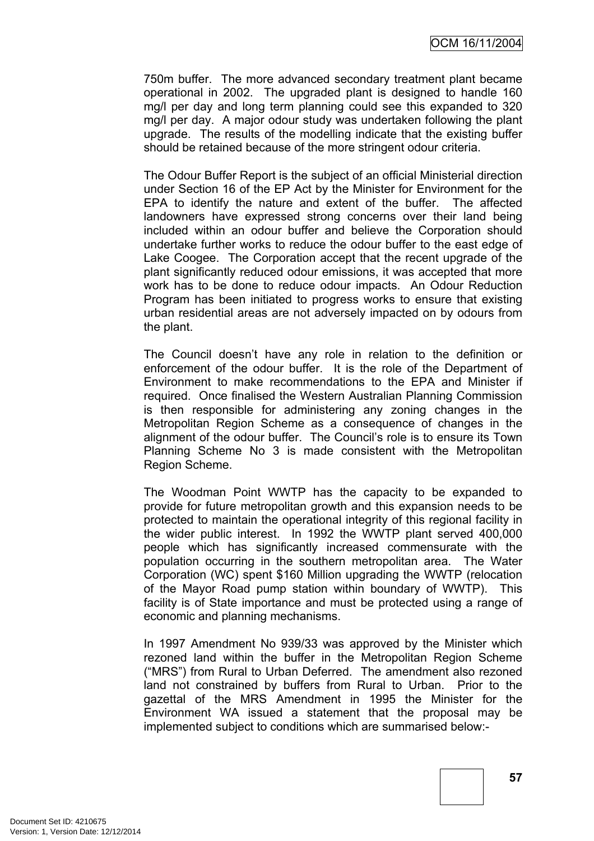750m buffer. The more advanced secondary treatment plant became operational in 2002. The upgraded plant is designed to handle 160 mg/l per day and long term planning could see this expanded to 320 mg/l per day. A major odour study was undertaken following the plant upgrade. The results of the modelling indicate that the existing buffer should be retained because of the more stringent odour criteria.

The Odour Buffer Report is the subject of an official Ministerial direction under Section 16 of the EP Act by the Minister for Environment for the EPA to identify the nature and extent of the buffer. The affected landowners have expressed strong concerns over their land being included within an odour buffer and believe the Corporation should undertake further works to reduce the odour buffer to the east edge of Lake Coogee. The Corporation accept that the recent upgrade of the plant significantly reduced odour emissions, it was accepted that more work has to be done to reduce odour impacts. An Odour Reduction Program has been initiated to progress works to ensure that existing urban residential areas are not adversely impacted on by odours from the plant.

The Council doesn't have any role in relation to the definition or enforcement of the odour buffer. It is the role of the Department of Environment to make recommendations to the EPA and Minister if required. Once finalised the Western Australian Planning Commission is then responsible for administering any zoning changes in the Metropolitan Region Scheme as a consequence of changes in the alignment of the odour buffer. The Council's role is to ensure its Town Planning Scheme No 3 is made consistent with the Metropolitan Region Scheme.

The Woodman Point WWTP has the capacity to be expanded to provide for future metropolitan growth and this expansion needs to be protected to maintain the operational integrity of this regional facility in the wider public interest. In 1992 the WWTP plant served 400,000 people which has significantly increased commensurate with the population occurring in the southern metropolitan area. The Water Corporation (WC) spent \$160 Million upgrading the WWTP (relocation of the Mayor Road pump station within boundary of WWTP). This facility is of State importance and must be protected using a range of economic and planning mechanisms.

In 1997 Amendment No 939/33 was approved by the Minister which rezoned land within the buffer in the Metropolitan Region Scheme ("MRS") from Rural to Urban Deferred. The amendment also rezoned land not constrained by buffers from Rural to Urban. Prior to the gazettal of the MRS Amendment in 1995 the Minister for the Environment WA issued a statement that the proposal may be implemented subject to conditions which are summarised below:-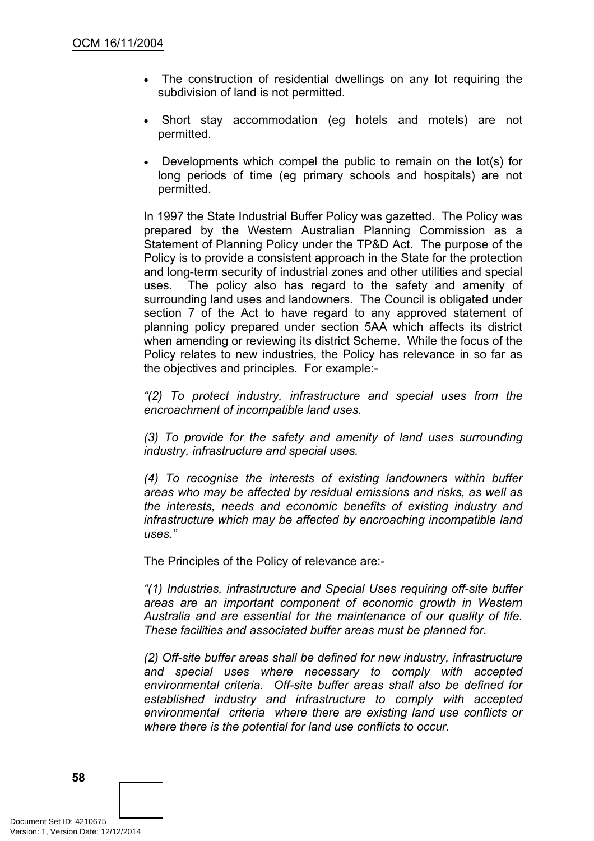- The construction of residential dwellings on any lot requiring the subdivision of land is not permitted.
- Short stay accommodation (eg hotels and motels) are not permitted.
- Developments which compel the public to remain on the lot(s) for long periods of time (eg primary schools and hospitals) are not permitted.

In 1997 the State Industrial Buffer Policy was gazetted. The Policy was prepared by the Western Australian Planning Commission as a Statement of Planning Policy under the TP&D Act. The purpose of the Policy is to provide a consistent approach in the State for the protection and long-term security of industrial zones and other utilities and special uses. The policy also has regard to the safety and amenity of surrounding land uses and landowners. The Council is obligated under section 7 of the Act to have regard to any approved statement of planning policy prepared under section 5AA which affects its district when amending or reviewing its district Scheme. While the focus of the Policy relates to new industries, the Policy has relevance in so far as the objectives and principles. For example:-

*"(2) To protect industry, infrastructure and special uses from the encroachment of incompatible land uses.* 

*(3) To provide for the safety and amenity of land uses surrounding industry, infrastructure and special uses.* 

*(4) To recognise the interests of existing landowners within buffer areas who may be affected by residual emissions and risks, as well as the interests, needs and economic benefits of existing industry and infrastructure which may be affected by encroaching incompatible land uses."* 

The Principles of the Policy of relevance are:-

*"(1) Industries, infrastructure and Special Uses requiring off-site buffer areas are an important component of economic growth in Western Australia and are essential for the maintenance of our quality of life. These facilities and associated buffer areas must be planned for.* 

*(2) Off-site buffer areas shall be defined for new industry, infrastructure and special uses where necessary to comply with accepted environmental criteria. Off-site buffer areas shall also be defined for established industry and infrastructure to comply with accepted environmental criteria where there are existing land use conflicts or where there is the potential for land use conflicts to occur.* 

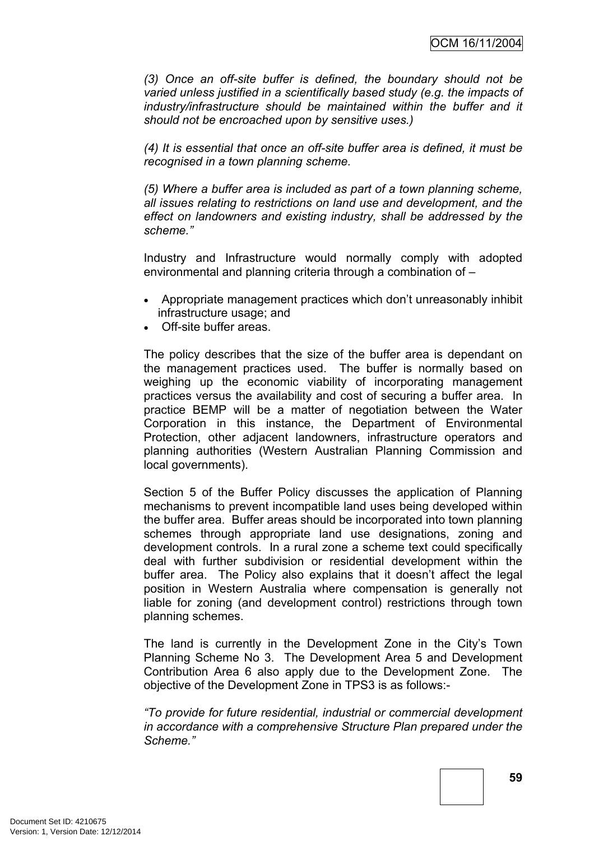*(3) Once an off-site buffer is defined, the boundary should not be varied unless justified in a scientifically based study (e.g. the impacts of industry/infrastructure should be maintained within the buffer and it should not be encroached upon by sensitive uses.)* 

*(4) It is essential that once an off-site buffer area is defined, it must be recognised in a town planning scheme.* 

*(5) Where a buffer area is included as part of a town planning scheme, all issues relating to restrictions on land use and development, and the effect on landowners and existing industry, shall be addressed by the scheme."* 

Industry and Infrastructure would normally comply with adopted environmental and planning criteria through a combination of –

- Appropriate management practices which don't unreasonably inhibit infrastructure usage; and
- Off-site buffer areas.

The policy describes that the size of the buffer area is dependant on the management practices used. The buffer is normally based on weighing up the economic viability of incorporating management practices versus the availability and cost of securing a buffer area. In practice BEMP will be a matter of negotiation between the Water Corporation in this instance, the Department of Environmental Protection, other adjacent landowners, infrastructure operators and planning authorities (Western Australian Planning Commission and local governments).

Section 5 of the Buffer Policy discusses the application of Planning mechanisms to prevent incompatible land uses being developed within the buffer area. Buffer areas should be incorporated into town planning schemes through appropriate land use designations, zoning and development controls. In a rural zone a scheme text could specifically deal with further subdivision or residential development within the buffer area. The Policy also explains that it doesn't affect the legal position in Western Australia where compensation is generally not liable for zoning (and development control) restrictions through town planning schemes.

The land is currently in the Development Zone in the City's Town Planning Scheme No 3. The Development Area 5 and Development Contribution Area 6 also apply due to the Development Zone. The objective of the Development Zone in TPS3 is as follows:-

*"To provide for future residential, industrial or commercial development in accordance with a comprehensive Structure Plan prepared under the Scheme."*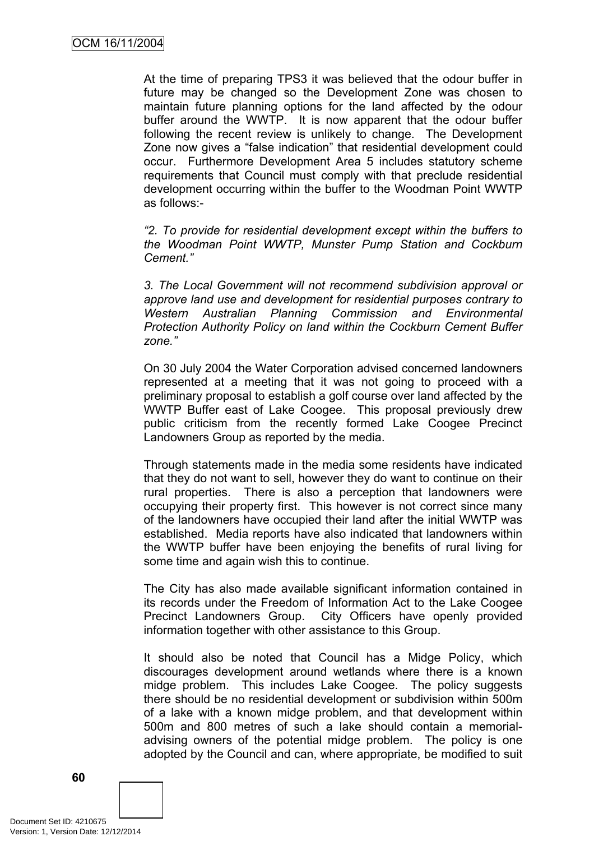At the time of preparing TPS3 it was believed that the odour buffer in future may be changed so the Development Zone was chosen to maintain future planning options for the land affected by the odour buffer around the WWTP. It is now apparent that the odour buffer following the recent review is unlikely to change. The Development Zone now gives a "false indication" that residential development could occur. Furthermore Development Area 5 includes statutory scheme requirements that Council must comply with that preclude residential development occurring within the buffer to the Woodman Point WWTP as follows:-

*"2. To provide for residential development except within the buffers to the Woodman Point WWTP, Munster Pump Station and Cockburn Cement."* 

*3. The Local Government will not recommend subdivision approval or approve land use and development for residential purposes contrary to Western Australian Planning Commission and Environmental Protection Authority Policy on land within the Cockburn Cement Buffer zone."* 

On 30 July 2004 the Water Corporation advised concerned landowners represented at a meeting that it was not going to proceed with a preliminary proposal to establish a golf course over land affected by the WWTP Buffer east of Lake Coogee. This proposal previously drew public criticism from the recently formed Lake Coogee Precinct Landowners Group as reported by the media.

Through statements made in the media some residents have indicated that they do not want to sell, however they do want to continue on their rural properties. There is also a perception that landowners were occupying their property first. This however is not correct since many of the landowners have occupied their land after the initial WWTP was established. Media reports have also indicated that landowners within the WWTP buffer have been enjoying the benefits of rural living for some time and again wish this to continue.

The City has also made available significant information contained in its records under the Freedom of Information Act to the Lake Coogee Precinct Landowners Group. City Officers have openly provided information together with other assistance to this Group.

It should also be noted that Council has a Midge Policy, which discourages development around wetlands where there is a known midge problem. This includes Lake Coogee. The policy suggests there should be no residential development or subdivision within 500m of a lake with a known midge problem, and that development within 500m and 800 metres of such a lake should contain a memorialadvising owners of the potential midge problem. The policy is one adopted by the Council and can, where appropriate, be modified to suit

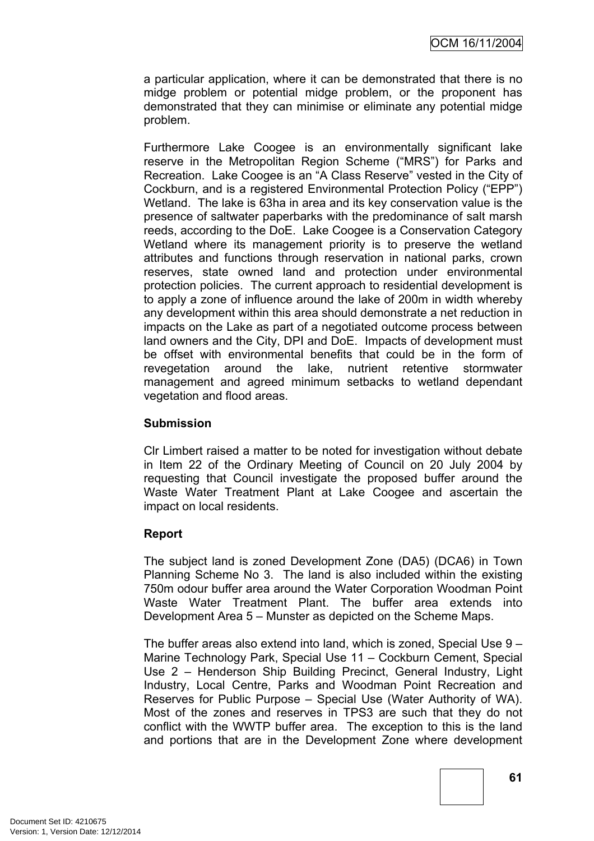a particular application, where it can be demonstrated that there is no midge problem or potential midge problem, or the proponent has demonstrated that they can minimise or eliminate any potential midge problem.

Furthermore Lake Coogee is an environmentally significant lake reserve in the Metropolitan Region Scheme ("MRS") for Parks and Recreation. Lake Coogee is an "A Class Reserve" vested in the City of Cockburn, and is a registered Environmental Protection Policy ("EPP") Wetland. The lake is 63ha in area and its key conservation value is the presence of saltwater paperbarks with the predominance of salt marsh reeds, according to the DoE. Lake Coogee is a Conservation Category Wetland where its management priority is to preserve the wetland attributes and functions through reservation in national parks, crown reserves, state owned land and protection under environmental protection policies. The current approach to residential development is to apply a zone of influence around the lake of 200m in width whereby any development within this area should demonstrate a net reduction in impacts on the Lake as part of a negotiated outcome process between land owners and the City, DPI and DoE. Impacts of development must be offset with environmental benefits that could be in the form of revegetation around the lake, nutrient retentive stormwater management and agreed minimum setbacks to wetland dependant vegetation and flood areas.

#### **Submission**

Clr Limbert raised a matter to be noted for investigation without debate in Item 22 of the Ordinary Meeting of Council on 20 July 2004 by requesting that Council investigate the proposed buffer around the Waste Water Treatment Plant at Lake Coogee and ascertain the impact on local residents.

## **Report**

The subject land is zoned Development Zone (DA5) (DCA6) in Town Planning Scheme No 3. The land is also included within the existing 750m odour buffer area around the Water Corporation Woodman Point Waste Water Treatment Plant. The buffer area extends into Development Area 5 – Munster as depicted on the Scheme Maps.

The buffer areas also extend into land, which is zoned, Special Use 9 – Marine Technology Park, Special Use 11 – Cockburn Cement, Special Use 2 – Henderson Ship Building Precinct, General Industry, Light Industry, Local Centre, Parks and Woodman Point Recreation and Reserves for Public Purpose – Special Use (Water Authority of WA). Most of the zones and reserves in TPS3 are such that they do not conflict with the WWTP buffer area. The exception to this is the land and portions that are in the Development Zone where development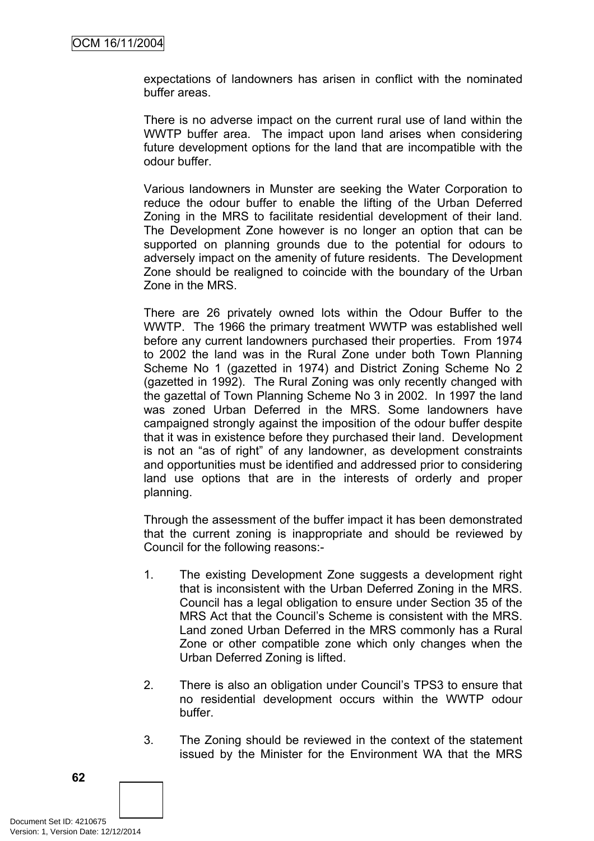expectations of landowners has arisen in conflict with the nominated buffer areas.

There is no adverse impact on the current rural use of land within the WWTP buffer area. The impact upon land arises when considering future development options for the land that are incompatible with the odour buffer.

Various landowners in Munster are seeking the Water Corporation to reduce the odour buffer to enable the lifting of the Urban Deferred Zoning in the MRS to facilitate residential development of their land. The Development Zone however is no longer an option that can be supported on planning grounds due to the potential for odours to adversely impact on the amenity of future residents. The Development Zone should be realigned to coincide with the boundary of the Urban Zone in the MRS.

There are 26 privately owned lots within the Odour Buffer to the WWTP. The 1966 the primary treatment WWTP was established well before any current landowners purchased their properties. From 1974 to 2002 the land was in the Rural Zone under both Town Planning Scheme No 1 (gazetted in 1974) and District Zoning Scheme No 2 (gazetted in 1992). The Rural Zoning was only recently changed with the gazettal of Town Planning Scheme No 3 in 2002. In 1997 the land was zoned Urban Deferred in the MRS. Some landowners have campaigned strongly against the imposition of the odour buffer despite that it was in existence before they purchased their land. Development is not an "as of right" of any landowner, as development constraints and opportunities must be identified and addressed prior to considering land use options that are in the interests of orderly and proper planning.

Through the assessment of the buffer impact it has been demonstrated that the current zoning is inappropriate and should be reviewed by Council for the following reasons:-

- 1. The existing Development Zone suggests a development right that is inconsistent with the Urban Deferred Zoning in the MRS. Council has a legal obligation to ensure under Section 35 of the MRS Act that the Council's Scheme is consistent with the MRS. Land zoned Urban Deferred in the MRS commonly has a Rural Zone or other compatible zone which only changes when the Urban Deferred Zoning is lifted.
- 2. There is also an obligation under Council's TPS3 to ensure that no residential development occurs within the WWTP odour buffer.
- 3. The Zoning should be reviewed in the context of the statement issued by the Minister for the Environment WA that the MRS

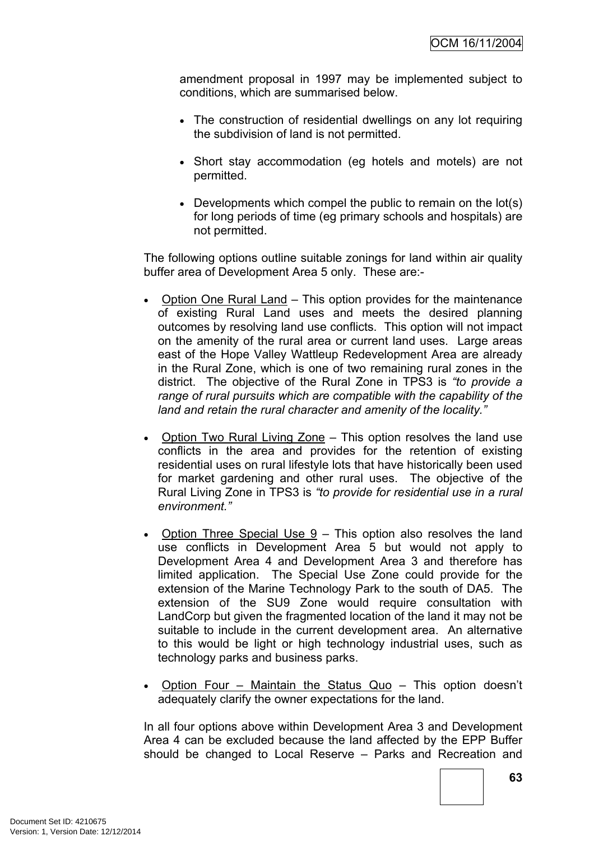amendment proposal in 1997 may be implemented subject to conditions, which are summarised below.

- The construction of residential dwellings on any lot requiring the subdivision of land is not permitted.
- Short stay accommodation (eg hotels and motels) are not permitted.
- Developments which compel the public to remain on the lot(s) for long periods of time (eg primary schools and hospitals) are not permitted.

The following options outline suitable zonings for land within air quality buffer area of Development Area 5 only. These are:-

- Option One Rural Land This option provides for the maintenance of existing Rural Land uses and meets the desired planning outcomes by resolving land use conflicts. This option will not impact on the amenity of the rural area or current land uses. Large areas east of the Hope Valley Wattleup Redevelopment Area are already in the Rural Zone, which is one of two remaining rural zones in the district. The objective of the Rural Zone in TPS3 is *"to provide a range of rural pursuits which are compatible with the capability of the land and retain the rural character and amenity of the locality."*
- Option Two Rural Living Zone This option resolves the land use conflicts in the area and provides for the retention of existing residential uses on rural lifestyle lots that have historically been used for market gardening and other rural uses. The objective of the Rural Living Zone in TPS3 is *"to provide for residential use in a rural environment."*
- Option Three Special Use  $9$  This option also resolves the land use conflicts in Development Area 5 but would not apply to Development Area 4 and Development Area 3 and therefore has limited application. The Special Use Zone could provide for the extension of the Marine Technology Park to the south of DA5. The extension of the SU9 Zone would require consultation with LandCorp but given the fragmented location of the land it may not be suitable to include in the current development area. An alternative to this would be light or high technology industrial uses, such as technology parks and business parks.
- Option Four Maintain the Status Quo This option doesn't adequately clarify the owner expectations for the land.

In all four options above within Development Area 3 and Development Area 4 can be excluded because the land affected by the EPP Buffer should be changed to Local Reserve – Parks and Recreation and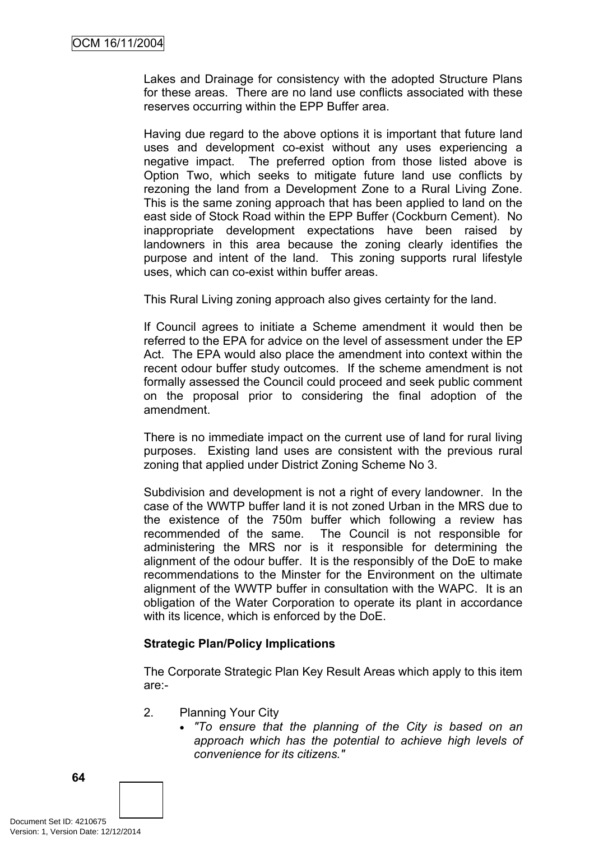Lakes and Drainage for consistency with the adopted Structure Plans for these areas. There are no land use conflicts associated with these reserves occurring within the EPP Buffer area.

Having due regard to the above options it is important that future land uses and development co-exist without any uses experiencing a negative impact. The preferred option from those listed above is Option Two, which seeks to mitigate future land use conflicts by rezoning the land from a Development Zone to a Rural Living Zone. This is the same zoning approach that has been applied to land on the east side of Stock Road within the EPP Buffer (Cockburn Cement). No inappropriate development expectations have been raised by landowners in this area because the zoning clearly identifies the purpose and intent of the land. This zoning supports rural lifestyle uses, which can co-exist within buffer areas.

This Rural Living zoning approach also gives certainty for the land.

If Council agrees to initiate a Scheme amendment it would then be referred to the EPA for advice on the level of assessment under the EP Act. The EPA would also place the amendment into context within the recent odour buffer study outcomes. If the scheme amendment is not formally assessed the Council could proceed and seek public comment on the proposal prior to considering the final adoption of the amendment.

There is no immediate impact on the current use of land for rural living purposes. Existing land uses are consistent with the previous rural zoning that applied under District Zoning Scheme No 3.

Subdivision and development is not a right of every landowner. In the case of the WWTP buffer land it is not zoned Urban in the MRS due to the existence of the 750m buffer which following a review has recommended of the same. The Council is not responsible for administering the MRS nor is it responsible for determining the alignment of the odour buffer. It is the responsibly of the DoE to make recommendations to the Minster for the Environment on the ultimate alignment of the WWTP buffer in consultation with the WAPC. It is an obligation of the Water Corporation to operate its plant in accordance with its licence, which is enforced by the DoE.

#### **Strategic Plan/Policy Implications**

The Corporate Strategic Plan Key Result Areas which apply to this item are:-

- 2. Planning Your City
	- *"To ensure that the planning of the City is based on an approach which has the potential to achieve high levels of convenience for its citizens."*

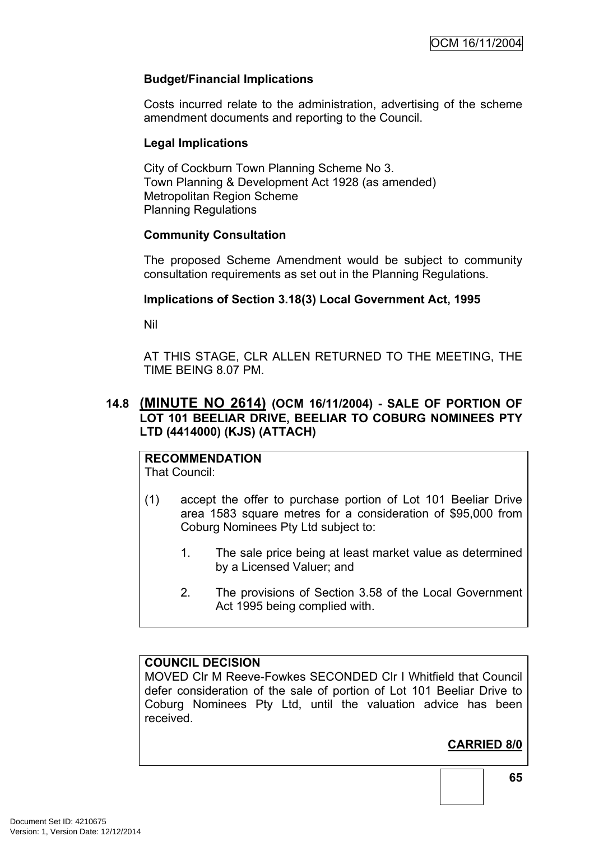## **Budget/Financial Implications**

Costs incurred relate to the administration, advertising of the scheme amendment documents and reporting to the Council.

## **Legal Implications**

City of Cockburn Town Planning Scheme No 3. Town Planning & Development Act 1928 (as amended) Metropolitan Region Scheme Planning Regulations

### **Community Consultation**

The proposed Scheme Amendment would be subject to community consultation requirements as set out in the Planning Regulations.

#### **Implications of Section 3.18(3) Local Government Act, 1995**

Nil

AT THIS STAGE, CLR ALLEN RETURNED TO THE MEETING, THE TIME BEING 8.07 PM.

#### **14.8 (MINUTE NO 2614) (OCM 16/11/2004) - SALE OF PORTION OF LOT 101 BEELIAR DRIVE, BEELIAR TO COBURG NOMINEES PTY LTD (4414000) (KJS) (ATTACH)**

**RECOMMENDATION** That Council:

- (1) accept the offer to purchase portion of Lot 101 Beeliar Drive area 1583 square metres for a consideration of \$95,000 from Coburg Nominees Pty Ltd subject to:
	- 1. The sale price being at least market value as determined by a Licensed Valuer; and
	- 2. The provisions of Section 3.58 of the Local Government Act 1995 being complied with.

## **COUNCIL DECISION**

MOVED Clr M Reeve-Fowkes SECONDED Clr I Whitfield that Council defer consideration of the sale of portion of Lot 101 Beeliar Drive to Coburg Nominees Pty Ltd, until the valuation advice has been received.

# **CARRIED 8/0**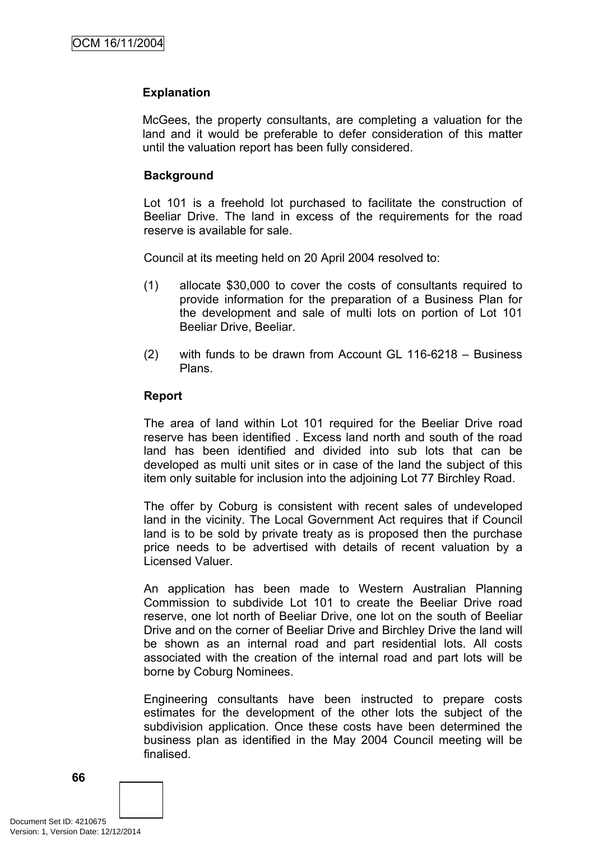#### **Explanation**

McGees, the property consultants, are completing a valuation for the land and it would be preferable to defer consideration of this matter until the valuation report has been fully considered.

#### **Background**

Lot 101 is a freehold lot purchased to facilitate the construction of Beeliar Drive. The land in excess of the requirements for the road reserve is available for sale.

Council at its meeting held on 20 April 2004 resolved to:

- (1) allocate \$30,000 to cover the costs of consultants required to provide information for the preparation of a Business Plan for the development and sale of multi lots on portion of Lot 101 Beeliar Drive, Beeliar.
- (2) with funds to be drawn from Account GL 116-6218 Business Plans.

#### **Report**

The area of land within Lot 101 required for the Beeliar Drive road reserve has been identified . Excess land north and south of the road land has been identified and divided into sub lots that can be developed as multi unit sites or in case of the land the subject of this item only suitable for inclusion into the adjoining Lot 77 Birchley Road.

The offer by Coburg is consistent with recent sales of undeveloped land in the vicinity. The Local Government Act requires that if Council land is to be sold by private treaty as is proposed then the purchase price needs to be advertised with details of recent valuation by a Licensed Valuer.

An application has been made to Western Australian Planning Commission to subdivide Lot 101 to create the Beeliar Drive road reserve, one lot north of Beeliar Drive, one lot on the south of Beeliar Drive and on the corner of Beeliar Drive and Birchley Drive the land will be shown as an internal road and part residential lots. All costs associated with the creation of the internal road and part lots will be borne by Coburg Nominees.

Engineering consultants have been instructed to prepare costs estimates for the development of the other lots the subject of the subdivision application. Once these costs have been determined the business plan as identified in the May 2004 Council meeting will be finalised.

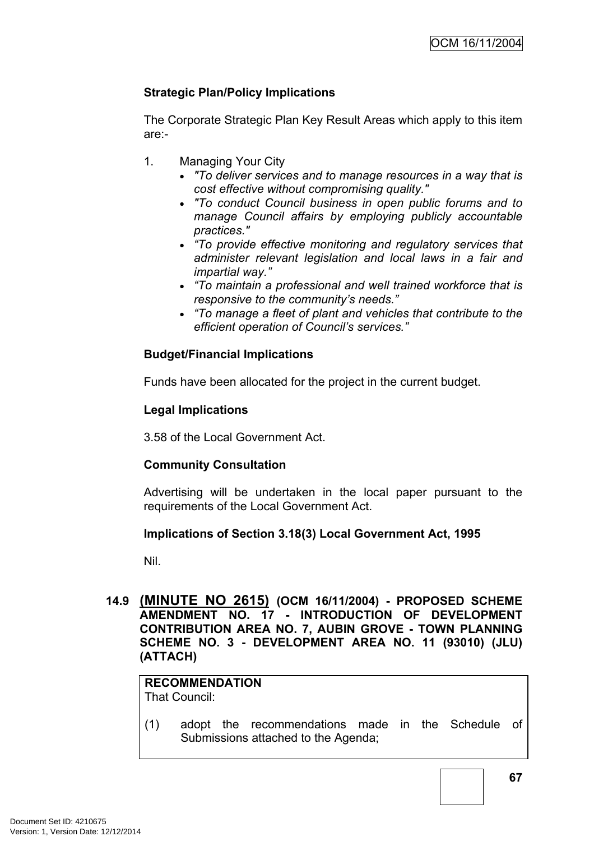## **Strategic Plan/Policy Implications**

The Corporate Strategic Plan Key Result Areas which apply to this item are:-

- 1. Managing Your City
	- *"To deliver services and to manage resources in a way that is cost effective without compromising quality."*
	- *"To conduct Council business in open public forums and to manage Council affairs by employing publicly accountable practices."*
	- *"To provide effective monitoring and regulatory services that administer relevant legislation and local laws in a fair and impartial way."*
	- *"To maintain a professional and well trained workforce that is responsive to the community's needs."*
	- *"To manage a fleet of plant and vehicles that contribute to the efficient operation of Council's services."*

### **Budget/Financial Implications**

Funds have been allocated for the project in the current budget.

#### **Legal Implications**

3.58 of the Local Government Act.

#### **Community Consultation**

Advertising will be undertaken in the local paper pursuant to the requirements of the Local Government Act.

#### **Implications of Section 3.18(3) Local Government Act, 1995**

Nil.

#### **14.9 (MINUTE NO 2615) (OCM 16/11/2004) - PROPOSED SCHEME AMENDMENT NO. 17 - INTRODUCTION OF DEVELOPMENT CONTRIBUTION AREA NO. 7, AUBIN GROVE - TOWN PLANNING SCHEME NO. 3 - DEVELOPMENT AREA NO. 11 (93010) (JLU) (ATTACH)**

#### **RECOMMENDATION** That Council:

(1) adopt the recommendations made in the Schedule of Submissions attached to the Agenda;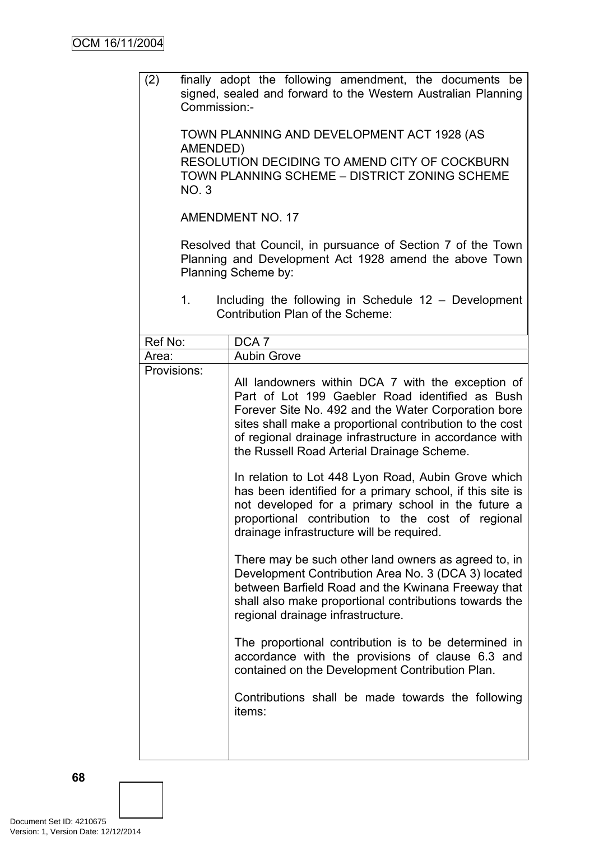| (2)                  | Commission:- | finally adopt the following amendment, the documents be<br>signed, sealed and forward to the Western Australian Planning                                                                                                                                                                                                                                                               |
|----------------------|--------------|----------------------------------------------------------------------------------------------------------------------------------------------------------------------------------------------------------------------------------------------------------------------------------------------------------------------------------------------------------------------------------------|
|                      | AMENDED)     | TOWN PLANNING AND DEVELOPMENT ACT 1928 (AS                                                                                                                                                                                                                                                                                                                                             |
|                      | <b>NO.3</b>  | RESOLUTION DECIDING TO AMEND CITY OF COCKBURN<br>TOWN PLANNING SCHEME - DISTRICT ZONING SCHEME                                                                                                                                                                                                                                                                                         |
|                      |              | <b>AMENDMENT NO. 17</b>                                                                                                                                                                                                                                                                                                                                                                |
|                      |              | Resolved that Council, in pursuance of Section 7 of the Town<br>Planning and Development Act 1928 amend the above Town<br>Planning Scheme by:                                                                                                                                                                                                                                          |
|                      | 1.           | Including the following in Schedule $12 -$ Development<br>Contribution Plan of the Scheme:                                                                                                                                                                                                                                                                                             |
| Ref No:              |              | DCA <sub>7</sub>                                                                                                                                                                                                                                                                                                                                                                       |
| Area:<br>Provisions: |              | <b>Aubin Grove</b>                                                                                                                                                                                                                                                                                                                                                                     |
|                      |              | All landowners within DCA 7 with the exception of<br>Part of Lot 199 Gaebler Road identified as Bush<br>Forever Site No. 492 and the Water Corporation bore<br>sites shall make a proportional contribution to the cost<br>of regional drainage infrastructure in accordance with<br>the Russell Road Arterial Drainage Scheme.<br>In relation to Lot 448 Lyon Road, Aubin Grove which |
|                      |              | has been identified for a primary school, if this site is<br>not developed for a primary school in the future a<br>proportional contribution to the cost of regional<br>drainage infrastructure will be required.                                                                                                                                                                      |
|                      |              | There may be such other land owners as agreed to, in<br>Development Contribution Area No. 3 (DCA 3) located<br>between Barfield Road and the Kwinana Freeway that<br>shall also make proportional contributions towards the<br>regional drainage infrastructure.                                                                                                                       |
|                      |              | The proportional contribution is to be determined in<br>accordance with the provisions of clause 6.3 and<br>contained on the Development Contribution Plan.                                                                                                                                                                                                                            |
|                      |              | Contributions shall be made towards the following<br>items:                                                                                                                                                                                                                                                                                                                            |
|                      |              |                                                                                                                                                                                                                                                                                                                                                                                        |

Document Set ID: 4210675<br>Version: 1, Version Date: 12/12/2014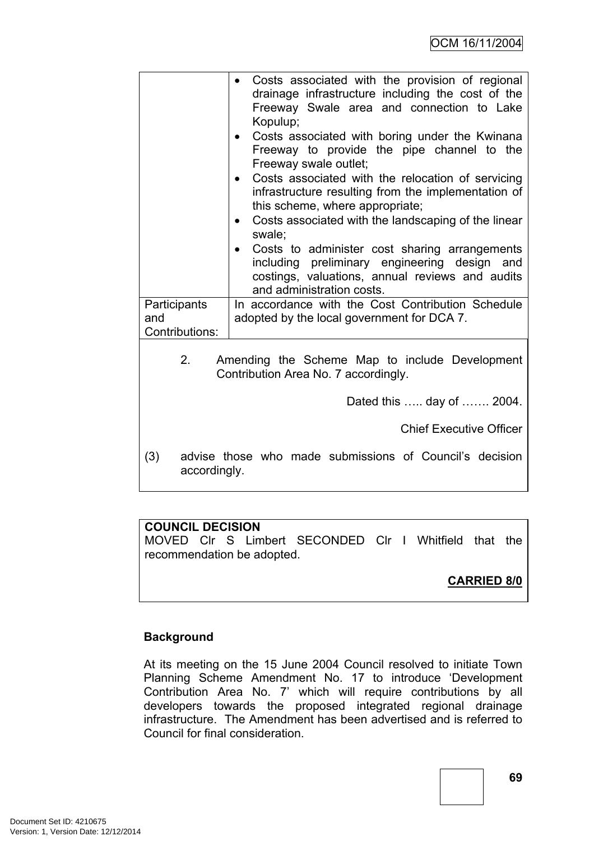|                                       | Costs associated with the provision of regional<br>drainage infrastructure including the cost of the<br>Freeway Swale area and connection to Lake<br>Kopulup;<br>Costs associated with boring under the Kwinana<br>Freeway to provide the pipe channel to the<br>Freeway swale outlet;<br>Costs associated with the relocation of servicing<br>infrastructure resulting from the implementation of<br>this scheme, where appropriate;<br>Costs associated with the landscaping of the linear<br>swale;<br>Costs to administer cost sharing arrangements<br>including preliminary engineering design and<br>costings, valuations, annual reviews and audits<br>and administration costs. |
|---------------------------------------|-----------------------------------------------------------------------------------------------------------------------------------------------------------------------------------------------------------------------------------------------------------------------------------------------------------------------------------------------------------------------------------------------------------------------------------------------------------------------------------------------------------------------------------------------------------------------------------------------------------------------------------------------------------------------------------------|
| Participants<br>and<br>Contributions: | In accordance with the Cost Contribution Schedule<br>adopted by the local government for DCA 7.                                                                                                                                                                                                                                                                                                                                                                                                                                                                                                                                                                                         |
| 2 <sup>1</sup>                        |                                                                                                                                                                                                                                                                                                                                                                                                                                                                                                                                                                                                                                                                                         |
|                                       | Amending the Scheme Map to include Development<br>Contribution Area No. 7 accordingly.                                                                                                                                                                                                                                                                                                                                                                                                                                                                                                                                                                                                  |
|                                       | Dated this  day of  2004.                                                                                                                                                                                                                                                                                                                                                                                                                                                                                                                                                                                                                                                               |
|                                       | <b>Chief Executive Officer</b>                                                                                                                                                                                                                                                                                                                                                                                                                                                                                                                                                                                                                                                          |
| (3)<br>accordingly.                   | advise those who made submissions of Council's decision                                                                                                                                                                                                                                                                                                                                                                                                                                                                                                                                                                                                                                 |

### **COUNCIL DECISION**

MOVED Clr S Limbert SECONDED Clr I Whitfield that the recommendation be adopted.

# **CARRIED 8/0**

### **Background**

At its meeting on the 15 June 2004 Council resolved to initiate Town Planning Scheme Amendment No. 17 to introduce 'Development Contribution Area No. 7' which will require contributions by all developers towards the proposed integrated regional drainage infrastructure. The Amendment has been advertised and is referred to Council for final consideration.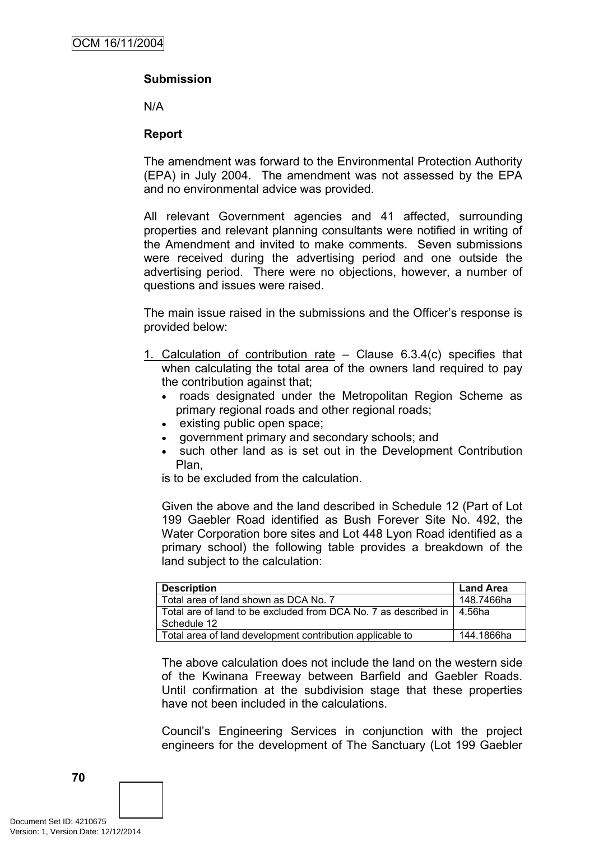## **Submission**

N/A

### **Report**

The amendment was forward to the Environmental Protection Authority (EPA) in July 2004. The amendment was not assessed by the EPA and no environmental advice was provided.

All relevant Government agencies and 41 affected, surrounding properties and relevant planning consultants were notified in writing of the Amendment and invited to make comments. Seven submissions were received during the advertising period and one outside the advertising period. There were no objections, however, a number of questions and issues were raised.

The main issue raised in the submissions and the Officer's response is provided below:

- 1. Calculation of contribution rate Clause 6.3.4(c) specifies that when calculating the total area of the owners land required to pay the contribution against that;
	- roads designated under the Metropolitan Region Scheme as primary regional roads and other regional roads;
	- existing public open space;
	- government primary and secondary schools; and
	- such other land as is set out in the Development Contribution Plan,

is to be excluded from the calculation.

Given the above and the land described in Schedule 12 (Part of Lot 199 Gaebler Road identified as Bush Forever Site No. 492, the Water Corporation bore sites and Lot 448 Lyon Road identified as a primary school) the following table provides a breakdown of the land subject to the calculation:

| <b>Description</b>                                                       | <b>Land Area</b> |
|--------------------------------------------------------------------------|------------------|
| Total area of land shown as DCA No. 7                                    | 148.7466ha       |
| Total are of land to be excluded from DCA No. 7 as described in   4.56ha |                  |
| Schedule 12                                                              |                  |
| Total area of land development contribution applicable to                | 144.1866ha       |

The above calculation does not include the land on the western side of the Kwinana Freeway between Barfield and Gaebler Roads. Until confirmation at the subdivision stage that these properties have not been included in the calculations.

Council's Engineering Services in conjunction with the project engineers for the development of The Sanctuary (Lot 199 Gaebler

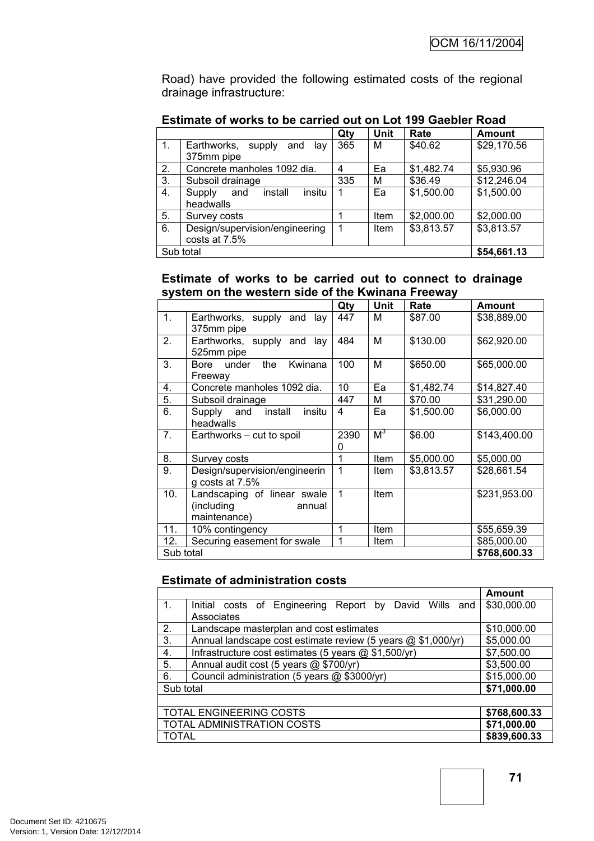Road) have provided the following estimated costs of the regional drainage infrastructure:

# **Estimate of works to be carried out on Lot 199 Gaebler Road**

|           |                                     | Qty | Unit | Rate       | <b>Amount</b> |
|-----------|-------------------------------------|-----|------|------------|---------------|
| 1.        | Earthworks,<br>supply<br>and<br>lav | 365 | М    | \$40.62    | \$29,170.56   |
|           | 375mm pipe                          |     |      |            |               |
| 2.        | Concrete manholes 1092 dia.         | 4   | Ea   | \$1,482.74 | \$5,930.96    |
| 3.        | Subsoil drainage                    | 335 | м    | \$36.49    | \$12,246.04   |
| 4.        | insitu<br>install<br>Supply<br>and  |     | Ea   | \$1,500.00 | \$1,500.00    |
|           | headwalls                           |     |      |            |               |
| 5.        | Survey costs                        |     | Item | \$2,000.00 | \$2,000.00    |
| 6.        | Design/supervision/engineering      |     | Item | \$3,813.57 | \$3,813.57    |
|           | costs at 7.5%                       |     |      |            |               |
| Sub total |                                     |     |      |            | \$54,661.13   |

### **Estimate of works to be carried out to connect to drainage system on the western side of the Kwinana Freeway**

|                                        | Qty  | Unit           | Rate       | <b>Amount</b> |
|----------------------------------------|------|----------------|------------|---------------|
| 1.<br>Earthworks, supply<br>and<br>lav | 447  | Μ              | \$87.00    | \$38,889.00   |
| 375mm pipe                             |      |                |            |               |
| 2.<br>Earthworks, supply and<br>lav    | 484  | M              | \$130.00   | \$62,920.00   |
| 525mm pipe                             |      |                |            |               |
| 3.<br>Kwinana<br>the<br>Bore<br>under  | 100  | M              | \$650.00   | \$65,000.00   |
| Freeway                                |      |                |            |               |
| 4.<br>Concrete manholes 1092 dia.      | 10   | Ea             | \$1,482.74 | \$14,827.40   |
| 5.<br>Subsoil drainage                 | 447  | Μ              | \$70.00    | \$31,290.00   |
| 6.<br>Supply and<br>install<br>insitu  | 4    | Ea             | \$1,500.00 | \$6,000.00    |
| headwalls                              |      |                |            |               |
| 7.<br>Earthworks - cut to spoil        | 2390 | M <sup>3</sup> | \$6.00     | \$143,400.00  |
|                                        | 0    |                |            |               |
| 8.<br>Survey costs                     | 1    | Item           | \$5,000.00 | \$5,000.00    |
| 9.<br>Design/supervision/engineerin    | 1    | Item           | \$3,813.57 | \$28,661.54   |
| g costs at 7.5%                        |      |                |            |               |
| 10.<br>Landscaping of linear swale     | 1    | Item           |            | \$231,953.00  |
| (including<br>annual                   |      |                |            |               |
| maintenance)                           |      |                |            |               |
| 11.<br>10% contingency                 | 1    | Item           |            | \$55,659.39   |
| Securing easement for swale<br>12.     | 1    | Item           |            | \$85,000.00   |
| Sub total                              |      |                |            | \$768,600.33  |

# **Estimate of administration costs**

|                                         |                                                              | <b>Amount</b> |  |
|-----------------------------------------|--------------------------------------------------------------|---------------|--|
| 1.                                      | Initial costs of Engineering Report by David Wills and       | \$30,000.00   |  |
|                                         | Associates                                                   |               |  |
| 2.                                      | Landscape masterplan and cost estimates                      | \$10,000.00   |  |
| 3.                                      | Annual landscape cost estimate review (5 years @ \$1,000/yr) | \$5,000.00    |  |
| 4.                                      | Infrastructure cost estimates (5 years @ \$1,500/yr)         | \$7,500.00    |  |
| 5.                                      | Annual audit cost (5 years @ \$700/yr)                       | \$3,500.00    |  |
| 6.                                      | Council administration (5 years @ \$3000/yr)                 | \$15,000.00   |  |
| Sub total                               | \$71,000.00                                                  |               |  |
|                                         |                                                              |               |  |
| TOTAL ENGINEERING COSTS<br>\$768,600.33 |                                                              |               |  |
|                                         | TOTAL ADMINISTRATION COSTS                                   | \$71,000.00   |  |
| <b>TOTAL</b>                            |                                                              | \$839,600.33  |  |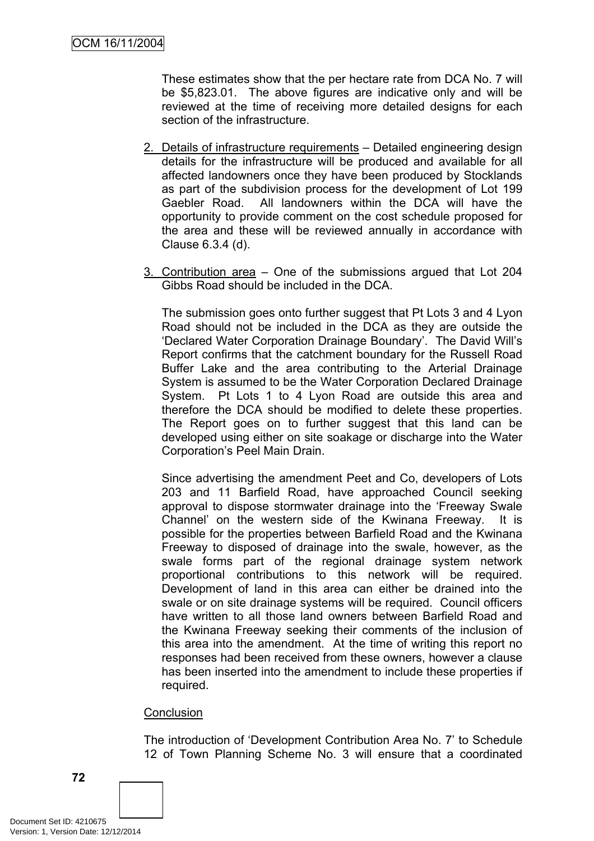These estimates show that the per hectare rate from DCA No. 7 will be \$5,823.01. The above figures are indicative only and will be reviewed at the time of receiving more detailed designs for each section of the infrastructure.

- 2. Details of infrastructure requirements Detailed engineering design details for the infrastructure will be produced and available for all affected landowners once they have been produced by Stocklands as part of the subdivision process for the development of Lot 199 Gaebler Road. All landowners within the DCA will have the opportunity to provide comment on the cost schedule proposed for the area and these will be reviewed annually in accordance with Clause 6.3.4 (d).
- 3. Contribution area One of the submissions argued that Lot 204 Gibbs Road should be included in the DCA.

The submission goes onto further suggest that Pt Lots 3 and 4 Lyon Road should not be included in the DCA as they are outside the 'Declared Water Corporation Drainage Boundary'. The David Will's Report confirms that the catchment boundary for the Russell Road Buffer Lake and the area contributing to the Arterial Drainage System is assumed to be the Water Corporation Declared Drainage System. Pt Lots 1 to 4 Lyon Road are outside this area and therefore the DCA should be modified to delete these properties. The Report goes on to further suggest that this land can be developed using either on site soakage or discharge into the Water Corporation's Peel Main Drain.

Since advertising the amendment Peet and Co, developers of Lots 203 and 11 Barfield Road, have approached Council seeking approval to dispose stormwater drainage into the 'Freeway Swale Channel' on the western side of the Kwinana Freeway. It is possible for the properties between Barfield Road and the Kwinana Freeway to disposed of drainage into the swale, however, as the swale forms part of the regional drainage system network proportional contributions to this network will be required. Development of land in this area can either be drained into the swale or on site drainage systems will be required. Council officers have written to all those land owners between Barfield Road and the Kwinana Freeway seeking their comments of the inclusion of this area into the amendment. At the time of writing this report no responses had been received from these owners, however a clause has been inserted into the amendment to include these properties if required.

### **Conclusion**

The introduction of 'Development Contribution Area No. 7' to Schedule 12 of Town Planning Scheme No. 3 will ensure that a coordinated

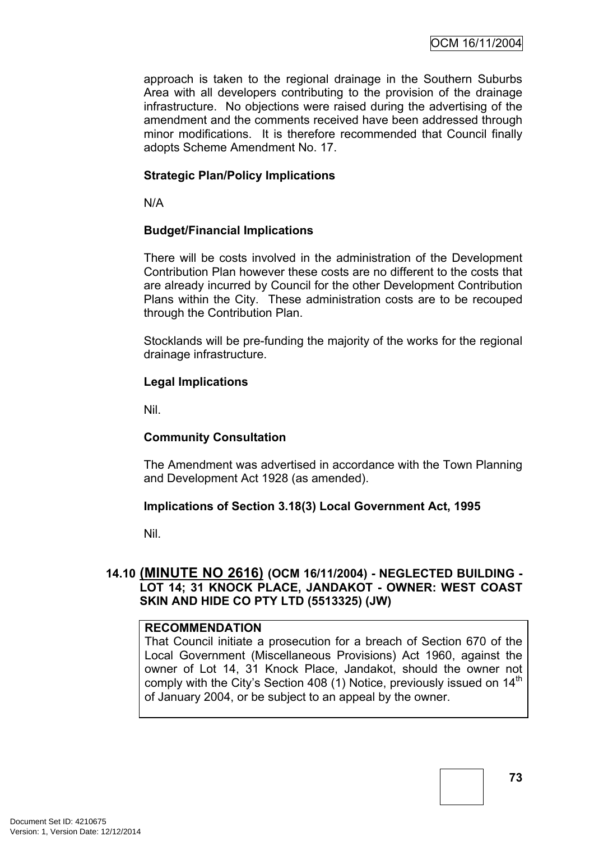approach is taken to the regional drainage in the Southern Suburbs Area with all developers contributing to the provision of the drainage infrastructure. No objections were raised during the advertising of the amendment and the comments received have been addressed through minor modifications. It is therefore recommended that Council finally adopts Scheme Amendment No. 17.

# **Strategic Plan/Policy Implications**

N/A

## **Budget/Financial Implications**

There will be costs involved in the administration of the Development Contribution Plan however these costs are no different to the costs that are already incurred by Council for the other Development Contribution Plans within the City. These administration costs are to be recouped through the Contribution Plan.

Stocklands will be pre-funding the majority of the works for the regional drainage infrastructure.

## **Legal Implications**

Nil.

# **Community Consultation**

The Amendment was advertised in accordance with the Town Planning and Development Act 1928 (as amended).

# **Implications of Section 3.18(3) Local Government Act, 1995**

Nil.

# **14.10 (MINUTE NO 2616) (OCM 16/11/2004) - NEGLECTED BUILDING - LOT 14; 31 KNOCK PLACE, JANDAKOT - OWNER: WEST COAST SKIN AND HIDE CO PTY LTD (5513325) (JW)**

### **RECOMMENDATION**

That Council initiate a prosecution for a breach of Section 670 of the Local Government (Miscellaneous Provisions) Act 1960, against the owner of Lot 14, 31 Knock Place, Jandakot, should the owner not comply with the City's Section 408 (1) Notice, previously issued on  $14<sup>th</sup>$ of January 2004, or be subject to an appeal by the owner.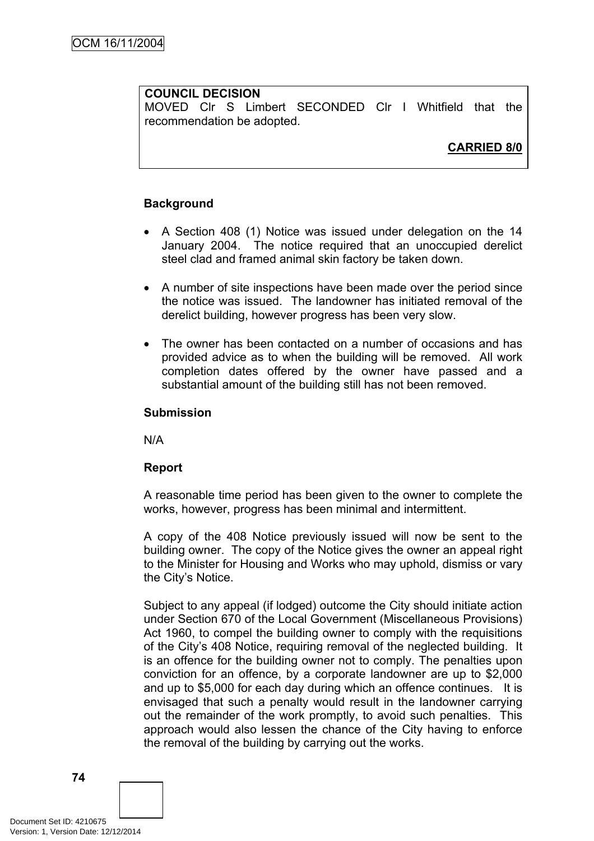### **COUNCIL DECISION**

MOVED Clr S Limbert SECONDED Clr I Whitfield that the recommendation be adopted.

**CARRIED 8/0**

# **Background**

- A Section 408 (1) Notice was issued under delegation on the 14 January 2004. The notice required that an unoccupied derelict steel clad and framed animal skin factory be taken down.
- A number of site inspections have been made over the period since the notice was issued. The landowner has initiated removal of the derelict building, however progress has been very slow.
- The owner has been contacted on a number of occasions and has provided advice as to when the building will be removed. All work completion dates offered by the owner have passed and a substantial amount of the building still has not been removed.

## **Submission**

N/A

# **Report**

A reasonable time period has been given to the owner to complete the works, however, progress has been minimal and intermittent.

A copy of the 408 Notice previously issued will now be sent to the building owner. The copy of the Notice gives the owner an appeal right to the Minister for Housing and Works who may uphold, dismiss or vary the City's Notice.

Subject to any appeal (if lodged) outcome the City should initiate action under Section 670 of the Local Government (Miscellaneous Provisions) Act 1960, to compel the building owner to comply with the requisitions of the City's 408 Notice, requiring removal of the neglected building. It is an offence for the building owner not to comply. The penalties upon conviction for an offence, by a corporate landowner are up to \$2,000 and up to \$5,000 for each day during which an offence continues. It is envisaged that such a penalty would result in the landowner carrying out the remainder of the work promptly, to avoid such penalties. This approach would also lessen the chance of the City having to enforce the removal of the building by carrying out the works.

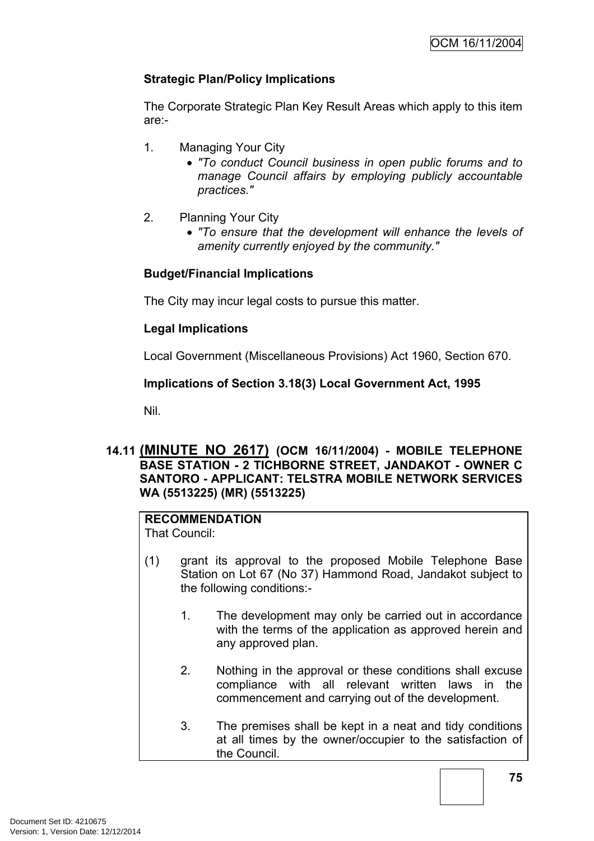# **Strategic Plan/Policy Implications**

The Corporate Strategic Plan Key Result Areas which apply to this item are:-

- 1. Managing Your City
	- *"To conduct Council business in open public forums and to manage Council affairs by employing publicly accountable practices."*
- 2. Planning Your City
	- *"To ensure that the development will enhance the levels of amenity currently enjoyed by the community."*

# **Budget/Financial Implications**

The City may incur legal costs to pursue this matter.

# **Legal Implications**

Local Government (Miscellaneous Provisions) Act 1960, Section 670.

# **Implications of Section 3.18(3) Local Government Act, 1995**

Nil.

### **14.11 (MINUTE NO 2617) (OCM 16/11/2004) - MOBILE TELEPHONE BASE STATION - 2 TICHBORNE STREET, JANDAKOT - OWNER C SANTORO - APPLICANT: TELSTRA MOBILE NETWORK SERVICES WA (5513225) (MR) (5513225)**

# **RECOMMENDATION**

That Council:

- (1) grant its approval to the proposed Mobile Telephone Base Station on Lot 67 (No 37) Hammond Road, Jandakot subject to the following conditions:-
	- 1. The development may only be carried out in accordance with the terms of the application as approved herein and any approved plan.
	- 2. Nothing in the approval or these conditions shall excuse compliance with all relevant written laws in the commencement and carrying out of the development.
	- 3. The premises shall be kept in a neat and tidy conditions at all times by the owner/occupier to the satisfaction of the Council.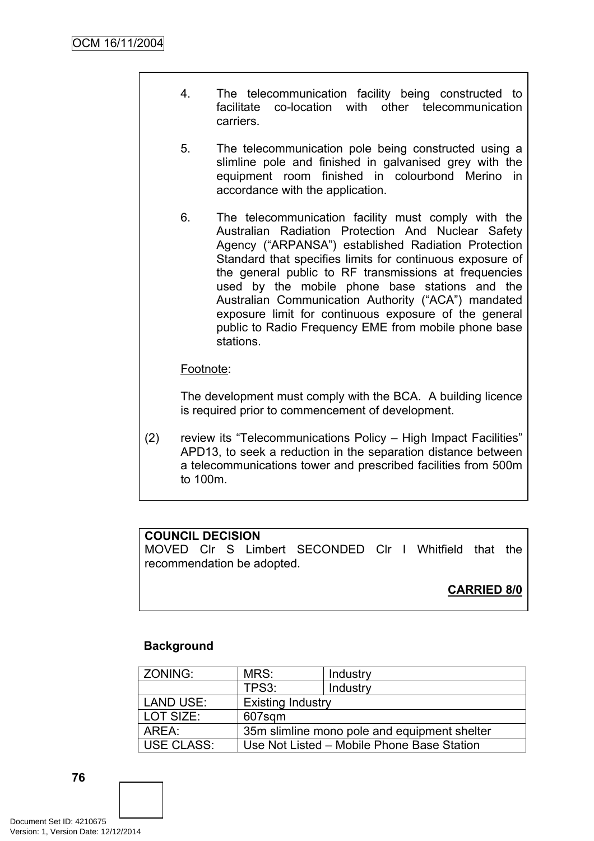- 4. The telecommunication facility being constructed to facilitate co-location with other telecommunication carriers.
- 5. The telecommunication pole being constructed using a slimline pole and finished in galvanised grey with the equipment room finished in colourbond Merino in accordance with the application.
- 6. The telecommunication facility must comply with the Australian Radiation Protection And Nuclear Safety Agency ("ARPANSA") established Radiation Protection Standard that specifies limits for continuous exposure of the general public to RF transmissions at frequencies used by the mobile phone base stations and the Australian Communication Authority ("ACA") mandated exposure limit for continuous exposure of the general public to Radio Frequency EME from mobile phone base stations.

## Footnote:

The development must comply with the BCA. A building licence is required prior to commencement of development.

(2) review its "Telecommunications Policy – High Impact Facilities" APD13, to seek a reduction in the separation distance between a telecommunications tower and prescribed facilities from 500m to 100m.

# **COUNCIL DECISION**

MOVED Clr S Limbert SECONDED Clr I Whitfield that the recommendation be adopted.

**CARRIED 8/0**

# **Background**

| <b>ZONING:</b>    | MRS:                                         | Industry |  |
|-------------------|----------------------------------------------|----------|--|
|                   | TPS3:                                        | Industry |  |
| LAND USE:         | <b>Existing Industry</b>                     |          |  |
| LOT SIZE:         | 607sqm                                       |          |  |
| AREA:             | 35m slimline mono pole and equipment shelter |          |  |
| <b>USE CLASS:</b> | Use Not Listed - Mobile Phone Base Station   |          |  |

**76**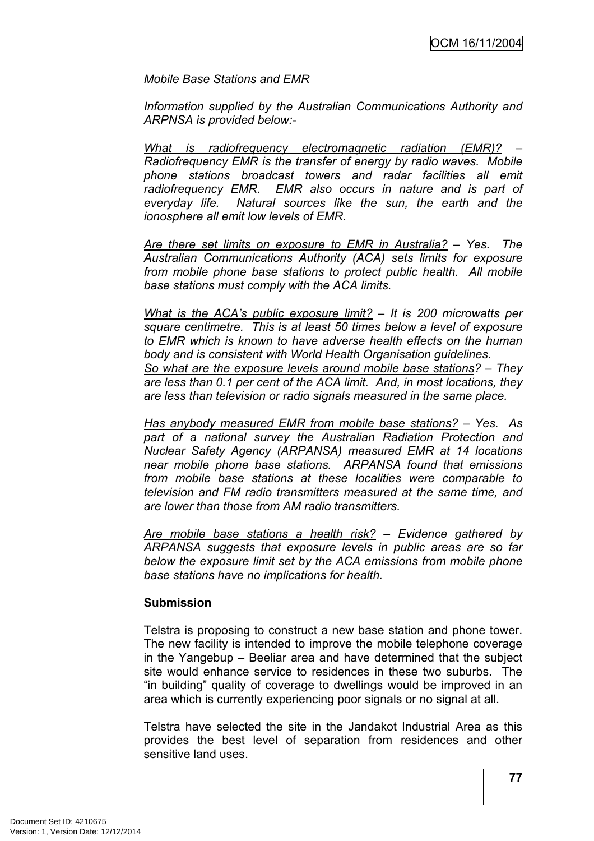*Mobile Base Stations and EMR* 

*Information supplied by the Australian Communications Authority and ARPNSA is provided below:-* 

*What is radiofrequency electromagnetic radiation (EMR)? – Radiofrequency EMR is the transfer of energy by radio waves. Mobile phone stations broadcast towers and radar facilities all emit radiofrequency EMR. EMR also occurs in nature and is part of everyday life. Natural sources like the sun, the earth and the ionosphere all emit low levels of EMR.* 

*Are there set limits on exposure to EMR in Australia? – Yes. The Australian Communications Authority (ACA) sets limits for exposure from mobile phone base stations to protect public health. All mobile base stations must comply with the ACA limits.* 

*What is the ACA's public exposure limit? – It is 200 microwatts per square centimetre. This is at least 50 times below a level of exposure to EMR which is known to have adverse health effects on the human body and is consistent with World Health Organisation guidelines. So what are the exposure levels around mobile base stations? – They are less than 0.1 per cent of the ACA limit. And, in most locations, they are less than television or radio signals measured in the same place.* 

*Has anybody measured EMR from mobile base stations? – Yes. As part of a national survey the Australian Radiation Protection and Nuclear Safety Agency (ARPANSA) measured EMR at 14 locations near mobile phone base stations. ARPANSA found that emissions from mobile base stations at these localities were comparable to television and FM radio transmitters measured at the same time, and are lower than those from AM radio transmitters.* 

*Are mobile base stations a health risk? – Evidence gathered by ARPANSA suggests that exposure levels in public areas are so far below the exposure limit set by the ACA emissions from mobile phone base stations have no implications for health.* 

### **Submission**

Telstra is proposing to construct a new base station and phone tower. The new facility is intended to improve the mobile telephone coverage in the Yangebup – Beeliar area and have determined that the subject site would enhance service to residences in these two suburbs. The "in building" quality of coverage to dwellings would be improved in an area which is currently experiencing poor signals or no signal at all.

Telstra have selected the site in the Jandakot Industrial Area as this provides the best level of separation from residences and other sensitive land uses.

**77**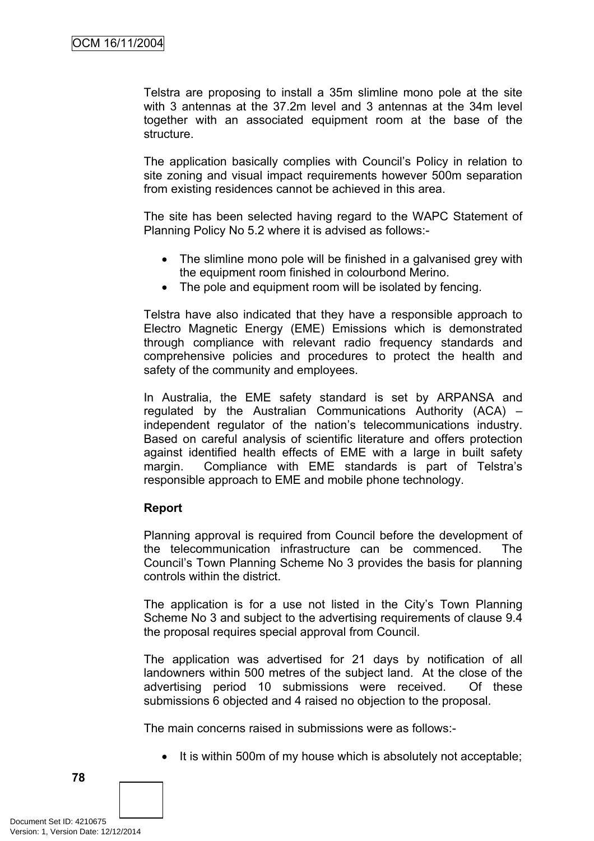Telstra are proposing to install a 35m slimline mono pole at the site with 3 antennas at the 37.2m level and 3 antennas at the 34m level together with an associated equipment room at the base of the structure.

The application basically complies with Council's Policy in relation to site zoning and visual impact requirements however 500m separation from existing residences cannot be achieved in this area.

The site has been selected having regard to the WAPC Statement of Planning Policy No 5.2 where it is advised as follows:-

- The slimline mono pole will be finished in a galvanised grey with the equipment room finished in colourbond Merino.
- The pole and equipment room will be isolated by fencing.

Telstra have also indicated that they have a responsible approach to Electro Magnetic Energy (EME) Emissions which is demonstrated through compliance with relevant radio frequency standards and comprehensive policies and procedures to protect the health and safety of the community and employees.

In Australia, the EME safety standard is set by ARPANSA and regulated by the Australian Communications Authority (ACA) – independent regulator of the nation's telecommunications industry. Based on careful analysis of scientific literature and offers protection against identified health effects of EME with a large in built safety margin. Compliance with EME standards is part of Telstra's responsible approach to EME and mobile phone technology.

### **Report**

Planning approval is required from Council before the development of the telecommunication infrastructure can be commenced. The Council's Town Planning Scheme No 3 provides the basis for planning controls within the district.

The application is for a use not listed in the City's Town Planning Scheme No 3 and subject to the advertising requirements of clause 9.4 the proposal requires special approval from Council.

The application was advertised for 21 days by notification of all landowners within 500 metres of the subject land. At the close of the advertising period 10 submissions were received. Of these submissions 6 objected and 4 raised no objection to the proposal.

The main concerns raised in submissions were as follows:-

• It is within 500m of my house which is absolutely not acceptable;

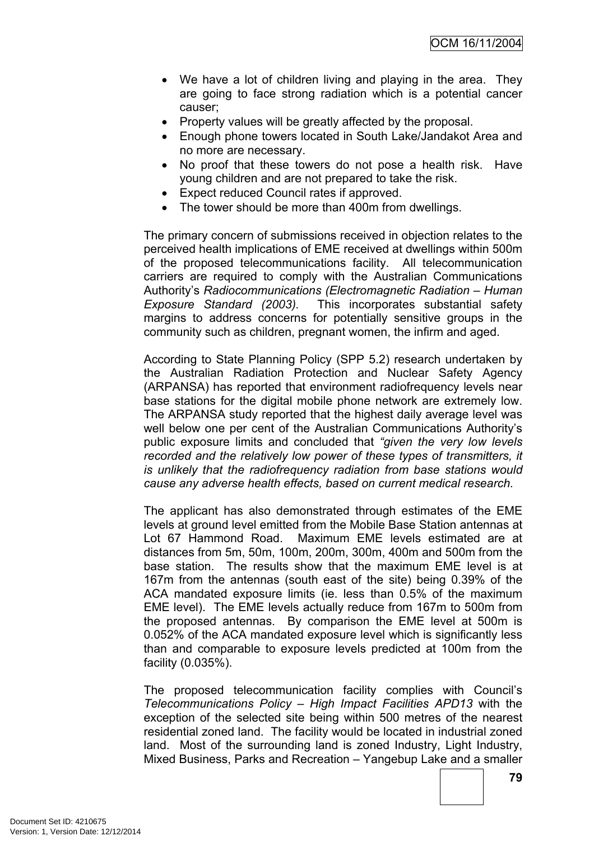- We have a lot of children living and playing in the area. They are going to face strong radiation which is a potential cancer causer;
- Property values will be greatly affected by the proposal.
- Enough phone towers located in South Lake/Jandakot Area and no more are necessary.
- No proof that these towers do not pose a health risk. Have young children and are not prepared to take the risk.
- Expect reduced Council rates if approved.
- The tower should be more than 400m from dwellings.

The primary concern of submissions received in objection relates to the perceived health implications of EME received at dwellings within 500m of the proposed telecommunications facility. All telecommunication carriers are required to comply with the Australian Communications Authority's *Radiocommunications (Electromagnetic Radiation – Human Exposure Standard (2003).* This incorporates substantial safety margins to address concerns for potentially sensitive groups in the community such as children, pregnant women, the infirm and aged.

According to State Planning Policy (SPP 5.2) research undertaken by the Australian Radiation Protection and Nuclear Safety Agency (ARPANSA) has reported that environment radiofrequency levels near base stations for the digital mobile phone network are extremely low. The ARPANSA study reported that the highest daily average level was well below one per cent of the Australian Communications Authority's public exposure limits and concluded that *"given the very low levels recorded and the relatively low power of these types of transmitters, it is unlikely that the radiofrequency radiation from base stations would cause any adverse health effects, based on current medical research.*

The applicant has also demonstrated through estimates of the EME levels at ground level emitted from the Mobile Base Station antennas at Lot 67 Hammond Road. Maximum EME levels estimated are at distances from 5m, 50m, 100m, 200m, 300m, 400m and 500m from the base station. The results show that the maximum EME level is at 167m from the antennas (south east of the site) being 0.39% of the ACA mandated exposure limits (ie. less than 0.5% of the maximum EME level). The EME levels actually reduce from 167m to 500m from the proposed antennas. By comparison the EME level at 500m is 0.052% of the ACA mandated exposure level which is significantly less than and comparable to exposure levels predicted at 100m from the facility (0.035%).

The proposed telecommunication facility complies with Council's *Telecommunications Policy – High Impact Facilities APD13* with the exception of the selected site being within 500 metres of the nearest residential zoned land. The facility would be located in industrial zoned land. Most of the surrounding land is zoned Industry, Light Industry, Mixed Business, Parks and Recreation – Yangebup Lake and a smaller

**79**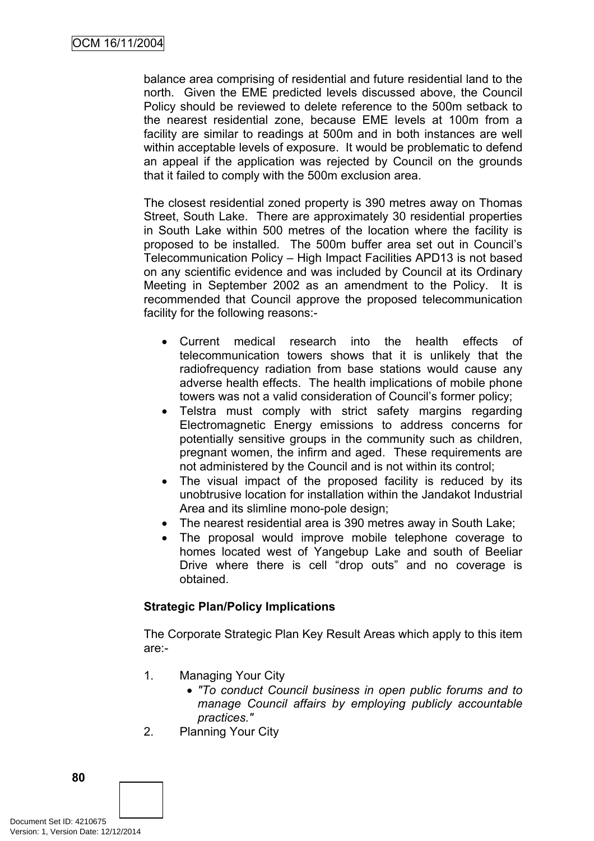balance area comprising of residential and future residential land to the north. Given the EME predicted levels discussed above, the Council Policy should be reviewed to delete reference to the 500m setback to the nearest residential zone, because EME levels at 100m from a facility are similar to readings at 500m and in both instances are well within acceptable levels of exposure. It would be problematic to defend an appeal if the application was rejected by Council on the grounds that it failed to comply with the 500m exclusion area.

The closest residential zoned property is 390 metres away on Thomas Street, South Lake. There are approximately 30 residential properties in South Lake within 500 metres of the location where the facility is proposed to be installed. The 500m buffer area set out in Council's Telecommunication Policy – High Impact Facilities APD13 is not based on any scientific evidence and was included by Council at its Ordinary Meeting in September 2002 as an amendment to the Policy. It is recommended that Council approve the proposed telecommunication facility for the following reasons:-

- Current medical research into the health effects of telecommunication towers shows that it is unlikely that the radiofrequency radiation from base stations would cause any adverse health effects. The health implications of mobile phone towers was not a valid consideration of Council's former policy;
- Telstra must comply with strict safety margins regarding Electromagnetic Energy emissions to address concerns for potentially sensitive groups in the community such as children, pregnant women, the infirm and aged. These requirements are not administered by the Council and is not within its control;
- The visual impact of the proposed facility is reduced by its unobtrusive location for installation within the Jandakot Industrial Area and its slimline mono-pole design;
- The nearest residential area is 390 metres away in South Lake;
- The proposal would improve mobile telephone coverage to homes located west of Yangebup Lake and south of Beeliar Drive where there is cell "drop outs" and no coverage is obtained.

# **Strategic Plan/Policy Implications**

The Corporate Strategic Plan Key Result Areas which apply to this item are:-

- 1. Managing Your City
	- *"To conduct Council business in open public forums and to manage Council affairs by employing publicly accountable practices."*
- 2. Planning Your City

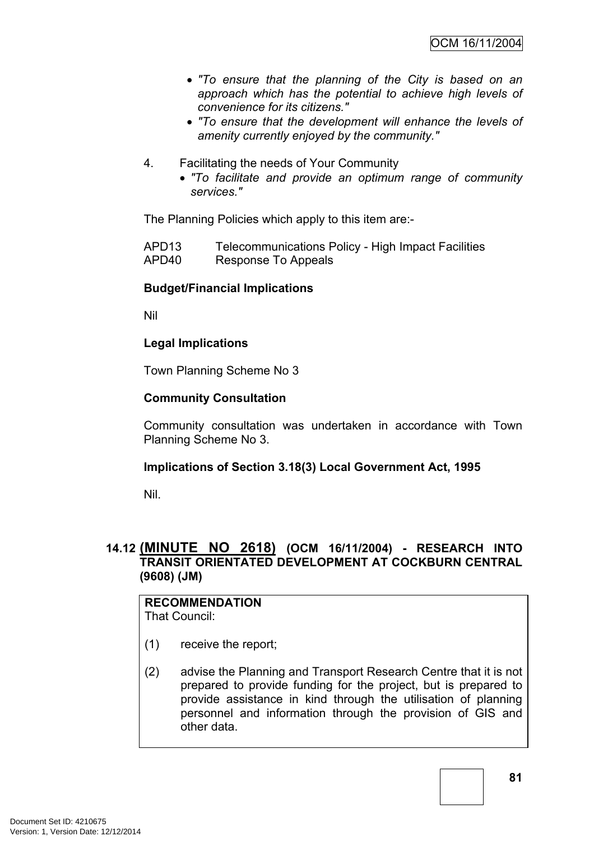- *"To ensure that the planning of the City is based on an approach which has the potential to achieve high levels of convenience for its citizens."*
- *"To ensure that the development will enhance the levels of amenity currently enjoyed by the community."*
- 4. Facilitating the needs of Your Community
	- *"To facilitate and provide an optimum range of community services."*

The Planning Policies which apply to this item are:-

APD13 Telecommunications Policy - High Impact Facilities APD40 Response To Appeals

### **Budget/Financial Implications**

Nil

### **Legal Implications**

Town Planning Scheme No 3

### **Community Consultation**

Community consultation was undertaken in accordance with Town Planning Scheme No 3.

### **Implications of Section 3.18(3) Local Government Act, 1995**

Nil.

# **14.12 (MINUTE NO 2618) (OCM 16/11/2004) - RESEARCH INTO TRANSIT ORIENTATED DEVELOPMENT AT COCKBURN CENTRAL (9608) (JM)**

# **RECOMMENDATION**

That Council:

- (1) receive the report;
- (2) advise the Planning and Transport Research Centre that it is not prepared to provide funding for the project, but is prepared to provide assistance in kind through the utilisation of planning personnel and information through the provision of GIS and other data.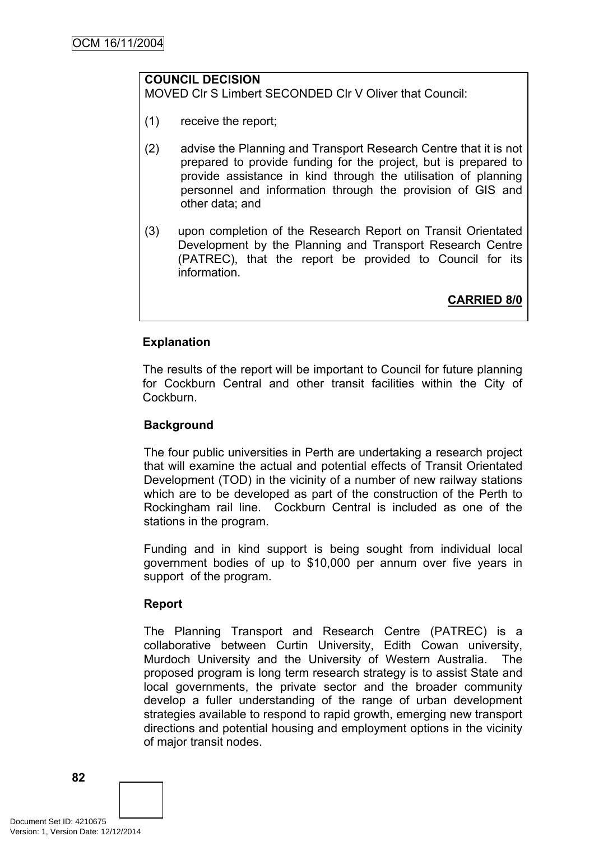# **COUNCIL DECISION**

MOVED Clr S Limbert SECONDED Clr V Oliver that Council:

- (1) receive the report;
- (2) advise the Planning and Transport Research Centre that it is not prepared to provide funding for the project, but is prepared to provide assistance in kind through the utilisation of planning personnel and information through the provision of GIS and other data; and
- (3) upon completion of the Research Report on Transit Orientated Development by the Planning and Transport Research Centre (PATREC), that the report be provided to Council for its information.

**CARRIED 8/0**

### **Explanation**

The results of the report will be important to Council for future planning for Cockburn Central and other transit facilities within the City of Cockburn.

### **Background**

The four public universities in Perth are undertaking a research project that will examine the actual and potential effects of Transit Orientated Development (TOD) in the vicinity of a number of new railway stations which are to be developed as part of the construction of the Perth to Rockingham rail line. Cockburn Central is included as one of the stations in the program.

Funding and in kind support is being sought from individual local government bodies of up to \$10,000 per annum over five years in support of the program.

### **Report**

The Planning Transport and Research Centre (PATREC) is a collaborative between Curtin University, Edith Cowan university, Murdoch University and the University of Western Australia. The proposed program is long term research strategy is to assist State and local governments, the private sector and the broader community develop a fuller understanding of the range of urban development strategies available to respond to rapid growth, emerging new transport directions and potential housing and employment options in the vicinity of major transit nodes.

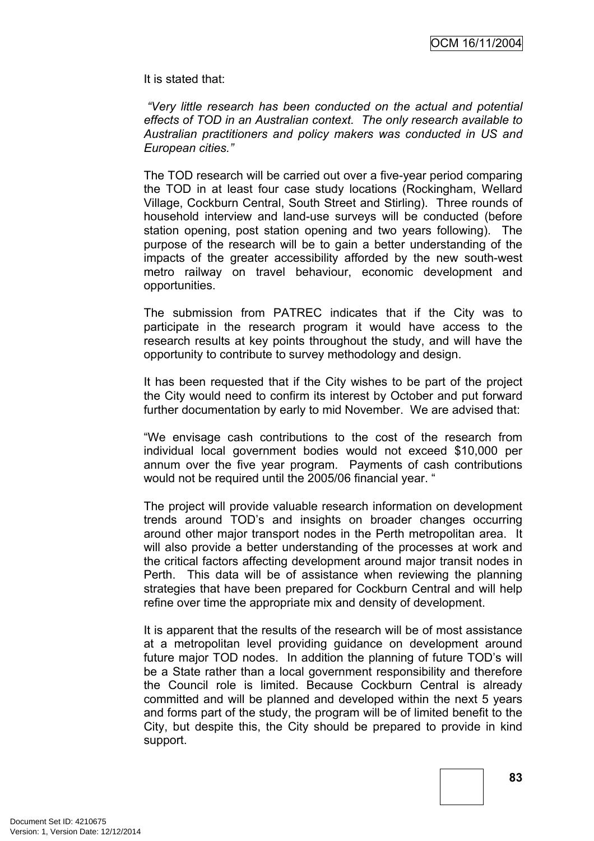It is stated that:

*"Very little research has been conducted on the actual and potential effects of TOD in an Australian context. The only research available to Australian practitioners and policy makers was conducted in US and European cities."*

The TOD research will be carried out over a five-year period comparing the TOD in at least four case study locations (Rockingham, Wellard Village, Cockburn Central, South Street and Stirling). Three rounds of household interview and land-use surveys will be conducted (before station opening, post station opening and two years following). The purpose of the research will be to gain a better understanding of the impacts of the greater accessibility afforded by the new south-west metro railway on travel behaviour, economic development and opportunities.

The submission from PATREC indicates that if the City was to participate in the research program it would have access to the research results at key points throughout the study, and will have the opportunity to contribute to survey methodology and design.

It has been requested that if the City wishes to be part of the project the City would need to confirm its interest by October and put forward further documentation by early to mid November. We are advised that:

"We envisage cash contributions to the cost of the research from individual local government bodies would not exceed \$10,000 per annum over the five year program. Payments of cash contributions would not be required until the 2005/06 financial year. "

The project will provide valuable research information on development trends around TOD's and insights on broader changes occurring around other major transport nodes in the Perth metropolitan area. It will also provide a better understanding of the processes at work and the critical factors affecting development around major transit nodes in Perth. This data will be of assistance when reviewing the planning strategies that have been prepared for Cockburn Central and will help refine over time the appropriate mix and density of development.

It is apparent that the results of the research will be of most assistance at a metropolitan level providing guidance on development around future major TOD nodes. In addition the planning of future TOD's will be a State rather than a local government responsibility and therefore the Council role is limited. Because Cockburn Central is already committed and will be planned and developed within the next 5 years and forms part of the study, the program will be of limited benefit to the City, but despite this, the City should be prepared to provide in kind support.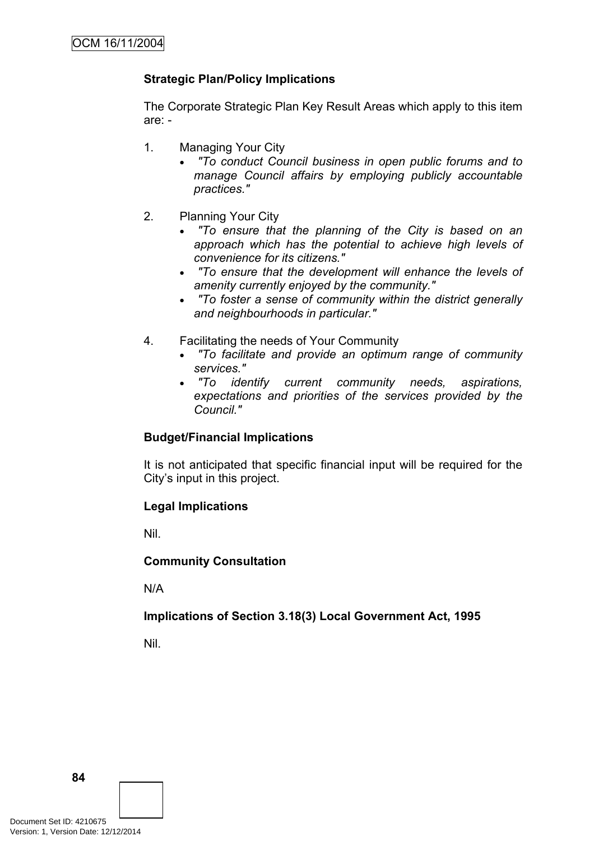# **Strategic Plan/Policy Implications**

The Corporate Strategic Plan Key Result Areas which apply to this item are: -

- 1. Managing Your City
	- *"To conduct Council business in open public forums and to manage Council affairs by employing publicly accountable practices."*  •
- 2. Planning Your City
	- *"To ensure that the planning of the City is based on an approach which has the potential to achieve high levels of convenience for its citizens."*
	- *"To ensure that the development will enhance the levels of amenity currently enjoyed by the community."*
	- *"To foster a sense of community within the district generally and neighbourhoods in particular."*
- 4. Facilitating the needs of Your Community
	- *"To facilitate and provide an optimum range of community services."*
	- *"To identify current community needs, aspirations, expectations and priorities of the services provided by the Council."*

### **Budget/Financial Implications**

It is not anticipated that specific financial input will be required for the City's input in this project.

### **Legal Implications**

Nil.

**Community Consultation** 

N/A

# **Implications of Section 3.18(3) Local Government Act, 1995**

Nil.

**84**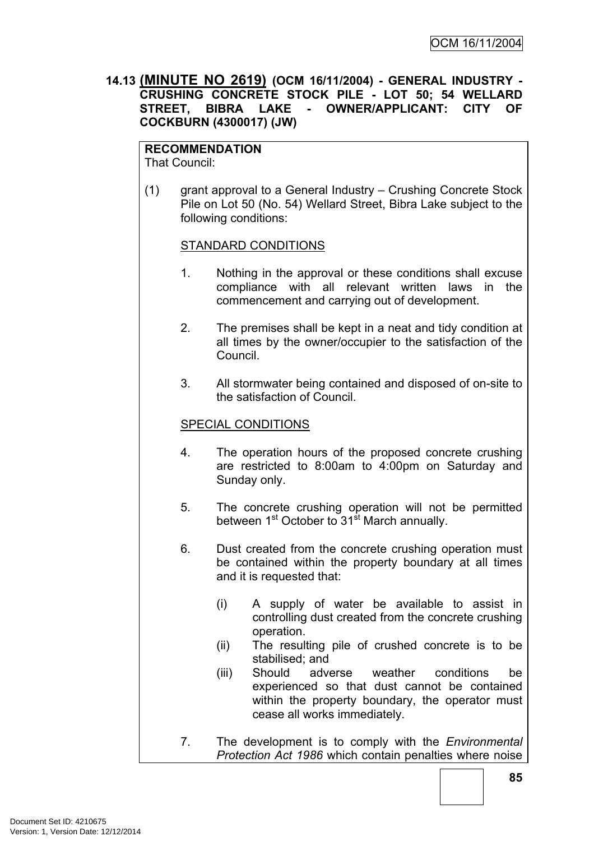### **14.13 (MINUTE NO 2619) (OCM 16/11/2004) - GENERAL INDUSTRY - CRUSHING CONCRETE STOCK PILE - LOT 50; 54 WELLARD STREET, BIBRA LAKE - OWNER/APPLICANT: CITY OF COCKBURN (4300017) (JW)**

## **RECOMMENDATION**

That Council:

(1) grant approval to a General Industry – Crushing Concrete Stock Pile on Lot 50 (No. 54) Wellard Street, Bibra Lake subject to the following conditions:

### STANDARD CONDITIONS

- 1. Nothing in the approval or these conditions shall excuse compliance with all relevant written laws in the commencement and carrying out of development.
- 2. The premises shall be kept in a neat and tidy condition at all times by the owner/occupier to the satisfaction of the Council.
- 3. All stormwater being contained and disposed of on-site to the satisfaction of Council.

# SPECIAL CONDITIONS

- 4. The operation hours of the proposed concrete crushing are restricted to 8:00am to 4:00pm on Saturday and Sunday only.
- 5. The concrete crushing operation will not be permitted between 1<sup>st</sup> October to 31<sup>st</sup> March annually.
- 6. Dust created from the concrete crushing operation must be contained within the property boundary at all times and it is requested that:
	- (i) A supply of water be available to assist in controlling dust created from the concrete crushing operation.
	- (ii) The resulting pile of crushed concrete is to be stabilised; and
	- (iii) Should adverse weather conditions be experienced so that dust cannot be contained within the property boundary, the operator must cease all works immediately.
- 7. The development is to comply with the *Environmental Protection Act 1986* which contain penalties where noise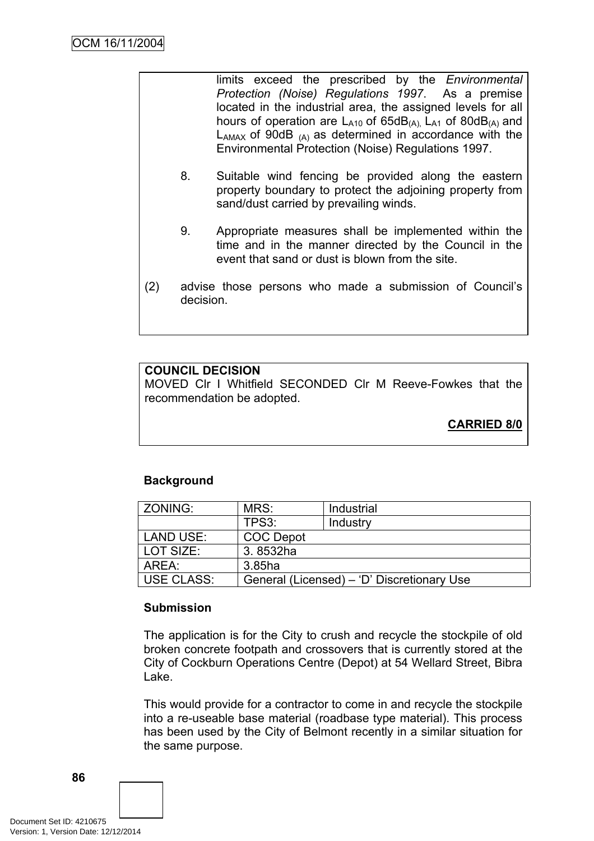limits exceed the prescribed by the *Environmental Protection (Noise) Regulations 1997*. As a premise located in the industrial area, the assigned levels for all hours of operation are  $L_{A10}$  of 65dB<sub>(A)</sub>,  $L_{A1}$  of 80dB<sub>(A)</sub> and  $L_{AMAX}$  of 90dB  $(A)$  as determined in accordance with the Environmental Protection (Noise) Regulations 1997.

- 8. Suitable wind fencing be provided along the eastern property boundary to protect the adjoining property from sand/dust carried by prevailing winds.
- 9. Appropriate measures shall be implemented within the time and in the manner directed by the Council in the event that sand or dust is blown from the site.
- (2) advise those persons who made a submission of Council's decision.

## **COUNCIL DECISION**

MOVED Clr I Whitfield SECONDED Clr M Reeve-Fowkes that the recommendation be adopted.

**CARRIED 8/0**

### **Background**

| ZONING:           | MRS:                                       | Industrial |  |
|-------------------|--------------------------------------------|------------|--|
|                   | TPS3:                                      | Industry   |  |
| <b>LAND USE:</b>  | <b>COC Depot</b>                           |            |  |
| LOT SIZE:         | 3.8532ha                                   |            |  |
| AREA:             | 3.85ha                                     |            |  |
| <b>USE CLASS:</b> | General (Licensed) – 'D' Discretionary Use |            |  |

### **Submission**

The application is for the City to crush and recycle the stockpile of old broken concrete footpath and crossovers that is currently stored at the City of Cockburn Operations Centre (Depot) at 54 Wellard Street, Bibra Lake.

This would provide for a contractor to come in and recycle the stockpile into a re-useable base material (roadbase type material). This process has been used by the City of Belmont recently in a similar situation for the same purpose.

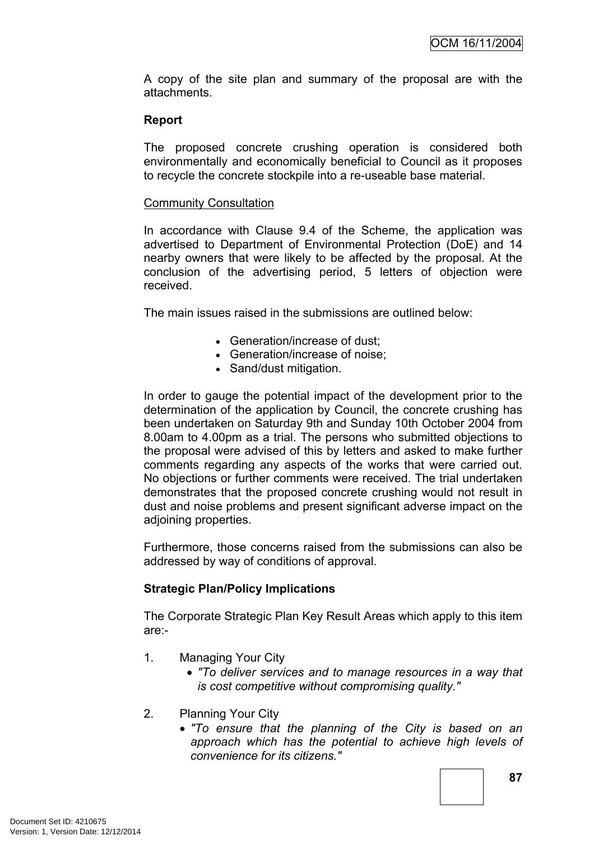A copy of the site plan and summary of the proposal are with the attachments.

# **Report**

The proposed concrete crushing operation is considered both environmentally and economically beneficial to Council as it proposes to recycle the concrete stockpile into a re-useable base material.

### Community Consultation

In accordance with Clause 9.4 of the Scheme, the application was advertised to Department of Environmental Protection (DoE) and 14 nearby owners that were likely to be affected by the proposal. At the conclusion of the advertising period, 5 letters of objection were received.

The main issues raised in the submissions are outlined below:

- Generation/increase of dust;
- Generation/increase of noise;
- Sand/dust mitigation.

In order to gauge the potential impact of the development prior to the determination of the application by Council, the concrete crushing has been undertaken on Saturday 9th and Sunday 10th October 2004 from 8.00am to 4.00pm as a trial. The persons who submitted objections to the proposal were advised of this by letters and asked to make further comments regarding any aspects of the works that were carried out. No objections or further comments were received. The trial undertaken demonstrates that the proposed concrete crushing would not result in dust and noise problems and present significant adverse impact on the adioining properties.

Furthermore, those concerns raised from the submissions can also be addressed by way of conditions of approval.

# **Strategic Plan/Policy Implications**

The Corporate Strategic Plan Key Result Areas which apply to this item are:-

- 1. Managing Your City
	- *"To deliver services and to manage resources in a way that is cost competitive without compromising quality."*
- 2. Planning Your City
	- *"To ensure that the planning of the City is based on an approach which has the potential to achieve high levels of convenience for its citizens."*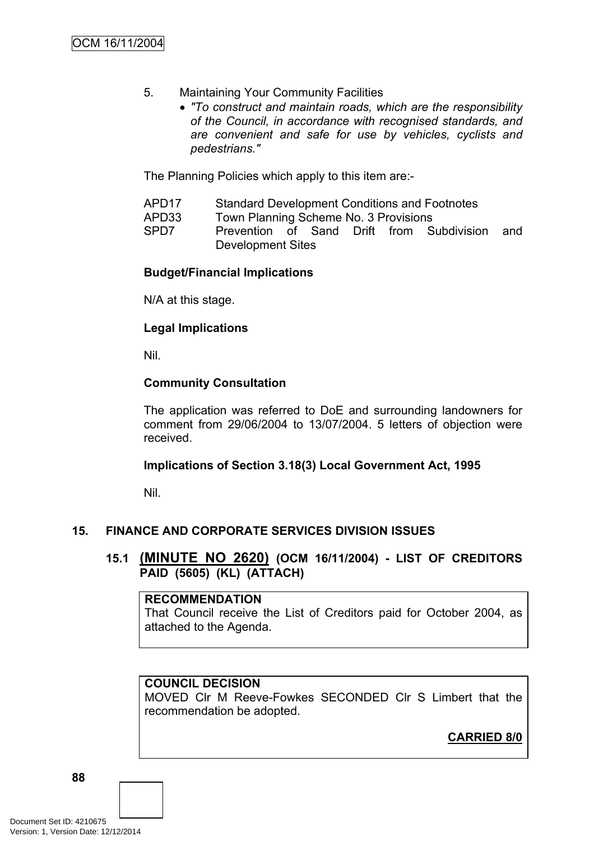- 5. Maintaining Your Community Facilities
	- *"To construct and maintain roads, which are the responsibility of the Council, in accordance with recognised standards, and are convenient and safe for use by vehicles, cyclists and pedestrians."*

The Planning Policies which apply to this item are:-

- APD17 Standard Development Conditions and Footnotes
- APD33 Town Planning Scheme No. 3 Provisions
- SPD7 Prevention of Sand Drift from Subdivision and Development Sites

### **Budget/Financial Implications**

N/A at this stage.

### **Legal Implications**

Nil.

### **Community Consultation**

The application was referred to DoE and surrounding landowners for comment from 29/06/2004 to 13/07/2004. 5 letters of objection were received.

### **Implications of Section 3.18(3) Local Government Act, 1995**

Nil.

### **15. FINANCE AND CORPORATE SERVICES DIVISION ISSUES**

**15.1 (MINUTE NO 2620) (OCM 16/11/2004) - LIST OF CREDITORS PAID (5605) (KL) (ATTACH)** 

#### **RECOMMENDATION**

That Council receive the List of Creditors paid for October 2004, as attached to the Agenda.

### **COUNCIL DECISION**

MOVED Clr M Reeve-Fowkes SECONDED Clr S Limbert that the recommendation be adopted.

**CARRIED 8/0**

**88**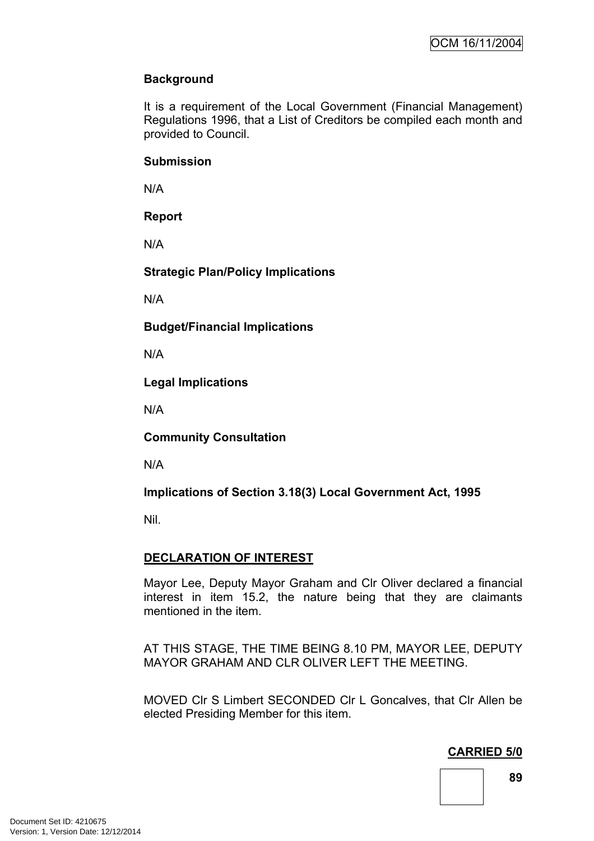# **Background**

It is a requirement of the Local Government (Financial Management) Regulations 1996, that a List of Creditors be compiled each month and provided to Council.

### **Submission**

N/A

**Report**

N/A

**Strategic Plan/Policy Implications**

N/A

**Budget/Financial Implications**

N/A

**Legal Implications** 

N/A

**Community Consultation** 

N/A

**Implications of Section 3.18(3) Local Government Act, 1995**

Nil.

# **DECLARATION OF INTEREST**

Mayor Lee, Deputy Mayor Graham and Clr Oliver declared a financial interest in item 15.2, the nature being that they are claimants mentioned in the item.

AT THIS STAGE, THE TIME BEING 8.10 PM, MAYOR LEE, DEPUTY MAYOR GRAHAM AND CLR OLIVER LEFT THE MEETING.

MOVED Clr S Limbert SECONDED Clr L Goncalves, that Clr Allen be elected Presiding Member for this item.

# **CARRIED 5/0**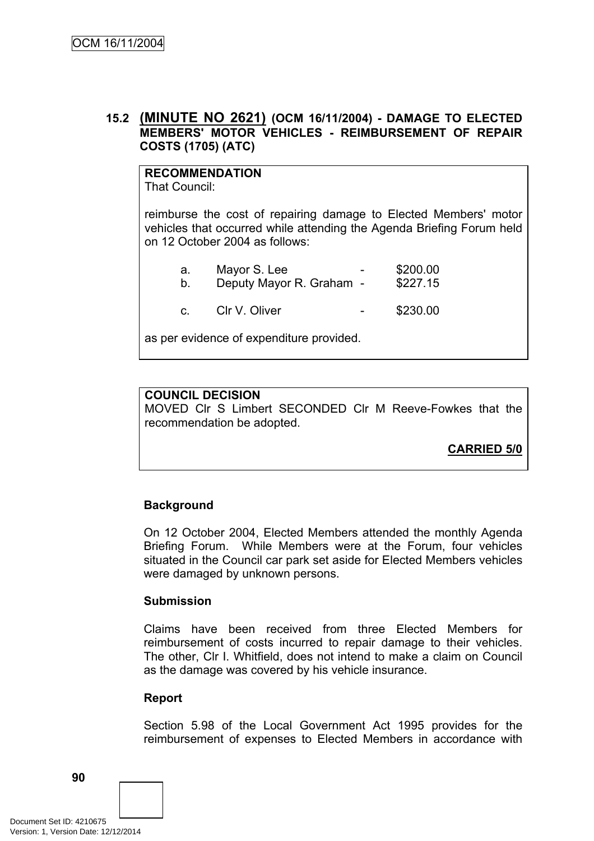# **15.2 (MINUTE NO 2621) (OCM 16/11/2004) - DAMAGE TO ELECTED MEMBERS' MOTOR VEHICLES - REIMBURSEMENT OF REPAIR COSTS (1705) (ATC)**

# **RECOMMENDATION**

That Council:

reimburse the cost of repairing damage to Elected Members' motor vehicles that occurred while attending the Agenda Briefing Forum held on 12 October 2004 as follows:

| а.<br>b.    | Mayor S. Lee<br>Deputy Mayor R. Graham - | \$200.00<br>\$227.15 |
|-------------|------------------------------------------|----------------------|
| $C_{\cdot}$ | CIr V. Oliver                            | \$230.00             |
|             |                                          |                      |

as per evidence of expenditure provided.

# **COUNCIL DECISION**

MOVED Clr S Limbert SECONDED Clr M Reeve-Fowkes that the recommendation be adopted.

**CARRIED 5/0**

# **Background**

On 12 October 2004, Elected Members attended the monthly Agenda Briefing Forum. While Members were at the Forum, four vehicles situated in the Council car park set aside for Elected Members vehicles were damaged by unknown persons.

### **Submission**

Claims have been received from three Elected Members for reimbursement of costs incurred to repair damage to their vehicles. The other, Clr I. Whitfield, does not intend to make a claim on Council as the damage was covered by his vehicle insurance.

### **Report**

Section 5.98 of the Local Government Act 1995 provides for the reimbursement of expenses to Elected Members in accordance with

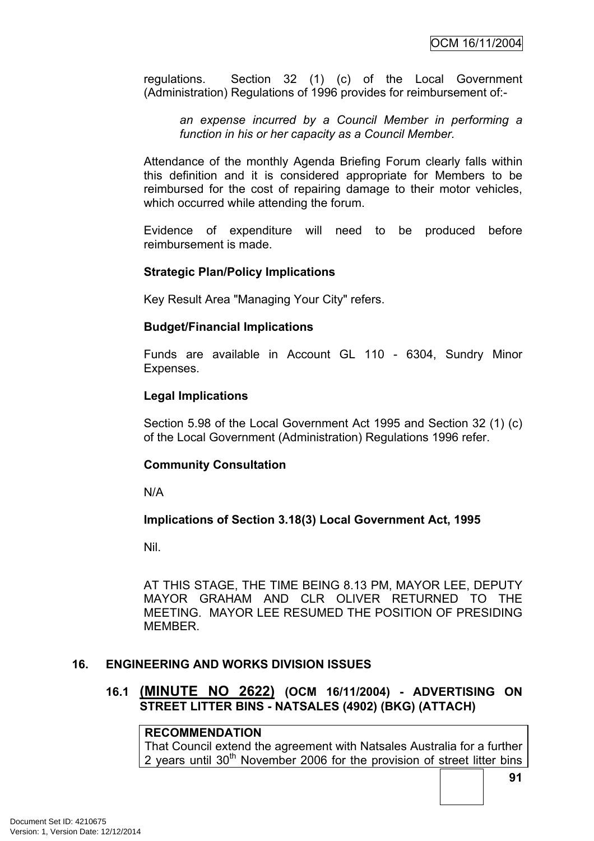regulations. Section 32 (1) (c) of the Local Government (Administration) Regulations of 1996 provides for reimbursement of:-

*an expense incurred by a Council Member in performing a function in his or her capacity as a Council Member.* 

Attendance of the monthly Agenda Briefing Forum clearly falls within this definition and it is considered appropriate for Members to be reimbursed for the cost of repairing damage to their motor vehicles, which occurred while attending the forum.

Evidence of expenditure will need to be produced before reimbursement is made.

# **Strategic Plan/Policy Implications**

Key Result Area "Managing Your City" refers.

## **Budget/Financial Implications**

Funds are available in Account GL 110 - 6304, Sundry Minor Expenses.

### **Legal Implications**

Section 5.98 of the Local Government Act 1995 and Section 32 (1) (c) of the Local Government (Administration) Regulations 1996 refer.

# **Community Consultation**

N/A

# **Implications of Section 3.18(3) Local Government Act, 1995**

Nil.

AT THIS STAGE, THE TIME BEING 8.13 PM, MAYOR LEE, DEPUTY MAYOR GRAHAM AND CLR OLIVER RETURNED TO THE MEETING. MAYOR LEE RESUMED THE POSITION OF PRESIDING MEMBER.

# **16. ENGINEERING AND WORKS DIVISION ISSUES**

# **16.1 (MINUTE NO 2622) (OCM 16/11/2004) - ADVERTISING ON STREET LITTER BINS - NATSALES (4902) (BKG) (ATTACH)**

# **RECOMMENDATION**

That Council extend the agreement with Natsales Australia for a further 2 years until 30<sup>th</sup> November 2006 for the provision of street litter bins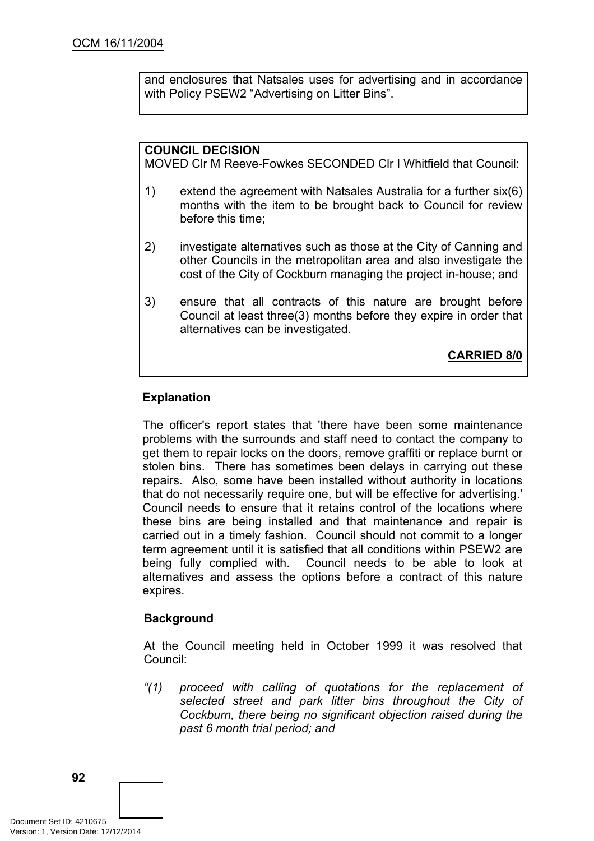and enclosures that Natsales uses for advertising and in accordance with Policy PSEW2 "Advertising on Litter Bins".

### **COUNCIL DECISION**

MOVED Clr M Reeve-Fowkes SECONDED Clr I Whitfield that Council:

- 1) extend the agreement with Natsales Australia for a further six(6) months with the item to be brought back to Council for review before this time;
- 2) investigate alternatives such as those at the City of Canning and other Councils in the metropolitan area and also investigate the cost of the City of Cockburn managing the project in-house; and
- 3) ensure that all contracts of this nature are brought before Council at least three(3) months before they expire in order that alternatives can be investigated.

**CARRIED 8/0**

## **Explanation**

The officer's report states that 'there have been some maintenance problems with the surrounds and staff need to contact the company to get them to repair locks on the doors, remove graffiti or replace burnt or stolen bins. There has sometimes been delays in carrying out these repairs. Also, some have been installed without authority in locations that do not necessarily require one, but will be effective for advertising.' Council needs to ensure that it retains control of the locations where these bins are being installed and that maintenance and repair is carried out in a timely fashion. Council should not commit to a longer term agreement until it is satisfied that all conditions within PSEW2 are being fully complied with. Council needs to be able to look at alternatives and assess the options before a contract of this nature expires.

### **Background**

At the Council meeting held in October 1999 it was resolved that Council:

*"(1) proceed with calling of quotations for the replacement of selected street and park litter bins throughout the City of Cockburn, there being no significant objection raised during the past 6 month trial period; and* 

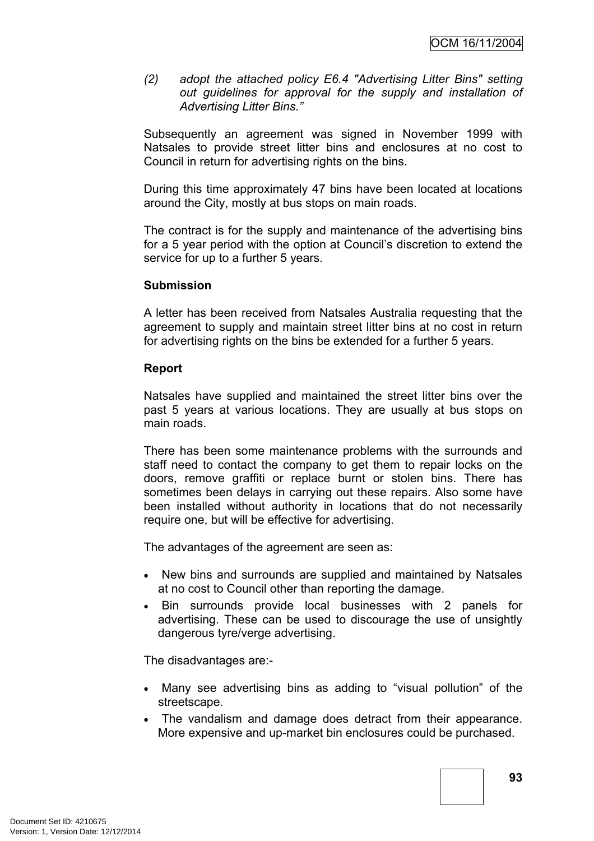*(2) adopt the attached policy E6.4 "Advertising Litter Bins" setting out guidelines for approval for the supply and installation of Advertising Litter Bins."* 

Subsequently an agreement was signed in November 1999 with Natsales to provide street litter bins and enclosures at no cost to Council in return for advertising rights on the bins.

During this time approximately 47 bins have been located at locations around the City, mostly at bus stops on main roads.

The contract is for the supply and maintenance of the advertising bins for a 5 year period with the option at Council's discretion to extend the service for up to a further 5 years.

### **Submission**

A letter has been received from Natsales Australia requesting that the agreement to supply and maintain street litter bins at no cost in return for advertising rights on the bins be extended for a further 5 years.

### **Report**

Natsales have supplied and maintained the street litter bins over the past 5 years at various locations. They are usually at bus stops on main roads.

There has been some maintenance problems with the surrounds and staff need to contact the company to get them to repair locks on the doors, remove graffiti or replace burnt or stolen bins. There has sometimes been delays in carrying out these repairs. Also some have been installed without authority in locations that do not necessarily require one, but will be effective for advertising.

The advantages of the agreement are seen as:

- New bins and surrounds are supplied and maintained by Natsales at no cost to Council other than reporting the damage.
- Bin surrounds provide local businesses with 2 panels for advertising. These can be used to discourage the use of unsightly dangerous tyre/verge advertising.

The disadvantages are:-

- Many see advertising bins as adding to "visual pollution" of the streetscape.
- The vandalism and damage does detract from their appearance. More expensive and up-market bin enclosures could be purchased.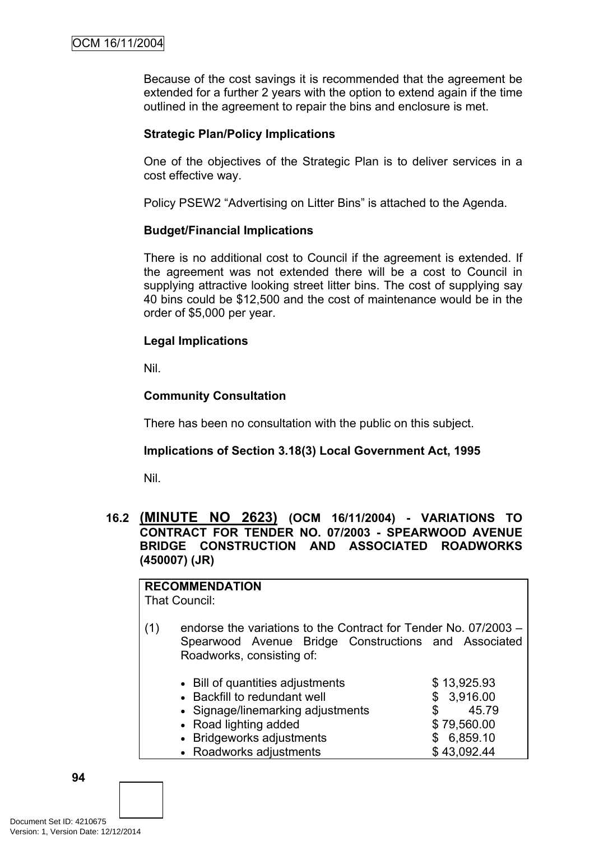Because of the cost savings it is recommended that the agreement be extended for a further 2 years with the option to extend again if the time outlined in the agreement to repair the bins and enclosure is met.

## **Strategic Plan/Policy Implications**

One of the objectives of the Strategic Plan is to deliver services in a cost effective way.

Policy PSEW2 "Advertising on Litter Bins" is attached to the Agenda.

### **Budget/Financial Implications**

There is no additional cost to Council if the agreement is extended. If the agreement was not extended there will be a cost to Council in supplying attractive looking street litter bins. The cost of supplying say 40 bins could be \$12,500 and the cost of maintenance would be in the order of \$5,000 per year.

## **Legal Implications**

Nil.

## **Community Consultation**

There has been no consultation with the public on this subject.

# **Implications of Section 3.18(3) Local Government Act, 1995**

Nil.

## **16.2 (MINUTE NO 2623) (OCM 16/11/2004) - VARIATIONS TO CONTRACT FOR TENDER NO. 07/2003 - SPEARWOOD AVENUE BRIDGE CONSTRUCTION AND ASSOCIATED ROADWORKS (450007) (JR)**

### **RECOMMENDATION** That Council:

(1) endorse the variations to the Contract for Tender No. 07/2003 – Spearwood Avenue Bridge Constructions and Associated Roadworks, consisting of:

| • Bill of quantities adjustments  | \$13,925.93 |
|-----------------------------------|-------------|
| • Backfill to redundant well      | \$3,916.00  |
| • Signage/linemarking adjustments | 45.79       |
| • Road lighting added             | \$79,560.00 |
| • Bridgeworks adjustments         | \$6,859.10  |
| • Roadworks adjustments           | \$43,092.44 |

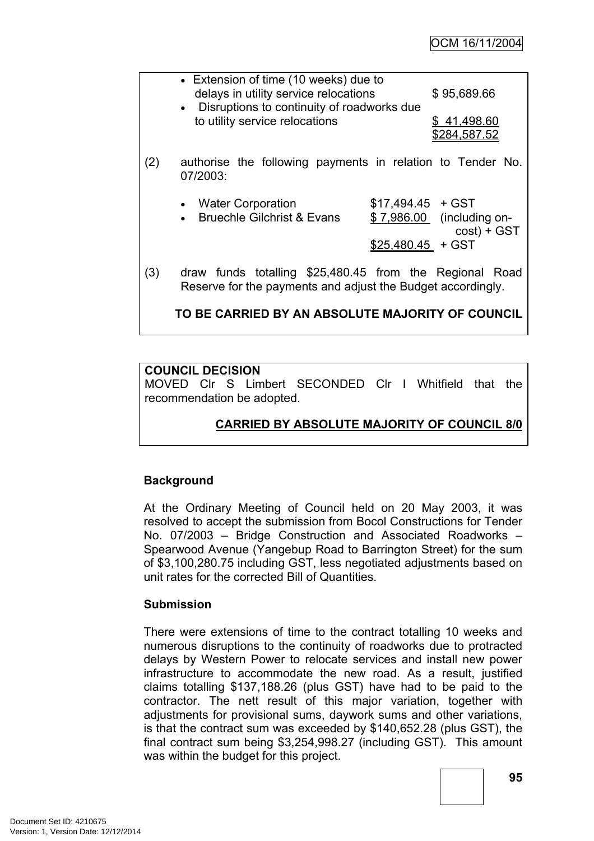|     | • Extension of time (10 weeks) due to<br>delays in utility service relocations<br>• Disruptions to continuity of roadworks due | \$95,689.66                                                       |
|-----|--------------------------------------------------------------------------------------------------------------------------------|-------------------------------------------------------------------|
|     | to utility service relocations                                                                                                 | \$41,498.60<br><u>\$284,587.52</u>                                |
| (2) | authorise the following payments in relation to Tender No.<br>07/2003:                                                         |                                                                   |
|     | • Water Corporation<br><b>Bruechle Gilchrist &amp; Evans</b>                                                                   | $$17,494.45$ + GST<br>\$7,986.00 (including on-<br>$cost$ ) + GST |
|     |                                                                                                                                | + GST<br>\$25,480.45                                              |
| (3) | draw funds totalling \$25,480.45 from the Regional Road<br>Reserve for the payments and adjust the Budget accordingly.         |                                                                   |
|     | TO BE CARRIED BY AN ABSOLUTE MAJORITY OF COUNCIL                                                                               |                                                                   |

# **COUNCIL DECISION**

MOVED Clr S Limbert SECONDED Clr I Whitfield that the recommendation be adopted.

# **CARRIED BY ABSOLUTE MAJORITY OF COUNCIL 8/0**

### **Background**

At the Ordinary Meeting of Council held on 20 May 2003, it was resolved to accept the submission from Bocol Constructions for Tender No. 07/2003 – Bridge Construction and Associated Roadworks – Spearwood Avenue (Yangebup Road to Barrington Street) for the sum of \$3,100,280.75 including GST, less negotiated adjustments based on unit rates for the corrected Bill of Quantities.

### **Submission**

There were extensions of time to the contract totalling 10 weeks and numerous disruptions to the continuity of roadworks due to protracted delays by Western Power to relocate services and install new power infrastructure to accommodate the new road. As a result, justified claims totalling \$137,188.26 (plus GST) have had to be paid to the contractor. The nett result of this major variation, together with adjustments for provisional sums, daywork sums and other variations, is that the contract sum was exceeded by \$140,652.28 (plus GST), the final contract sum being \$3,254,998.27 (including GST). This amount was within the budget for this project.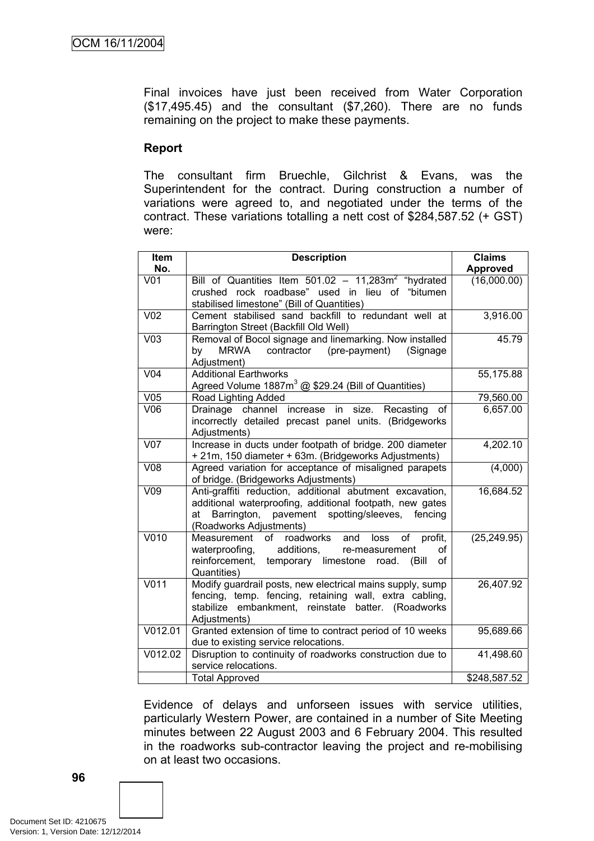Final invoices have just been received from Water Corporation (\$17,495.45) and the consultant (\$7,260). There are no funds remaining on the project to make these payments.

## **Report**

The consultant firm Bruechle, Gilchrist & Evans, was the Superintendent for the contract. During construction a number of variations were agreed to, and negotiated under the terms of the contract. These variations totalling a nett cost of \$284,587.52 (+ GST) were:

| <b>Item</b>      | <b>Description</b>                                                                                                                                                                                            | <b>Claims</b> |
|------------------|---------------------------------------------------------------------------------------------------------------------------------------------------------------------------------------------------------------|---------------|
| No.              |                                                                                                                                                                                                               | Approved      |
| V <sub>0</sub>   | Bill of Quantities Item $501.02 - 11,283m^2$ "hydrated                                                                                                                                                        | (16,000.00)   |
|                  | crushed rock roadbase" used in lieu of "bitumen<br>stabilised limestone" (Bill of Quantities)                                                                                                                 |               |
| V <sub>02</sub>  | Cement stabilised sand backfill to redundant well at<br>Barrington Street (Backfill Old Well)                                                                                                                 | 3,916.00      |
| V <sub>03</sub>  | Removal of Bocol signage and linemarking. Now installed<br><b>MRWA</b><br>contractor<br>(pre-payment)<br>by<br>(Signage<br>Adjustment)                                                                        | 45.79         |
| V <sub>04</sub>  | <b>Additional Earthworks</b><br>Agreed Volume 1887m <sup>3</sup> @ \$29.24 (Bill of Quantities)                                                                                                               | 55,175.88     |
| V <sub>05</sub>  | Road Lighting Added                                                                                                                                                                                           | 79,560.00     |
| V06              | Drainage channel increase in size. Recasting<br>of<br>incorrectly detailed precast panel units. (Bridgeworks<br>Adjustments)                                                                                  | 6,657.00      |
| <b>V07</b>       | Increase in ducts under footpath of bridge. 200 diameter<br>+ 21m, 150 diameter + 63m. (Bridgeworks Adjustments)                                                                                              | 4,202.10      |
| V08              | Agreed variation for acceptance of misaligned parapets<br>of bridge. (Bridgeworks Adjustments)                                                                                                                | (4,000)       |
| $\overline{V}$   | Anti-graffiti reduction, additional abutment excavation,<br>additional waterproofing, additional footpath, new gates<br>pavement spotting/sleeves,<br>Barrington,<br>fencing<br>at<br>(Roadworks Adjustments) | 16,684.52     |
| V <sub>010</sub> | of roadworks<br>and<br>of<br>profit.<br>Measurement<br>loss<br>waterproofing,<br>additions,<br>re-measurement<br>οf<br>temporary limestone road.<br>reinforcement,<br>(Bill<br>οf<br>Quantities)              | (25, 249.95)  |
| V <sub>011</sub> | Modify guardrail posts, new electrical mains supply, sump<br>fencing, temp. fencing, retaining wall, extra cabling,<br>embankment, reinstate batter. (Roadworks<br>stabilize<br>Adjustments)                  | 26,407.92     |
| V012.01          | Granted extension of time to contract period of 10 weeks<br>due to existing service relocations.                                                                                                              | 95,689.66     |
| V012.02          | Disruption to continuity of roadworks construction due to<br>service relocations.                                                                                                                             | 41,498.60     |
|                  | <b>Total Approved</b>                                                                                                                                                                                         | \$248,587.52  |

Evidence of delays and unforseen issues with service utilities, particularly Western Power, are contained in a number of Site Meeting minutes between 22 August 2003 and 6 February 2004. This resulted in the roadworks sub-contractor leaving the project and re-mobilising on at least two occasions.

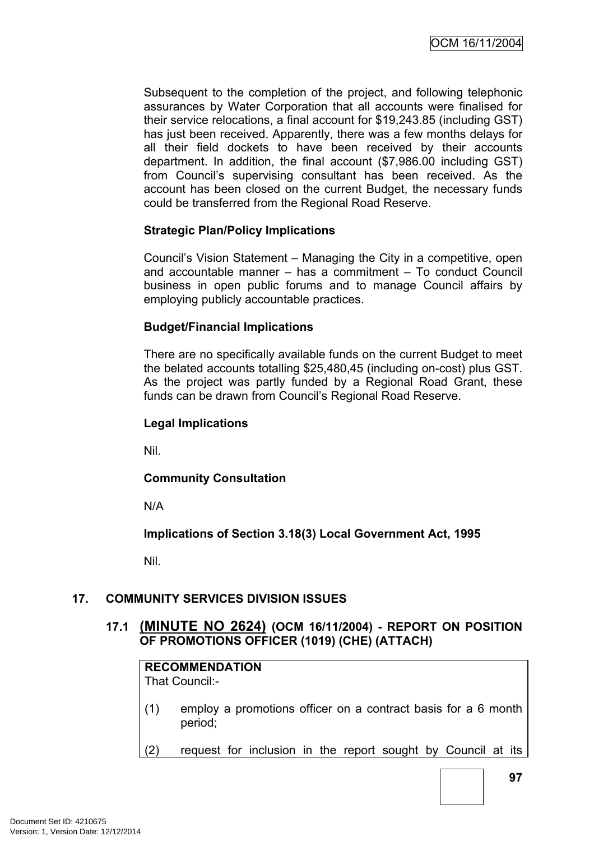Subsequent to the completion of the project, and following telephonic assurances by Water Corporation that all accounts were finalised for their service relocations, a final account for \$19,243.85 (including GST) has just been received. Apparently, there was a few months delays for all their field dockets to have been received by their accounts department. In addition, the final account (\$7,986.00 including GST) from Council's supervising consultant has been received. As the account has been closed on the current Budget, the necessary funds could be transferred from the Regional Road Reserve.

## **Strategic Plan/Policy Implications**

Council's Vision Statement – Managing the City in a competitive, open and accountable manner – has a commitment – To conduct Council business in open public forums and to manage Council affairs by employing publicly accountable practices.

### **Budget/Financial Implications**

There are no specifically available funds on the current Budget to meet the belated accounts totalling \$25,480,45 (including on-cost) plus GST. As the project was partly funded by a Regional Road Grant, these funds can be drawn from Council's Regional Road Reserve.

### **Legal Implications**

Nil.

### **Community Consultation**

N/A

**Implications of Section 3.18(3) Local Government Act, 1995**

Nil.

### **17. COMMUNITY SERVICES DIVISION ISSUES**

## **17.1 (MINUTE NO 2624) (OCM 16/11/2004) - REPORT ON POSITION OF PROMOTIONS OFFICER (1019) (CHE) (ATTACH)**

**RECOMMENDATION** That Council:-

- (1) employ a promotions officer on a contract basis for a 6 month period;
- (2) request for inclusion in the report sought by Council at its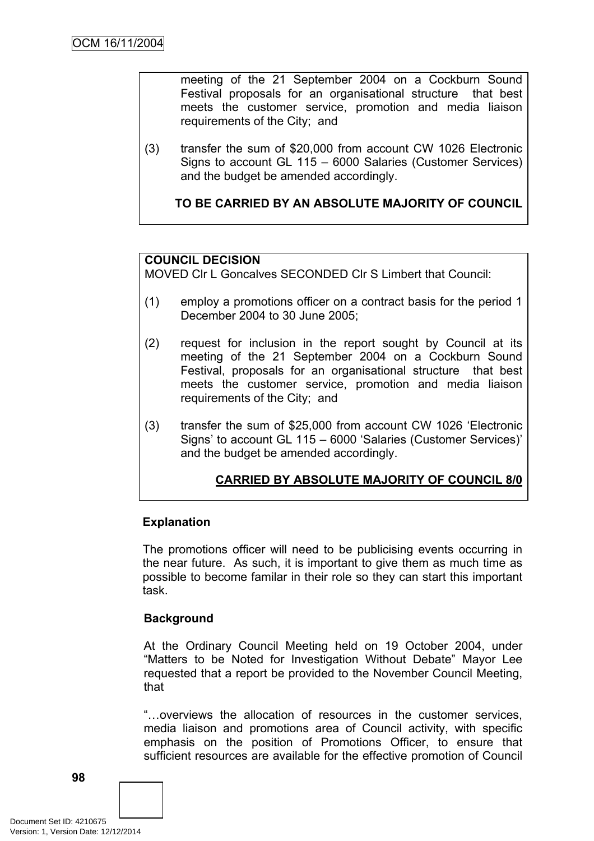meeting of the 21 September 2004 on a Cockburn Sound Festival proposals for an organisational structure that best meets the customer service, promotion and media liaison requirements of the City; and

(3) transfer the sum of \$20,000 from account CW 1026 Electronic Signs to account GL 115 – 6000 Salaries (Customer Services) and the budget be amended accordingly.

**TO BE CARRIED BY AN ABSOLUTE MAJORITY OF COUNCIL**

# **COUNCIL DECISION**

MOVED Clr L Goncalves SECONDED Clr S Limbert that Council:

- (1) employ a promotions officer on a contract basis for the period 1 December 2004 to 30 June 2005;
- (2) request for inclusion in the report sought by Council at its meeting of the 21 September 2004 on a Cockburn Sound Festival, proposals for an organisational structure that best meets the customer service, promotion and media liaison requirements of the City; and
- (3) transfer the sum of \$25,000 from account CW 1026 'Electronic Signs' to account GL 115 – 6000 'Salaries (Customer Services)' and the budget be amended accordingly.

# **CARRIED BY ABSOLUTE MAJORITY OF COUNCIL 8/0**

### **Explanation**

The promotions officer will need to be publicising events occurring in the near future. As such, it is important to give them as much time as possible to become familar in their role so they can start this important task.

### **Background**

At the Ordinary Council Meeting held on 19 October 2004, under "Matters to be Noted for Investigation Without Debate" Mayor Lee requested that a report be provided to the November Council Meeting, that

"…overviews the allocation of resources in the customer services, media liaison and promotions area of Council activity, with specific emphasis on the position of Promotions Officer, to ensure that sufficient resources are available for the effective promotion of Council

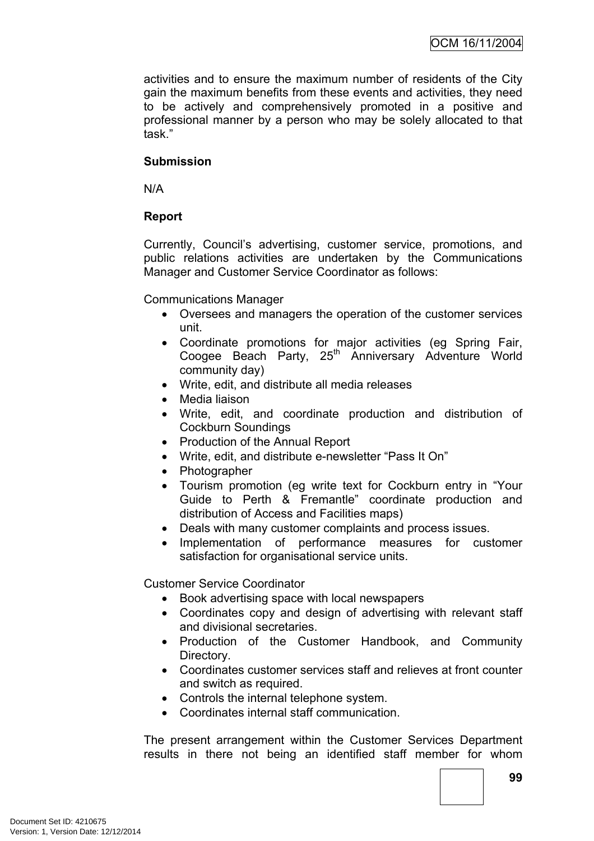activities and to ensure the maximum number of residents of the City gain the maximum benefits from these events and activities, they need to be actively and comprehensively promoted in a positive and professional manner by a person who may be solely allocated to that task."

## **Submission**

N/A

# **Report**

Currently, Council's advertising, customer service, promotions, and public relations activities are undertaken by the Communications Manager and Customer Service Coordinator as follows:

Communications Manager

- Oversees and managers the operation of the customer services unit.
- Coordinate promotions for major activities (eg Spring Fair, Coogee Beach Party, 25<sup>th</sup> Anniversary Adventure World community day)
- Write, edit, and distribute all media releases
- Media liaison
- Write, edit, and coordinate production and distribution of Cockburn Soundings
- Production of the Annual Report
- Write, edit, and distribute e-newsletter "Pass It On"
- Photographer
- Tourism promotion (eg write text for Cockburn entry in "Your Guide to Perth & Fremantle" coordinate production and distribution of Access and Facilities maps)
- Deals with many customer complaints and process issues.
- Implementation of performance measures for customer satisfaction for organisational service units.

Customer Service Coordinator

- Book advertising space with local newspapers
- Coordinates copy and design of advertising with relevant staff and divisional secretaries.
- Production of the Customer Handbook, and Community Directory.
- Coordinates customer services staff and relieves at front counter and switch as required.
- Controls the internal telephone system.
- Coordinates internal staff communication.

The present arrangement within the Customer Services Department results in there not being an identified staff member for whom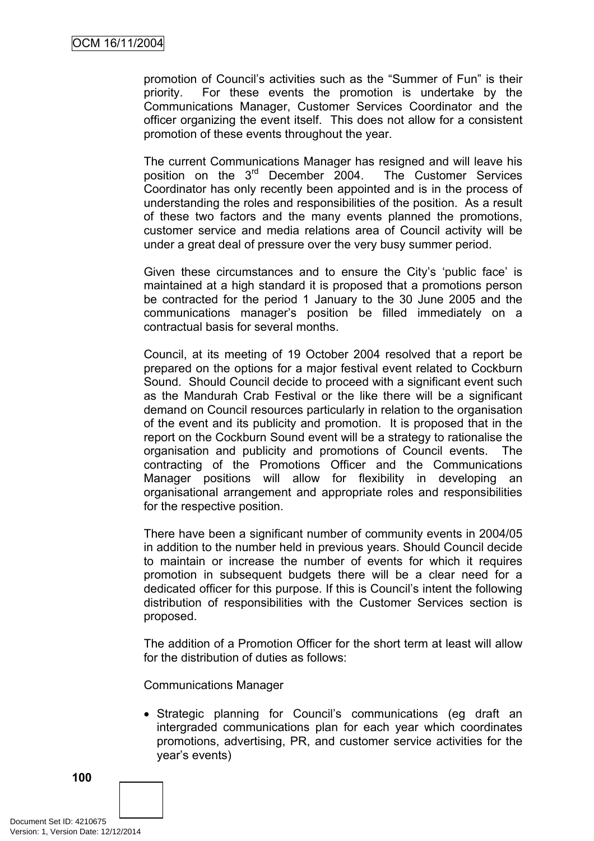promotion of Council's activities such as the "Summer of Fun" is their priority. For these events the promotion is undertake by the Communications Manager, Customer Services Coordinator and the officer organizing the event itself. This does not allow for a consistent promotion of these events throughout the year.

The current Communications Manager has resigned and will leave his position on the 3rd December 2004. The Customer Services Coordinator has only recently been appointed and is in the process of understanding the roles and responsibilities of the position. As a result of these two factors and the many events planned the promotions, customer service and media relations area of Council activity will be under a great deal of pressure over the very busy summer period.

Given these circumstances and to ensure the City's 'public face' is maintained at a high standard it is proposed that a promotions person be contracted for the period 1 January to the 30 June 2005 and the communications manager's position be filled immediately on a contractual basis for several months.

Council, at its meeting of 19 October 2004 resolved that a report be prepared on the options for a major festival event related to Cockburn Sound. Should Council decide to proceed with a significant event such as the Mandurah Crab Festival or the like there will be a significant demand on Council resources particularly in relation to the organisation of the event and its publicity and promotion. It is proposed that in the report on the Cockburn Sound event will be a strategy to rationalise the organisation and publicity and promotions of Council events. The contracting of the Promotions Officer and the Communications Manager positions will allow for flexibility in developing an organisational arrangement and appropriate roles and responsibilities for the respective position.

There have been a significant number of community events in 2004/05 in addition to the number held in previous years. Should Council decide to maintain or increase the number of events for which it requires promotion in subsequent budgets there will be a clear need for a dedicated officer for this purpose. If this is Council's intent the following distribution of responsibilities with the Customer Services section is proposed.

The addition of a Promotion Officer for the short term at least will allow for the distribution of duties as follows:

Communications Manager

• Strategic planning for Council's communications (eg draft an intergraded communications plan for each year which coordinates promotions, advertising, PR, and customer service activities for the year's events)

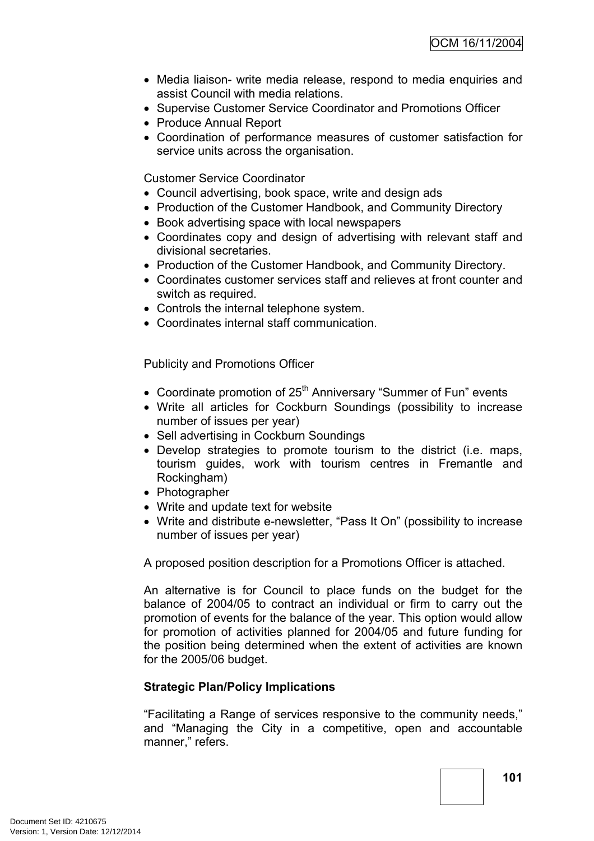- Media liaison- write media release, respond to media enquiries and assist Council with media relations.
- Supervise Customer Service Coordinator and Promotions Officer
- Produce Annual Report
- Coordination of performance measures of customer satisfaction for service units across the organisation.

Customer Service Coordinator

- Council advertising, book space, write and design ads
- Production of the Customer Handbook, and Community Directory
- Book advertising space with local newspapers
- Coordinates copy and design of advertising with relevant staff and divisional secretaries.
- Production of the Customer Handbook, and Community Directory.
- Coordinates customer services staff and relieves at front counter and switch as required.
- Controls the internal telephone system.
- Coordinates internal staff communication.

Publicity and Promotions Officer

- Coordinate promotion of  $25<sup>th</sup>$  Anniversary "Summer of Fun" events
- Write all articles for Cockburn Soundings (possibility to increase number of issues per year)
- Sell advertising in Cockburn Soundings
- Develop strategies to promote tourism to the district (i.e. maps, tourism guides, work with tourism centres in Fremantle and Rockingham)
- Photographer
- Write and update text for website
- Write and distribute e-newsletter, "Pass It On" (possibility to increase number of issues per year)

A proposed position description for a Promotions Officer is attached.

An alternative is for Council to place funds on the budget for the balance of 2004/05 to contract an individual or firm to carry out the promotion of events for the balance of the year. This option would allow for promotion of activities planned for 2004/05 and future funding for the position being determined when the extent of activities are known for the 2005/06 budget.

# **Strategic Plan/Policy Implications**

"Facilitating a Range of services responsive to the community needs," and "Managing the City in a competitive, open and accountable manner," refers.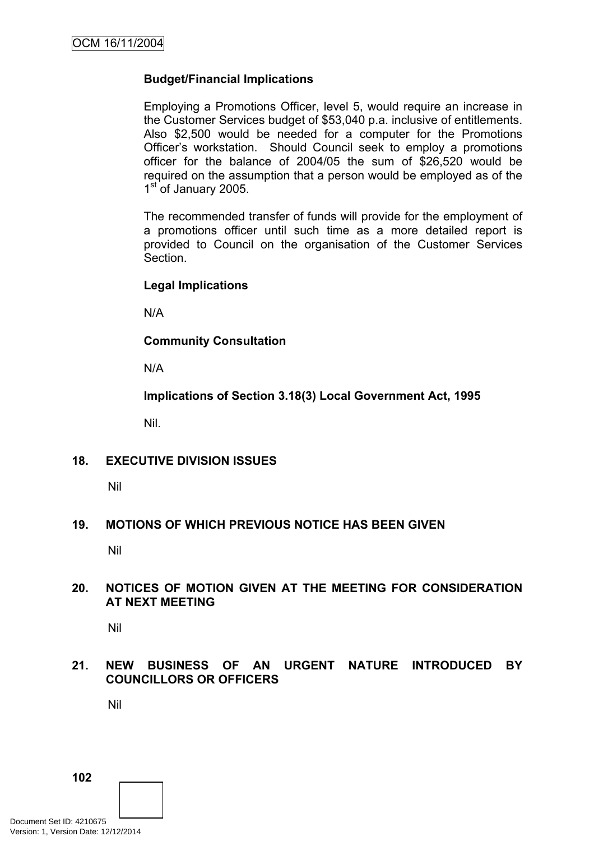# **Budget/Financial Implications**

Employing a Promotions Officer, level 5, would require an increase in the Customer Services budget of \$53,040 p.a. inclusive of entitlements. Also \$2,500 would be needed for a computer for the Promotions Officer's workstation. Should Council seek to employ a promotions officer for the balance of 2004/05 the sum of \$26,520 would be required on the assumption that a person would be employed as of the 1<sup>st</sup> of January 2005.

The recommended transfer of funds will provide for the employment of a promotions officer until such time as a more detailed report is provided to Council on the organisation of the Customer Services Section.

### **Legal Implications**

N/A

**Community Consultation** 

N/A

**Implications of Section 3.18(3) Local Government Act, 1995**

Nil.

### **18. EXECUTIVE DIVISION ISSUES**

Nil

### **19. MOTIONS OF WHICH PREVIOUS NOTICE HAS BEEN GIVEN**

Nil

## **20. NOTICES OF MOTION GIVEN AT THE MEETING FOR CONSIDERATION AT NEXT MEETING**

Nil

# **21. NEW BUSINESS OF AN URGENT NATURE INTRODUCED BY COUNCILLORS OR OFFICERS**

Nil

**102** Document Set ID: 4210675<br>Version: 1, Version Date: 12/12/2014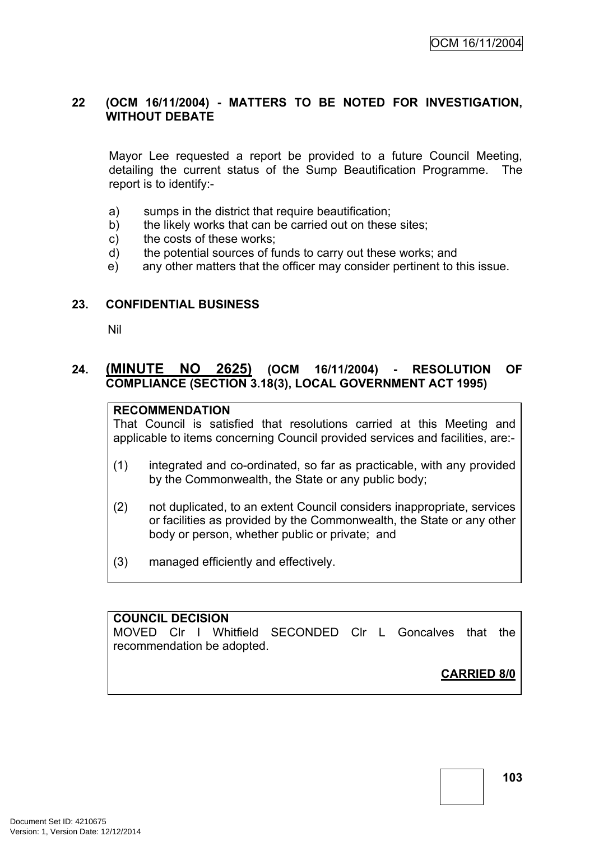## **22 (OCM 16/11/2004) - MATTERS TO BE NOTED FOR INVESTIGATION, WITHOUT DEBATE**

Mayor Lee requested a report be provided to a future Council Meeting, detailing the current status of the Sump Beautification Programme. The report is to identify:-

- a) sumps in the district that require beautification;
- b) the likely works that can be carried out on these sites;
- c) the costs of these works;
- d) the potential sources of funds to carry out these works; and
- e) any other matters that the officer may consider pertinent to this issue.

# **23. CONFIDENTIAL BUSINESS**

Nil

## **24. (MINUTE NO 2625) (OCM 16/11/2004) - RESOLUTION OF COMPLIANCE (SECTION 3.18(3), LOCAL GOVERNMENT ACT 1995)**

# **RECOMMENDATION**

That Council is satisfied that resolutions carried at this Meeting and applicable to items concerning Council provided services and facilities, are:-

- (1) integrated and co-ordinated, so far as practicable, with any provided by the Commonwealth, the State or any public body;
- (2) not duplicated, to an extent Council considers inappropriate, services or facilities as provided by the Commonwealth, the State or any other body or person, whether public or private; and
- (3) managed efficiently and effectively.

### **COUNCIL DECISION**

MOVED Clr I Whitfield SECONDED Clr L Goncalves that the recommendation be adopted.

**CARRIED 8/0**